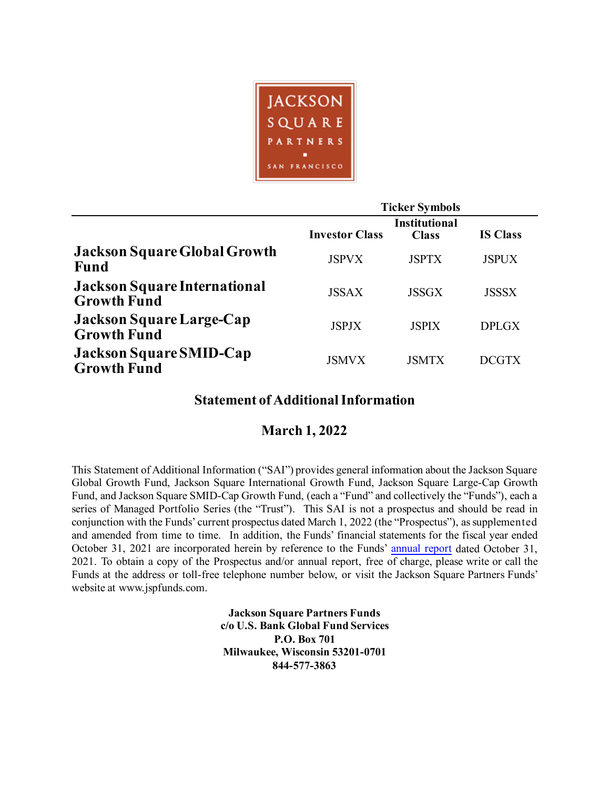

|                                                           |                       | <b>Ticker Symbols</b>                |                 |
|-----------------------------------------------------------|-----------------------|--------------------------------------|-----------------|
|                                                           | <b>Investor Class</b> | <b>Institutional</b><br><b>Class</b> | <b>IS Class</b> |
| <b>Jackson Square Global Growth</b><br><b>Fund</b>        | <b>JSPVX</b>          | <b>JSPTX</b>                         | <b>JSPUX</b>    |
| <b>Jackson Square International</b><br><b>Growth Fund</b> | <b>JSSAX</b>          | <b>JSSGX</b>                         | <b>JSSSX</b>    |
| Jackson Square Large-Cap<br><b>Growth Fund</b>            | <b>JSPJX</b>          | <b>JSPIX</b>                         | <b>DPLGX</b>    |
| <b>Jackson Square SMID-Cap</b><br><b>Growth Fund</b>      | <b>JSMVX</b>          | <b>JSMTX</b>                         | <b>DCGTX</b>    |

# **Statement of Additional Information**

# **March 1, 2022**

This Statement of Additional Information ("SAI") provides general information about the Jackson Square Global Growth Fund, Jackson Square International Growth Fund, Jackson Square Large-Cap Growth Fund, and Jackson Square SMID-Cap Growth Fund, (each a "Fund" and collectively the "Funds"), each a series of Managed Portfolio Series (the "Trust"). This SAI is not a prospectus and should be read in conjunction with the Funds' current prospectus dated March 1, 2022 (the "Prospectus"), as supplemented and amended from time to time. In addition, the Funds' financial statements for the fiscal year ended October 31, 2021 are incorporated herein by reference to the Funds' [annual report](https://www.sec.gov/Archives/edgar/data/1511699/000089853122000022/jsf-ncsra.htm) dated October 31, 2021. To obtain a copy of the Prospectus and/or annual report, free of charge, please write or call the Funds at the address or toll-free telephone number below, or visit the Jackson Square Partners Funds' website at www.jspfunds.com.

> **Jackson Square Partners Funds c/o U.S. Bank Global Fund Services P.O. Box 701 Milwaukee, Wisconsin 53201-0701 844-577-3863**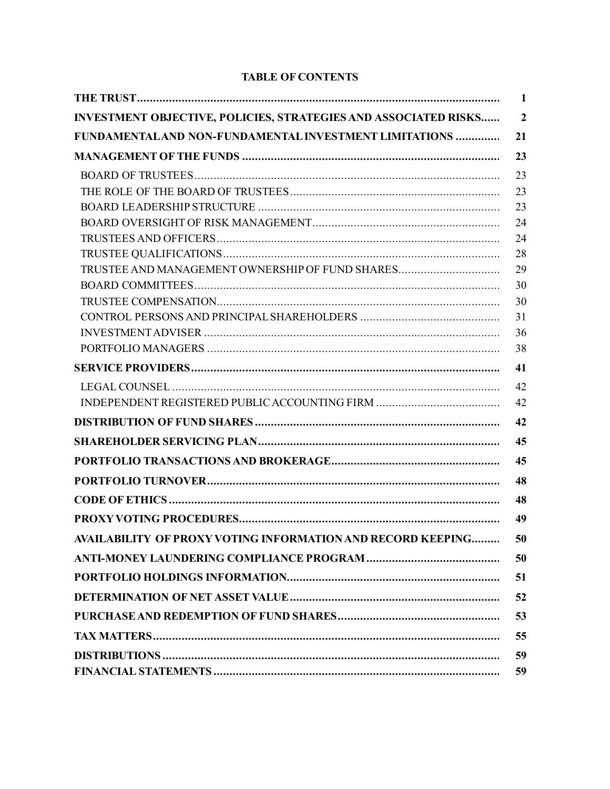# **TABLE OF CONTENTS**

|                                                                        | 1              |
|------------------------------------------------------------------------|----------------|
| <b>INVESTMENT OBJECTIVE, POLICIES, STRATEGIES AND ASSOCIATED RISKS</b> | $\overline{2}$ |
| <b>FUNDAMENTALAND NON-FUNDAMENTAL INVESTMENT LIMITATIONS </b>          | 21             |
|                                                                        | 23             |
|                                                                        | 23             |
|                                                                        | 23             |
|                                                                        | 23             |
|                                                                        | 24             |
|                                                                        | 24             |
|                                                                        | 28             |
| TRUSTEE AND MANAGEMENT OWNERSHIP OF FUND SHARES                        | 29             |
|                                                                        | 30             |
|                                                                        | 30             |
|                                                                        | 31             |
|                                                                        | 36             |
|                                                                        | 38             |
|                                                                        | 41             |
|                                                                        | 42             |
|                                                                        | 42             |
|                                                                        | 42             |
|                                                                        | 45             |
|                                                                        | 45             |
|                                                                        | 48             |
|                                                                        | 48             |
|                                                                        | 49             |
| AVAILABILITY OF PROXY VOTING INFORMATION AND RECORD KEEPING.           | 50             |
|                                                                        | 50             |
|                                                                        | 51             |
|                                                                        | 52             |
|                                                                        | 53             |
|                                                                        | 55             |
|                                                                        | 59             |
|                                                                        | 59             |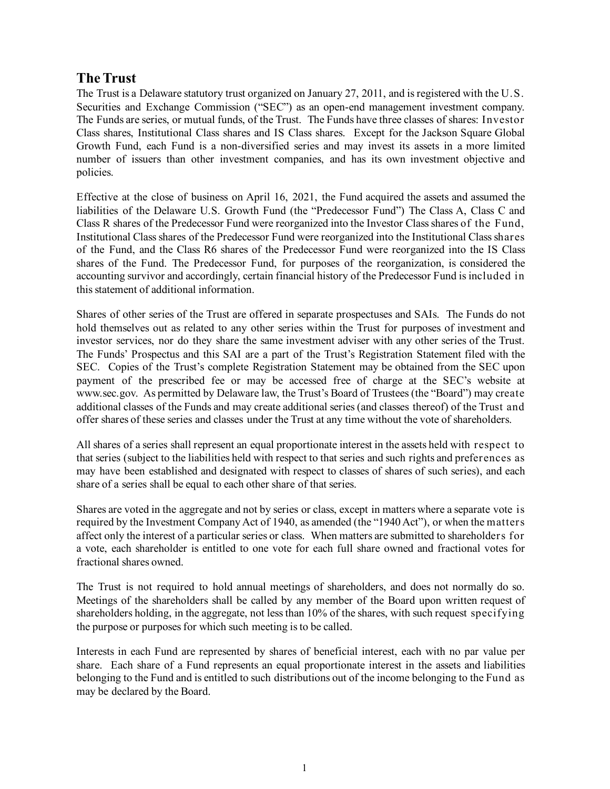# <span id="page-2-0"></span>**The Trust**

The Trust is a Delaware statutory trust organized on January 27, 2011, and is registered with the U.S. Securities and Exchange Commission ("SEC") as an open-end management investment company. The Funds are series, or mutual funds, of the Trust. The Funds have three classes of shares: Investor Class shares, Institutional Class shares and IS Class shares. Except for the Jackson Square Global Growth Fund, each Fund is a non-diversified series and may invest its assets in a more limited number of issuers than other investment companies, and has its own investment objective and policies.

Effective at the close of business on April 16, 2021, the Fund acquired the assets and assumed the liabilities of the Delaware U.S. Growth Fund (the "Predecessor Fund") The Class A, Class C and Class R shares of the Predecessor Fund were reorganized into the Investor Class shares of the Fund, Institutional Class shares of the Predecessor Fund were reorganized into the Institutional Class shares of the Fund, and the Class R6 shares of the Predecessor Fund were reorganized into the IS Class shares of the Fund. The Predecessor Fund, for purposes of the reorganization, is considered the accounting survivor and accordingly, certain financial history of the Predecessor Fund is included in this statement of additional information.

Shares of other series of the Trust are offered in separate prospectuses and SAIs. The Funds do not hold themselves out as related to any other series within the Trust for purposes of investment and investor services, nor do they share the same investment adviser with any other series of the Trust. The Funds' Prospectus and this SAI are a part of the Trust's Registration Statement filed with the SEC. Copies of the Trust's complete Registration Statement may be obtained from the SEC upon payment of the prescribed fee or may be accessed free of charge at the SEC's website at www.sec.gov. As permitted by Delaware law, the Trust's Board of Trustees (the "Board") may create additional classes of the Funds and may create additional series (and classes thereof) of the Trust and offer shares of these series and classes under the Trust at any time without the vote of shareholders.

All shares of a series shall represent an equal proportionate interest in the assets held with respect to that series (subject to the liabilities held with respect to that series and such rights and preferences as may have been established and designated with respect to classes of shares of such series), and each share of a series shall be equal to each other share of that series.

Shares are voted in the aggregate and not by series or class, except in matters where a separate vote is required by the Investment Company Act of 1940, as amended (the "1940 Act"), or when the matters affect only the interest of a particular series or class. When matters are submitted to shareholders for a vote, each shareholder is entitled to one vote for each full share owned and fractional votes for fractional shares owned.

The Trust is not required to hold annual meetings of shareholders, and does not normally do so. Meetings of the shareholders shall be called by any member of the Board upon written request of shareholders holding, in the aggregate, not less than 10% of the shares, with such request specifying the purpose or purposes for which such meeting is to be called.

Interests in each Fund are represented by shares of beneficial interest, each with no par value per share. Each share of a Fund represents an equal proportionate interest in the assets and liabilities belonging to the Fund and is entitled to such distributions out of the income belonging to the Fund as may be declared by the Board.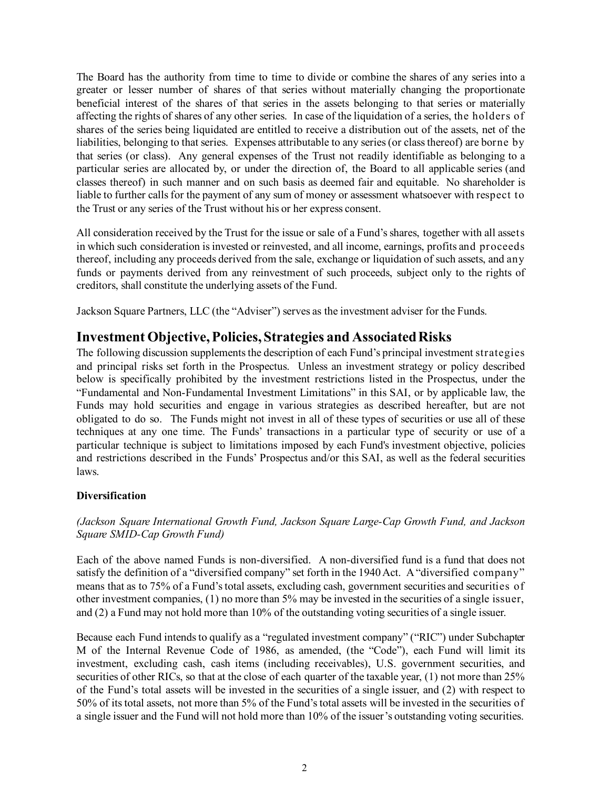The Board has the authority from time to time to divide or combine the shares of any series into a greater or lesser number of shares of that series without materially changing the proportionate beneficial interest of the shares of that series in the assets belonging to that series or materially affecting the rights of shares of any other series. In case of the liquidation of a series, the holders of shares of the series being liquidated are entitled to receive a distribution out of the assets, net of the liabilities, belonging to that series. Expenses attributable to any series (or class thereof) are borne by that series (or class). Any general expenses of the Trust not readily identifiable as belonging to a particular series are allocated by, or under the direction of, the Board to all applicable series (and classes thereof) in such manner and on such basis as deemed fair and equitable. No shareholder is liable to further calls for the payment of any sum of money or assessment whatsoever with respect to the Trust or any series of the Trust without his or her express consent.

All consideration received by the Trust for the issue or sale of a Fund's shares, together with all assets in which such consideration is invested or reinvested, and all income, earnings, profits and proceeds thereof, including any proceeds derived from the sale, exchange or liquidation of such assets, and any funds or payments derived from any reinvestment of such proceeds, subject only to the rights of creditors, shall constitute the underlying assets of the Fund.

Jackson Square Partners, LLC (the "Adviser") serves as the investment adviser for the Funds.

## <span id="page-3-0"></span>**Investment Objective, Policies, Strategies and Associated Risks**

The following discussion supplements the description of each Fund's principal investment strategies and principal risks set forth in the Prospectus. Unless an investment strategy or policy described below is specifically prohibited by the investment restrictions listed in the Prospectus, under the "Fundamental and Non-Fundamental Investment Limitations" in this SAI, or by applicable law, the Funds may hold securities and engage in various strategies as described hereafter, but are not obligated to do so. The Funds might not invest in all of these types of securities or use all of these techniques at any one time. The Funds' transactions in a particular type of security or use of a particular technique is subject to limitations imposed by each Fund's investment objective, policies and restrictions described in the Funds' Prospectus and/or this SAI, as well as the federal securities laws.

### **Diversification**

### *(Jackson Square International Growth Fund, Jackson Square Large-Cap Growth Fund, and Jackson Square SMID-Cap Growth Fund)*

Each of the above named Funds is non-diversified. A non-diversified fund is a fund that does not satisfy the definition of a "diversified company" set forth in the 1940 Act. A "diversified company" means that as to 75% of a Fund's total assets, excluding cash, government securities and securities of other investment companies, (1) no more than 5% may be invested in the securities of a single issuer, and (2) a Fund may not hold more than 10% of the outstanding voting securities of a single issuer.

Because each Fund intends to qualify as a "regulated investment company" ("RIC") under Subchapter M of the Internal Revenue Code of 1986, as amended, (the "Code"), each Fund will limit its investment, excluding cash, cash items (including receivables), U.S. government securities, and securities of other RICs, so that at the close of each quarter of the taxable year, (1) not more than 25% of the Fund's total assets will be invested in the securities of a single issuer, and (2) with respect to 50% of its total assets, not more than 5% of the Fund's total assets will be invested in the securities of a single issuer and the Fund will not hold more than 10% of the issuer's outstanding voting securities.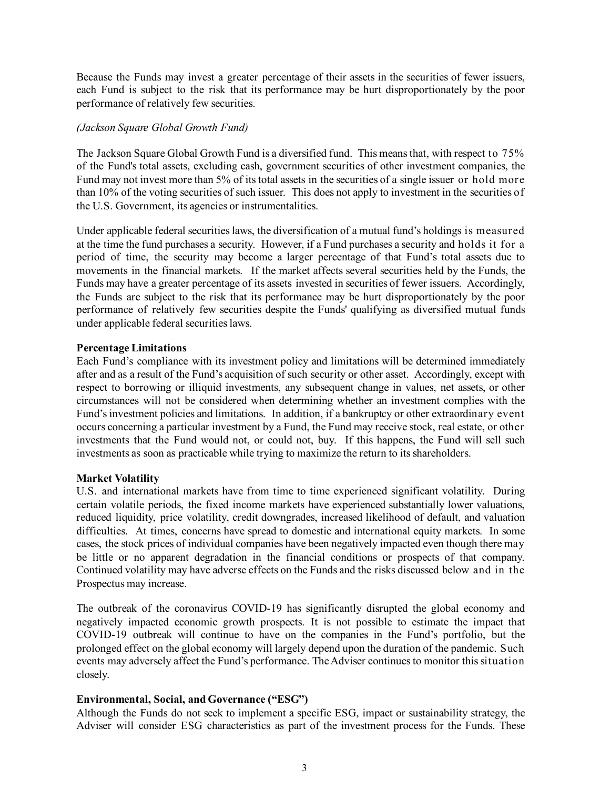Because the Funds may invest a greater percentage of their assets in the securities of fewer issuers, each Fund is subject to the risk that its performance may be hurt disproportionately by the poor performance of relatively few securities.

### *(Jackson Square Global Growth Fund)*

The Jackson Square Global Growth Fund is a diversified fund. This means that, with respect to 75% of the Fund's total assets, excluding cash, government securities of other investment companies, the Fund may not invest more than 5% of its total assets in the securities of a single issuer or hold more than 10% of the voting securities of such issuer. This does not apply to investment in the securities of the U.S. Government, its agencies or instrumentalities.

Under applicable federal securities laws, the diversification of a mutual fund's holdings is measured at the time the fund purchases a security. However, if a Fund purchases a security and holds it for a period of time, the security may become a larger percentage of that Fund's total assets due to movements in the financial markets. If the market affects several securities held by the Funds, the Funds may have a greater percentage of its assets invested in securities of fewer issuers. Accordingly, the Funds are subject to the risk that its performance may be hurt disproportionately by the poor performance of relatively few securities despite the Funds' qualifying as diversified mutual funds under applicable federal securities laws.

### **Percentage Limitations**

Each Fund's compliance with its investment policy and limitations will be determined immediately after and as a result of the Fund's acquisition of such security or other asset. Accordingly, except with respect to borrowing or illiquid investments, any subsequent change in values, net assets, or other circumstances will not be considered when determining whether an investment complies with the Fund's investment policies and limitations. In addition, if a bankruptcy or other extraordinary event occurs concerning a particular investment by a Fund, the Fund may receive stock, real estate, or other investments that the Fund would not, or could not, buy. If this happens, the Fund will sell such investments as soon as practicable while trying to maximize the return to its shareholders.

### **Market Volatility**

U.S. and international markets have from time to time experienced significant volatility. During certain volatile periods, the fixed income markets have experienced substantially lower valuations, reduced liquidity, price volatility, credit downgrades, increased likelihood of default, and valuation difficulties. At times, concerns have spread to domestic and international equity markets. In some cases, the stock prices of individual companies have been negatively impacted even though there may be little or no apparent degradation in the financial conditions or prospects of that company. Continued volatility may have adverse effects on the Funds and the risks discussed below and in the Prospectus may increase.

The outbreak of the coronavirus COVID-19 has significantly disrupted the global economy and negatively impacted economic growth prospects. It is not possible to estimate the impact that COVID-19 outbreak will continue to have on the companies in the Fund's portfolio, but the prolonged effect on the global economy will largely depend upon the duration of the pandemic. Such events may adversely affect the Fund's performance. The Adviser continues to monitor this situation closely.

### **Environmental, Social, and Governance ("ESG")**

Although the Funds do not seek to implement a specific ESG, impact or sustainability strategy, the Adviser will consider ESG characteristics as part of the investment process for the Funds. These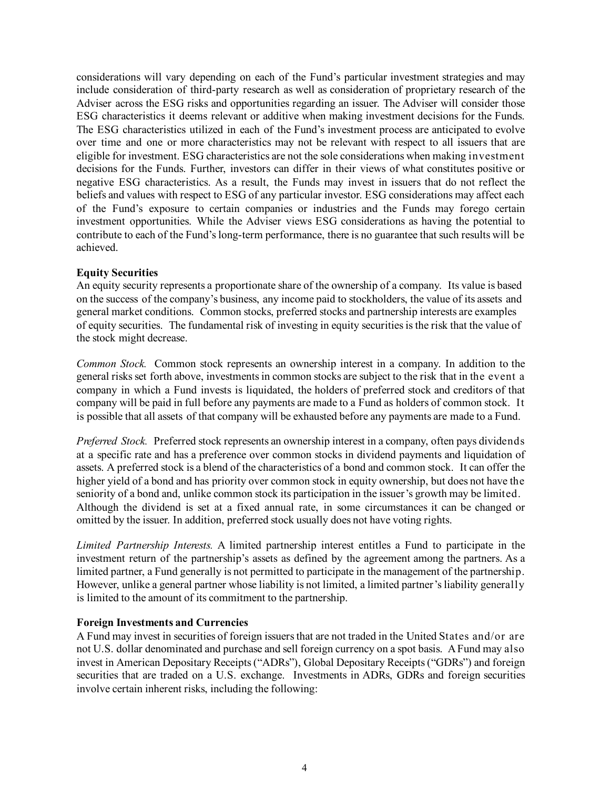considerations will vary depending on each of the Fund's particular investment strategies and may include consideration of third-party research as well as consideration of proprietary research of the Adviser across the ESG risks and opportunities regarding an issuer. The Adviser will consider those ESG characteristics it deems relevant or additive when making investment decisions for the Funds. The ESG characteristics utilized in each of the Fund's investment process are anticipated to evolve over time and one or more characteristics may not be relevant with respect to all issuers that are eligible for investment. ESG characteristics are not the sole considerations when making investment decisions for the Funds. Further, investors can differ in their views of what constitutes positive or negative ESG characteristics. As a result, the Funds may invest in issuers that do not reflect the beliefs and values with respect to ESG of any particular investor. ESG considerations may affect each of the Fund's exposure to certain companies or industries and the Funds may forego certain investment opportunities. While the Adviser views ESG considerations as having the potential to contribute to each of the Fund's long-term performance, there is no guarantee that such results will be achieved.

### **Equity Securities**

An equity security represents a proportionate share of the ownership of a company. Its value is based on the success of the company's business, any income paid to stockholders, the value of its assets and general market conditions. Common stocks, preferred stocks and partnership interests are examples of equity securities. The fundamental risk of investing in equity securities is the risk that the value of the stock might decrease.

*Common Stock.* Common stock represents an ownership interest in a company. In addition to the general risks set forth above, investments in common stocks are subject to the risk that in the event a company in which a Fund invests is liquidated, the holders of preferred stock and creditors of that company will be paid in full before any payments are made to a Fund as holders of common stock. It is possible that all assets of that company will be exhausted before any payments are made to a Fund.

*Preferred Stock.* Preferred stock represents an ownership interest in a company, often pays dividends at a specific rate and has a preference over common stocks in dividend payments and liquidation of assets. A preferred stock is a blend of the characteristics of a bond and common stock. It can offer the higher yield of a bond and has priority over common stock in equity ownership, but does not have the seniority of a bond and, unlike common stock its participation in the issuer's growth may be limited. Although the dividend is set at a fixed annual rate, in some circumstances it can be changed or omitted by the issuer. In addition, preferred stock usually does not have voting rights.

*Limited Partnership Interests.* A limited partnership interest entitles a Fund to participate in the investment return of the partnership's assets as defined by the agreement among the partners. As a limited partner, a Fund generally is not permitted to participate in the management of the partnership. However, unlike a general partner whose liability is not limited, a limited partner's liability generally is limited to the amount of its commitment to the partnership.

### **Foreign Investments and Currencies**

A Fund may invest in securities of foreign issuers that are not traded in the United States and/or are not U.S. dollar denominated and purchase and sell foreign currency on a spot basis. A Fund may also invest in American Depositary Receipts ("ADRs"), Global Depositary Receipts ("GDRs") and foreign securities that are traded on a U.S. exchange. Investments in ADRs, GDRs and foreign securities involve certain inherent risks, including the following: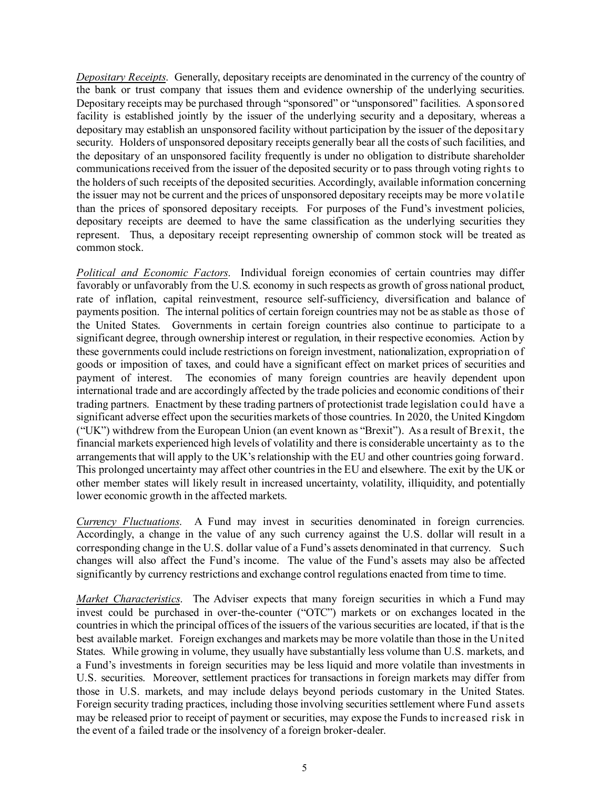*Depositary Receipts*. Generally, depositary receipts are denominated in the currency of the country of the bank or trust company that issues them and evidence ownership of the underlying securities. Depositary receipts may be purchased through "sponsored" or "unsponsored" facilities. A sponsored facility is established jointly by the issuer of the underlying security and a depositary, whereas a depositary may establish an unsponsored facility without participation by the issuer of the depositary security. Holders of unsponsored depositary receipts generally bear all the costs of such facilities, and the depositary of an unsponsored facility frequently is under no obligation to distribute shareholder communications received from the issuer of the deposited security or to pass through voting rights to the holders of such receipts of the deposited securities. Accordingly, available information concerning the issuer may not be current and the prices of unsponsored depositary receipts may be more volatile than the prices of sponsored depositary receipts. For purposes of the Fund's investment policies, depositary receipts are deemed to have the same classification as the underlying securities they represent. Thus, a depositary receipt representing ownership of common stock will be treated as common stock.

*Political and Economic Factors*. Individual foreign economies of certain countries may differ favorably or unfavorably from the U.S. economy in such respects as growth of gross national product, rate of inflation, capital reinvestment, resource self-sufficiency, diversification and balance of payments position. The internal politics of certain foreign countries may not be as stable as those of the United States. Governments in certain foreign countries also continue to participate to a significant degree, through ownership interest or regulation, in their respective economies. Action by these governments could include restrictions on foreign investment, nationalization, expropriation of goods or imposition of taxes, and could have a significant effect on market prices of securities and payment of interest. The economies of many foreign countries are heavily dependent upon international trade and are accordingly affected by the trade policies and economic conditions of their trading partners. Enactment by these trading partners of protectionist trade legislation could have a significant adverse effect upon the securities markets of those countries. In 2020, the United Kingdom ("UK") withdrew from the European Union (an event known as "Brexit"). As a result of Brexit, the financial markets experienced high levels of volatility and there is considerable uncertainty as to the arrangements that will apply to the UK's relationship with the EU and other countries going forward. This prolonged uncertainty may affect other countries in the EU and elsewhere. The exit by the UK or other member states will likely result in increased uncertainty, volatility, illiquidity, and potentially lower economic growth in the affected markets.

*Currency Fluctuations*. A Fund may invest in securities denominated in foreign currencies. Accordingly, a change in the value of any such currency against the U.S. dollar will result in a corresponding change in the U.S. dollar value of a Fund's assets denominated in that currency. Such changes will also affect the Fund's income. The value of the Fund's assets may also be affected significantly by currency restrictions and exchange control regulations enacted from time to time.

*Market Characteristics*. The Adviser expects that many foreign securities in which a Fund may invest could be purchased in over-the-counter ("OTC") markets or on exchanges located in the countries in which the principal offices of the issuers of the various securities are located, if that is the best available market. Foreign exchanges and markets may be more volatile than those in the United States. While growing in volume, they usually have substantially less volume than U.S. markets, and a Fund's investments in foreign securities may be less liquid and more volatile than investments in U.S. securities. Moreover, settlement practices for transactions in foreign markets may differ from those in U.S. markets, and may include delays beyond periods customary in the United States. Foreign security trading practices, including those involving securities settlement where Fund assets may be released prior to receipt of payment or securities, may expose the Funds to increased risk in the event of a failed trade or the insolvency of a foreign broker-dealer.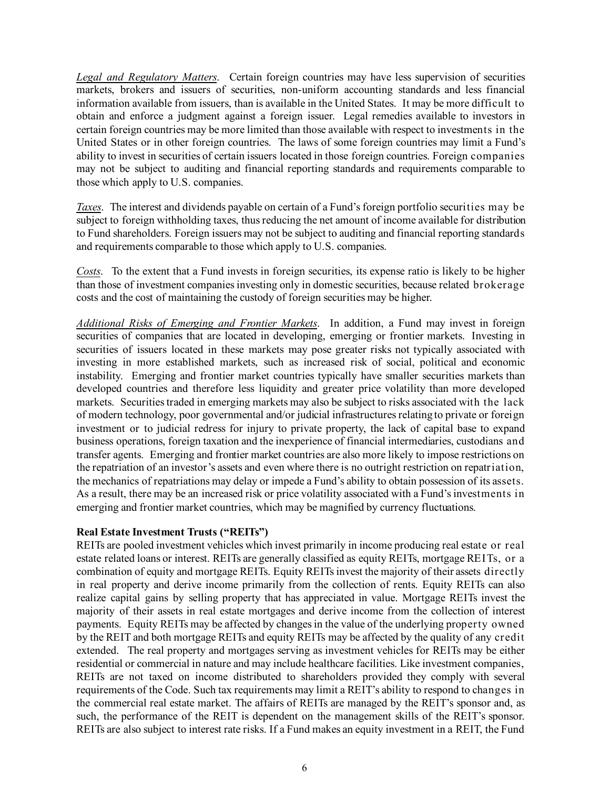*Legal and Regulatory Matters*. Certain foreign countries may have less supervision of securities markets, brokers and issuers of securities, non-uniform accounting standards and less financial information available from issuers, than is available in the United States. It may be more difficult to obtain and enforce a judgment against a foreign issuer. Legal remedies available to investors in certain foreign countries may be more limited than those available with respect to investments in the United States or in other foreign countries. The laws of some foreign countries may limit a Fund's ability to invest in securities of certain issuers located in those foreign countries. Foreign companies may not be subject to auditing and financial reporting standards and requirements comparable to those which apply to U.S. companies.

*Taxes*. The interest and dividends payable on certain of a Fund's foreign portfolio securities may be subject to foreign withholding taxes, thus reducing the net amount of income available for distribution to Fund shareholders. Foreign issuers may not be subject to auditing and financial reporting standards and requirements comparable to those which apply to U.S. companies.

*Costs*. To the extent that a Fund invests in foreign securities, its expense ratio is likely to be higher than those of investment companies investing only in domestic securities, because related brokerage costs and the cost of maintaining the custody of foreign securities may be higher.

*Additional Risks of Emerging and Frontier Markets*. In addition, a Fund may invest in foreign securities of companies that are located in developing, emerging or frontier markets. Investing in securities of issuers located in these markets may pose greater risks not typically associated with investing in more established markets, such as increased risk of social, political and economic instability. Emerging and frontier market countries typically have smaller securities markets than developed countries and therefore less liquidity and greater price volatility than more developed markets. Securities traded in emerging markets may also be subject to risks associated with the lack of modern technology, poor governmental and/or judicial infrastructures relating to private or foreign investment or to judicial redress for injury to private property, the lack of capital base to expand business operations, foreign taxation and the inexperience of financial intermediaries, custodians and transfer agents. Emerging and frontier market countries are also more likely to impose restrictions on the repatriation of an investor's assets and even where there is no outright restriction on repatriation, the mechanics of repatriations may delay or impede a Fund's ability to obtain possession of its assets. As a result, there may be an increased risk or price volatility associated with a Fund's investments in emerging and frontier market countries, which may be magnified by currency fluctuations.

### **Real Estate Investment Trusts ("REITs")**

REITs are pooled investment vehicles which invest primarily in income producing real estate or real estate related loans or interest. REITs are generally classified as equity REITs, mortgage REITs, or a combination of equity and mortgage REITs. Equity REITs invest the majority of their assets directly in real property and derive income primarily from the collection of rents. Equity REITs can also realize capital gains by selling property that has appreciated in value. Mortgage REITs invest the majority of their assets in real estate mortgages and derive income from the collection of interest payments. Equity REITs may be affected by changes in the value of the underlying property owned by the REIT and both mortgage REITs and equity REITs may be affected by the quality of any credit extended. The real property and mortgages serving as investment vehicles for REITs may be either residential or commercial in nature and may include healthcare facilities. Like investment companies, REITs are not taxed on income distributed to shareholders provided they comply with several requirements of the Code. Such tax requirements may limit a REIT's ability to respond to changes in the commercial real estate market. The affairs of REITs are managed by the REIT's sponsor and, as such, the performance of the REIT is dependent on the management skills of the REIT's sponsor. REITs are also subject to interest rate risks. If a Fund makes an equity investment in a REIT, the Fund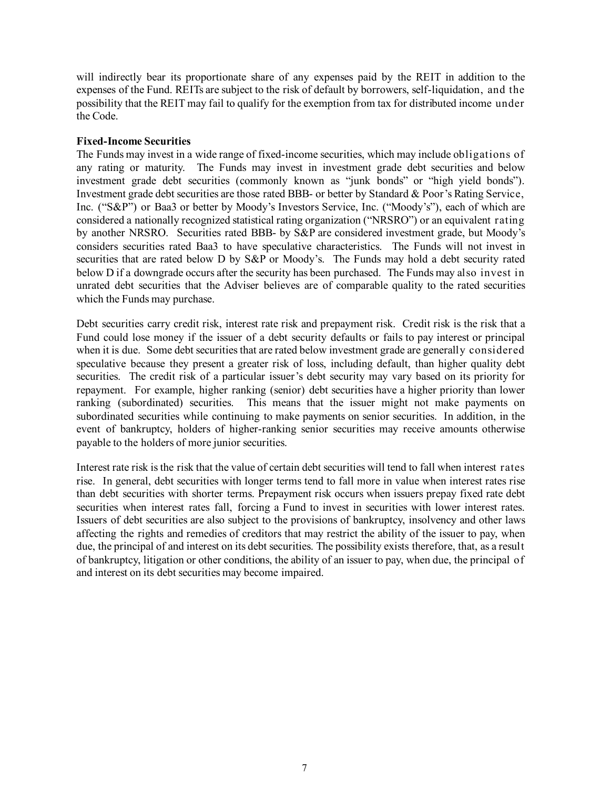will indirectly bear its proportionate share of any expenses paid by the REIT in addition to the expenses of the Fund. REITs are subject to the risk of default by borrowers, self-liquidation, and the possibility that the REIT may fail to qualify for the exemption from tax for distributed income under the Code.

### **Fixed-Income Securities**

The Funds may invest in a wide range of fixed-income securities, which may include obligations of any rating or maturity. The Funds may invest in investment grade debt securities and below investment grade debt securities (commonly known as "junk bonds" or "high yield bonds"). Investment grade debt securities are those rated BBB- or better by Standard & Poor's Rating Service, Inc. ("S&P") or Baa3 or better by Moody's Investors Service, Inc. ("Moody's"), each of which are considered a nationally recognized statistical rating organization ("NRSRO") or an equivalent rating by another NRSRO. Securities rated BBB- by S&P are considered investment grade, but Moody's considers securities rated Baa3 to have speculative characteristics. The Funds will not invest in securities that are rated below D by  $S\&P$  or Moody's. The Funds may hold a debt security rated below D if a downgrade occurs after the security has been purchased. The Funds may also invest in unrated debt securities that the Adviser believes are of comparable quality to the rated securities which the Funds may purchase.

Debt securities carry credit risk, interest rate risk and prepayment risk. Credit risk is the risk that a Fund could lose money if the issuer of a debt security defaults or fails to pay interest or principal when it is due. Some debt securities that are rated below investment grade are generally considered speculative because they present a greater risk of loss, including default, than higher quality debt securities. The credit risk of a particular issuer's debt security may vary based on its priority for repayment. For example, higher ranking (senior) debt securities have a higher priority than lower ranking (subordinated) securities. This means that the issuer might not make payments on subordinated securities while continuing to make payments on senior securities. In addition, in the event of bankruptcy, holders of higher-ranking senior securities may receive amounts otherwise payable to the holders of more junior securities.

Interest rate risk is the risk that the value of certain debt securities will tend to fall when interest rates rise. In general, debt securities with longer terms tend to fall more in value when interest rates rise than debt securities with shorter terms. Prepayment risk occurs when issuers prepay fixed rate debt securities when interest rates fall, forcing a Fund to invest in securities with lower interest rates. Issuers of debt securities are also subject to the provisions of bankruptcy, insolvency and other laws affecting the rights and remedies of creditors that may restrict the ability of the issuer to pay, when due, the principal of and interest on its debt securities. The possibility exists therefore, that, as a result of bankruptcy, litigation or other conditions, the ability of an issuer to pay, when due, the principal of and interest on its debt securities may become impaired.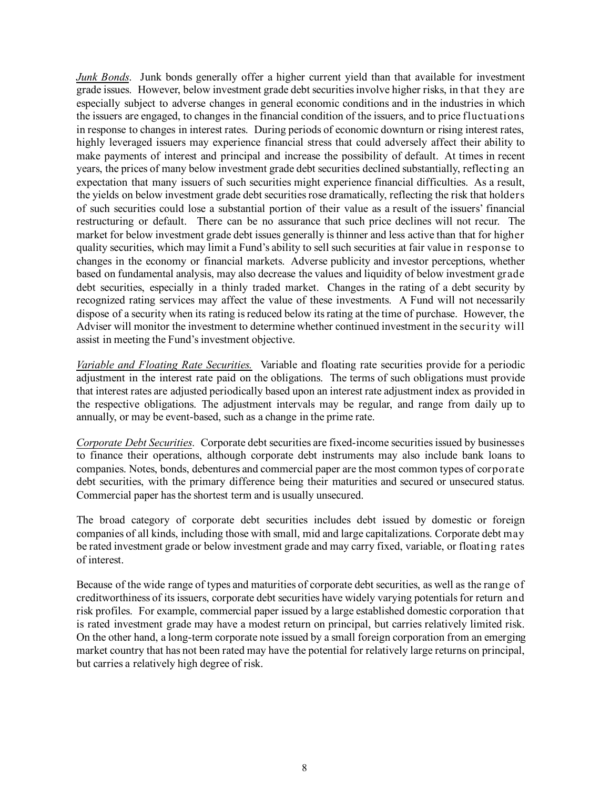*Junk Bonds*. Junk bonds generally offer a higher current yield than that available for investment grade issues. However, below investment grade debt securities involve higher risks, in that they are especially subject to adverse changes in general economic conditions and in the industries in which the issuers are engaged, to changes in the financial condition of the issuers, and to price fluctuations in response to changes in interest rates. During periods of economic downturn or rising interest rates, highly leveraged issuers may experience financial stress that could adversely affect their ability to make payments of interest and principal and increase the possibility of default. At times in recent years, the prices of many below investment grade debt securities declined substantially, reflecting an expectation that many issuers of such securities might experience financial difficulties. As a result, the yields on below investment grade debt securities rose dramatically, reflecting the risk that holders of such securities could lose a substantial portion of their value as a result of the issuers' financial restructuring or default. There can be no assurance that such price declines will not recur. The market for below investment grade debt issues generally is thinner and less active than that for higher quality securities, which may limit a Fund's ability to sell such securities at fair value in response to changes in the economy or financial markets. Adverse publicity and investor perceptions, whether based on fundamental analysis, may also decrease the values and liquidity of below investment grade debt securities, especially in a thinly traded market. Changes in the rating of a debt security by recognized rating services may affect the value of these investments. A Fund will not necessarily dispose of a security when its rating is reduced below its rating at the time of purchase. However, the Adviser will monitor the investment to determine whether continued investment in the security will assist in meeting the Fund's investment objective.

*Variable and Floating Rate Securities.* Variable and floating rate securities provide for a periodic adjustment in the interest rate paid on the obligations. The terms of such obligations must provide that interest rates are adjusted periodically based upon an interest rate adjustment index as provided in the respective obligations. The adjustment intervals may be regular, and range from daily up to annually, or may be event-based, such as a change in the prime rate.

*Corporate Debt Securities*. Corporate debt securities are fixed-income securities issued by businesses to finance their operations, although corporate debt instruments may also include bank loans to companies. Notes, bonds, debentures and commercial paper are the most common types of corporate debt securities, with the primary difference being their maturities and secured or unsecured status. Commercial paper has the shortest term and is usually unsecured.

The broad category of corporate debt securities includes debt issued by domestic or foreign companies of all kinds, including those with small, mid and large capitalizations. Corporate debt may be rated investment grade or below investment grade and may carry fixed, variable, or floating rates of interest.

Because of the wide range of types and maturities of corporate debt securities, as well as the range of creditworthiness of its issuers, corporate debt securities have widely varying potentials for return and risk profiles. For example, commercial paper issued by a large established domestic corporation that is rated investment grade may have a modest return on principal, but carries relatively limited risk. On the other hand, a long-term corporate note issued by a small foreign corporation from an emerging market country that has not been rated may have the potential for relatively large returns on principal, but carries a relatively high degree of risk.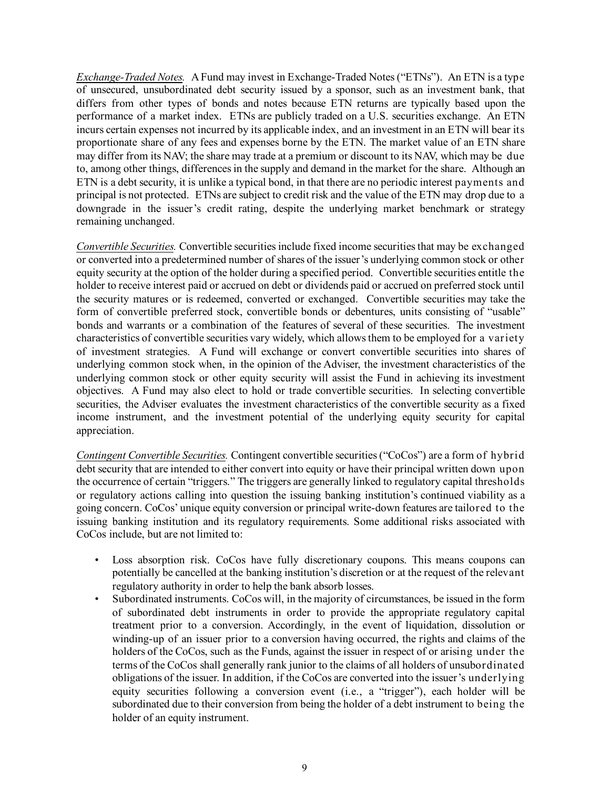*Exchange-Traded Notes.* A Fund may invest in Exchange-Traded Notes ("ETNs"). An ETN is a type of unsecured, unsubordinated debt security issued by a sponsor, such as an investment bank, that differs from other types of bonds and notes because ETN returns are typically based upon the performance of a market index. ETNs are publicly traded on a U.S. securities exchange. An ETN incurs certain expenses not incurred by its applicable index, and an investment in an ETN will bear its proportionate share of any fees and expenses borne by the ETN. The market value of an ETN share may differ from its NAV; the share may trade at a premium or discount to its NAV, which may be due to, among other things, differences in the supply and demand in the market for the share. Although an ETN is a debt security, it is unlike a typical bond, in that there are no periodic interest payments and principal is not protected. ETNs are subject to credit risk and the value of the ETN may drop due to a downgrade in the issuer's credit rating, despite the underlying market benchmark or strategy remaining unchanged.

*Convertible Securities.* Convertible securities include fixed income securities that may be exchanged or converted into a predetermined number of shares of the issuer's underlying common stock or other equity security at the option of the holder during a specified period. Convertible securities entitle the holder to receive interest paid or accrued on debt or dividends paid or accrued on preferred stock until the security matures or is redeemed, converted or exchanged. Convertible securities may take the form of convertible preferred stock, convertible bonds or debentures, units consisting of "usable" bonds and warrants or a combination of the features of several of these securities. The investment characteristics of convertible securities vary widely, which allows them to be employed for a variety of investment strategies. A Fund will exchange or convert convertible securities into shares of underlying common stock when, in the opinion of the Adviser, the investment characteristics of the underlying common stock or other equity security will assist the Fund in achieving its investment objectives. A Fund may also elect to hold or trade convertible securities. In selecting convertible securities, the Adviser evaluates the investment characteristics of the convertible security as a fixed income instrument, and the investment potential of the underlying equity security for capital appreciation.

*Contingent Convertible Securities.* Contingent convertible securities ("CoCos") are a form of hybrid debt security that are intended to either convert into equity or have their principal written down upon the occurrence of certain "triggers." The triggers are generally linked to regulatory capital thresholds or regulatory actions calling into question the issuing banking institution's continued viability as a going concern. CoCos' unique equity conversion or principal write-down features are tailored to the issuing banking institution and its regulatory requirements. Some additional risks associated with CoCos include, but are not limited to:

- Loss absorption risk. CoCos have fully discretionary coupons. This means coupons can potentially be cancelled at the banking institution's discretion or at the request of the relevant regulatory authority in order to help the bank absorb losses.
- Subordinated instruments. CoCos will, in the majority of circumstances, be issued in the form of subordinated debt instruments in order to provide the appropriate regulatory capital treatment prior to a conversion. Accordingly, in the event of liquidation, dissolution or winding-up of an issuer prior to a conversion having occurred, the rights and claims of the holders of the CoCos, such as the Funds, against the issuer in respect of or arising under the terms of the CoCos shall generally rank junior to the claims of all holders of unsubordinated obligations of the issuer. In addition, if the CoCos are converted into the issuer's underlying equity securities following a conversion event (i.e., a "trigger"), each holder will be subordinated due to their conversion from being the holder of a debt instrument to being the holder of an equity instrument.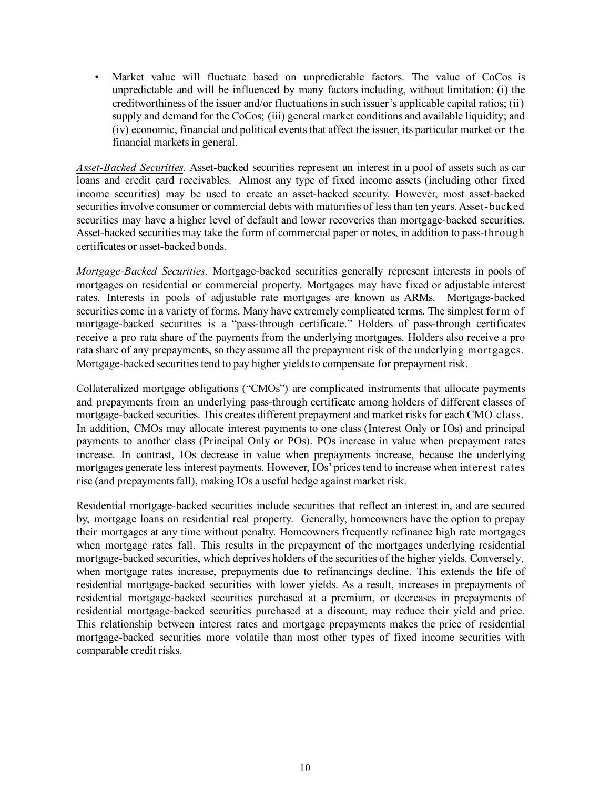Market value will fluctuate based on unpredictable factors. The value of CoCos is unpredictable and will be influenced by many factors including, without limitation: (i) the creditworthiness of the issuer and/or fluctuations in such issuer's applicable capital ratios; (ii) supply and demand for the CoCos; (iii) general market conditions and available liquidity; and (iv) economic, financial and political events that affect the issuer, its particular market or the financial markets in general.

*Asset-Backed Securities.* Asset-backed securities represent an interest in a pool of assets such as car loans and credit card receivables. Almost any type of fixed income assets (including other fixed income securities) may be used to create an asset-backed security. However, most asset-backed securities involve consumer or commercial debts with maturities of less than ten years. Asset-backed securities may have a higher level of default and lower recoveries than mortgage-backed securities. Asset-backed securities may take the form of commercial paper or notes, in addition to pass-through certificates or asset-backed bonds.

*Mortgage-Backed Securities*. Mortgage-backed securities generally represent interests in pools of mortgages on residential or commercial property. Mortgages may have fixed or adjustable interest rates. Interests in pools of adjustable rate mortgages are known as ARMs. Mortgage-backed securities come in a variety of forms. Many have extremely complicated terms. The simplest form of mortgage-backed securities is a "pass-through certificate." Holders of pass-through certificates receive a pro rata share of the payments from the underlying mortgages. Holders also receive a pro rata share of any prepayments, so they assume all the prepayment risk of the underlying mortgages. Mortgage-backed securities tend to pay higher yields to compensate for prepayment risk.

Collateralized mortgage obligations ("CMOs") are complicated instruments that allocate payments and prepayments from an underlying pass-through certificate among holders of different classes of mortgage-backed securities. This creates different prepayment and market risks for each CMO class. In addition, CMOs may allocate interest payments to one class (Interest Only or IOs) and principal payments to another class (Principal Only or POs). POs increase in value when prepayment rates increase. In contrast, IOs decrease in value when prepayments increase, because the underlying mortgages generate less interest payments. However, IOs' prices tend to increase when interest rates rise (and prepayments fall), making IOs a useful hedge against market risk.

Residential mortgage-backed securities include securities that reflect an interest in, and are secured by, mortgage loans on residential real property. Generally, homeowners have the option to prepay their mortgages at any time without penalty. Homeowners frequently refinance high rate mortgages when mortgage rates fall. This results in the prepayment of the mortgages underlying residential mortgage-backed securities, which deprives holders of the securities of the higher yields. Conversely, when mortgage rates increase, prepayments due to refinancings decline. This extends the life of residential mortgage-backed securities with lower yields. As a result, increases in prepayments of residential mortgage-backed securities purchased at a premium, or decreases in prepayments of residential mortgage-backed securities purchased at a discount, may reduce their yield and price. This relationship between interest rates and mortgage prepayments makes the price of residential mortgage-backed securities more volatile than most other types of fixed income securities with comparable credit risks.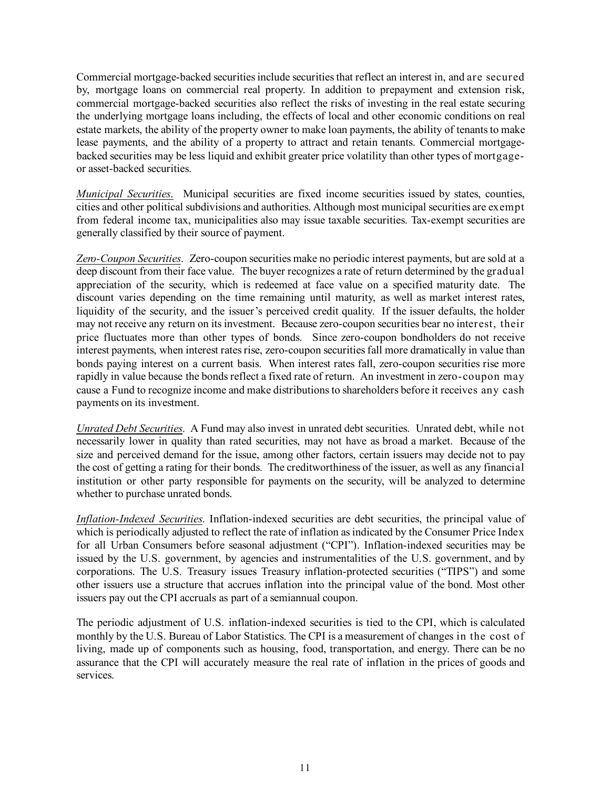Commercial mortgage-backed securities include securities that reflect an interest in, and are secured by, mortgage loans on commercial real property. In addition to prepayment and extension risk, commercial mortgage-backed securities also reflect the risks of investing in the real estate securing the underlying mortgage loans including, the effects of local and other economic conditions on real estate markets, the ability of the property owner to make loan payments, the ability of tenants to make lease payments, and the ability of a property to attract and retain tenants. Commercial mortgagebacked securities may be less liquid and exhibit greater price volatility than other types of mortgageor asset-backed securities.

*Municipal Securities*. Municipal securities are fixed income securities issued by states, counties, cities and other political subdivisions and authorities. Although most municipal securities are exempt from federal income tax, municipalities also may issue taxable securities. Tax-exempt securities are generally classified by their source of payment.

*Zero-Coupon Securities*. Zero-coupon securities make no periodic interest payments, but are sold at a deep discount from their face value. The buyer recognizes a rate of return determined by the gradual appreciation of the security, which is redeemed at face value on a specified maturity date. The discount varies depending on the time remaining until maturity, as well as market interest rates, liquidity of the security, and the issuer's perceived credit quality. If the issuer defaults, the holder may not receive any return on its investment. Because zero-coupon securities bear no interest, their price fluctuates more than other types of bonds. Since zero-coupon bondholders do not receive interest payments, when interest rates rise, zero-coupon securities fall more dramatically in value than bonds paying interest on a current basis. When interest rates fall, zero-coupon securities rise more rapidly in value because the bonds reflect a fixed rate of return. An investment in zero-coupon may cause a Fund to recognize income and make distributions to shareholders before it receives any cash payments on its investment.

*Unrated Debt Securities*. A Fund may also invest in unrated debt securities. Unrated debt, while not necessarily lower in quality than rated securities, may not have as broad a market. Because of the size and perceived demand for the issue, among other factors, certain issuers may decide not to pay the cost of getting a rating for their bonds. The creditworthiness of the issuer, as well as any financial institution or other party responsible for payments on the security, will be analyzed to determine whether to purchase unrated bonds.

*Inflation-Indexed Securities*. Inflation-indexed securities are debt securities, the principal value of which is periodically adjusted to reflect the rate of inflation as indicated by the Consumer Price Index for all Urban Consumers before seasonal adjustment ("CPI"). Inflation-indexed securities may be issued by the U.S. government, by agencies and instrumentalities of the U.S. government, and by corporations. The U.S. Treasury issues Treasury inflation-protected securities ("TIPS") and some other issuers use a structure that accrues inflation into the principal value of the bond. Most other issuers pay out the CPI accruals as part of a semiannual coupon.

The periodic adjustment of U.S. inflation-indexed securities is tied to the CPI, which is calculated monthly by the U.S. Bureau of Labor Statistics. The CPI is a measurement of changes in the cost of living, made up of components such as housing, food, transportation, and energy. There can be no assurance that the CPI will accurately measure the real rate of inflation in the prices of goods and services.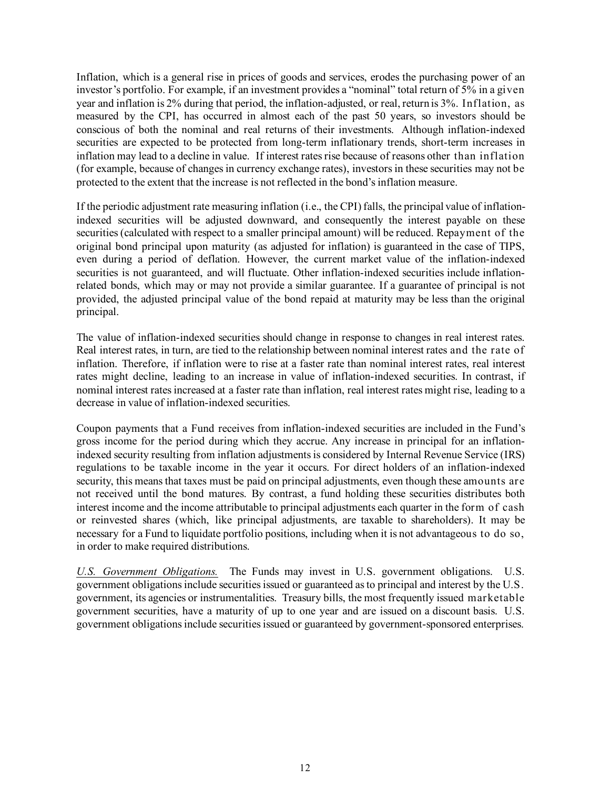Inflation, which is a general rise in prices of goods and services, erodes the purchasing power of an investor's portfolio. For example, if an investment provides a "nominal" total return of 5% in a given year and inflation is 2% during that period, the inflation-adjusted, or real, return is 3%. Inflation, as measured by the CPI, has occurred in almost each of the past 50 years, so investors should be conscious of both the nominal and real returns of their investments. Although inflation-indexed securities are expected to be protected from long-term inflationary trends, short-term increases in inflation may lead to a decline in value. If interest rates rise because of reasons other than inflation (for example, because of changes in currency exchange rates), investors in these securities may not be protected to the extent that the increase is not reflected in the bond's inflation measure.

If the periodic adjustment rate measuring inflation (i.e., the CPI) falls, the principal value of inflationindexed securities will be adjusted downward, and consequently the interest payable on these securities (calculated with respect to a smaller principal amount) will be reduced. Repayment of the original bond principal upon maturity (as adjusted for inflation) is guaranteed in the case of TIPS, even during a period of deflation. However, the current market value of the inflation-indexed securities is not guaranteed, and will fluctuate. Other inflation-indexed securities include inflationrelated bonds, which may or may not provide a similar guarantee. If a guarantee of principal is not provided, the adjusted principal value of the bond repaid at maturity may be less than the original principal.

The value of inflation-indexed securities should change in response to changes in real interest rates. Real interest rates, in turn, are tied to the relationship between nominal interest rates and the rate of inflation. Therefore, if inflation were to rise at a faster rate than nominal interest rates, real interest rates might decline, leading to an increase in value of inflation-indexed securities. In contrast, if nominal interest rates increased at a faster rate than inflation, real interest rates might rise, leading to a decrease in value of inflation-indexed securities.

Coupon payments that a Fund receives from inflation-indexed securities are included in the Fund's gross income for the period during which they accrue. Any increase in principal for an inflationindexed security resulting from inflation adjustments is considered by Internal Revenue Service (IRS) regulations to be taxable income in the year it occurs. For direct holders of an inflation-indexed security, this means that taxes must be paid on principal adjustments, even though these amounts are not received until the bond matures. By contrast, a fund holding these securities distributes both interest income and the income attributable to principal adjustments each quarter in the form of cash or reinvested shares (which, like principal adjustments, are taxable to shareholders). It may be necessary for a Fund to liquidate portfolio positions, including when it is not advantageous to do so, in order to make required distributions.

*U.S. Government Obligations.* The Funds may invest in U.S. government obligations. U.S. government obligations include securities issued or guaranteed as to principal and interest by the U.S. government, its agencies or instrumentalities. Treasury bills, the most frequently issued marketable government securities, have a maturity of up to one year and are issued on a discount basis. U.S. government obligations include securities issued or guaranteed by government-sponsored enterprises.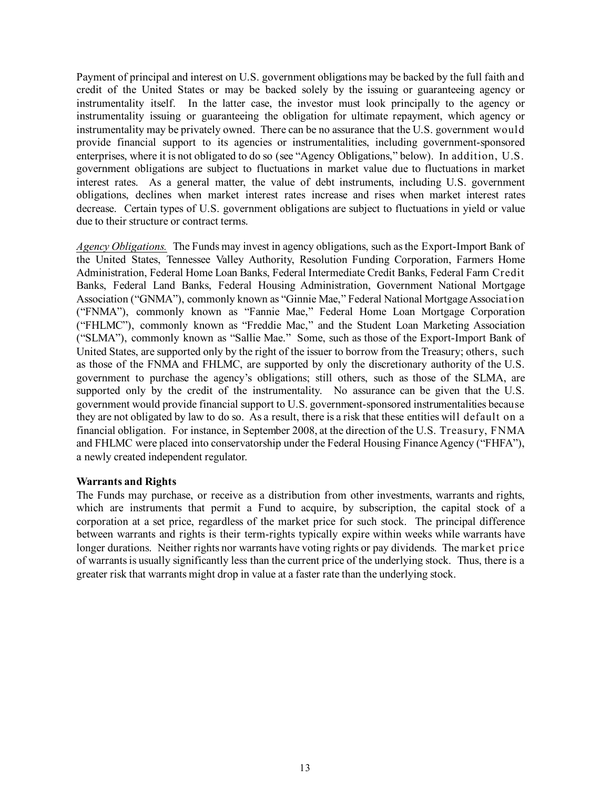Payment of principal and interest on U.S. government obligations may be backed by the full faith and credit of the United States or may be backed solely by the issuing or guaranteeing agency or instrumentality itself. In the latter case, the investor must look principally to the agency or instrumentality issuing or guaranteeing the obligation for ultimate repayment, which agency or instrumentality may be privately owned. There can be no assurance that the U.S. government would provide financial support to its agencies or instrumentalities, including government-sponsored enterprises, where it is not obligated to do so (see "Agency Obligations," below). In addition, U.S. government obligations are subject to fluctuations in market value due to fluctuations in market interest rates. As a general matter, the value of debt instruments, including U.S. government obligations, declines when market interest rates increase and rises when market interest rates decrease. Certain types of U.S. government obligations are subject to fluctuations in yield or value due to their structure or contract terms.

*Agency Obligations.* The Funds may invest in agency obligations, such as the Export-Import Bank of the United States, Tennessee Valley Authority, Resolution Funding Corporation, Farmers Home Administration, Federal Home Loan Banks, Federal Intermediate Credit Banks, Federal Farm Credit Banks, Federal Land Banks, Federal Housing Administration, Government National Mortgage Association ("GNMA"), commonly known as "Ginnie Mae," Federal National Mortgage Association ("FNMA"), commonly known as "Fannie Mae," Federal Home Loan Mortgage Corporation ("FHLMC"), commonly known as "Freddie Mac," and the Student Loan Marketing Association ("SLMA"), commonly known as "Sallie Mae." Some, such as those of the Export-Import Bank of United States, are supported only by the right of the issuer to borrow from the Treasury; others, such as those of the FNMA and FHLMC, are supported by only the discretionary authority of the U.S. government to purchase the agency's obligations; still others, such as those of the SLMA, are supported only by the credit of the instrumentality. No assurance can be given that the U.S. government would provide financial support to U.S. government-sponsored instrumentalities because they are not obligated by law to do so. As a result, there is a risk that these entities will default on a financial obligation. For instance, in September 2008, at the direction of the U.S. Treasury, FNMA and FHLMC were placed into conservatorship under the Federal Housing Finance Agency ("FHFA"), a newly created independent regulator.

### **Warrants and Rights**

The Funds may purchase, or receive as a distribution from other investments, warrants and rights, which are instruments that permit a Fund to acquire, by subscription, the capital stock of a corporation at a set price, regardless of the market price for such stock. The principal difference between warrants and rights is their term-rights typically expire within weeks while warrants have longer durations. Neither rights nor warrants have voting rights or pay dividends. The market price of warrants is usually significantly less than the current price of the underlying stock. Thus, there is a greater risk that warrants might drop in value at a faster rate than the underlying stock.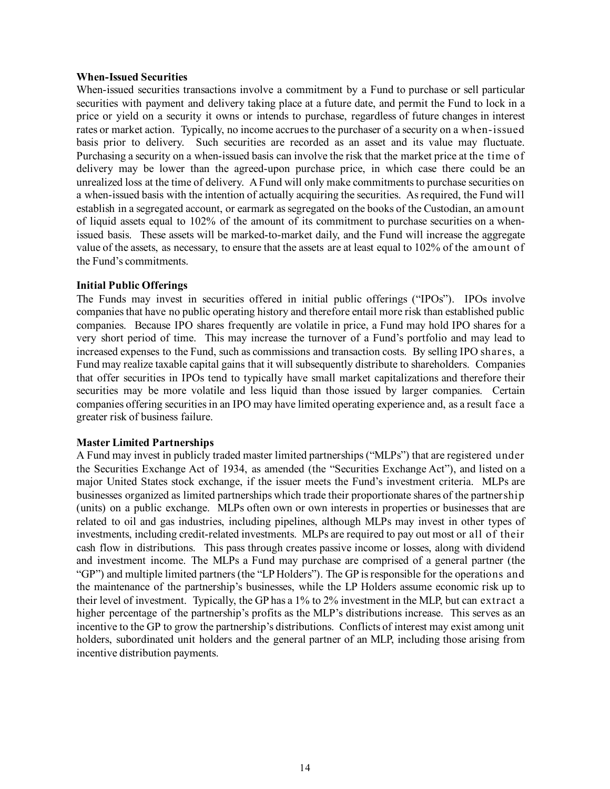#### **When-Issued Securities**

When-issued securities transactions involve a commitment by a Fund to purchase or sell particular securities with payment and delivery taking place at a future date, and permit the Fund to lock in a price or yield on a security it owns or intends to purchase, regardless of future changes in interest rates or market action. Typically, no income accrues to the purchaser of a security on a when-issued basis prior to delivery. Such securities are recorded as an asset and its value may fluctuate. Purchasing a security on a when-issued basis can involve the risk that the market price at the time of delivery may be lower than the agreed-upon purchase price, in which case there could be an unrealized loss at the time of delivery. A Fund will only make commitments to purchase securities on a when-issued basis with the intention of actually acquiring the securities. As required, the Fund will establish in a segregated account, or earmark as segregated on the books of the Custodian, an amount of liquid assets equal to 102% of the amount of its commitment to purchase securities on a whenissued basis. These assets will be marked-to-market daily, and the Fund will increase the aggregate value of the assets, as necessary, to ensure that the assets are at least equal to 102% of the amount of the Fund's commitments.

### **Initial Public Offerings**

The Funds may invest in securities offered in initial public offerings ("IPOs"). IPOs involve companies that have no public operating history and therefore entail more risk than established public companies. Because IPO shares frequently are volatile in price, a Fund may hold IPO shares for a very short period of time. This may increase the turnover of a Fund's portfolio and may lead to increased expenses to the Fund, such as commissions and transaction costs. By selling IPO shares, a Fund may realize taxable capital gains that it will subsequently distribute to shareholders. Companies that offer securities in IPOs tend to typically have small market capitalizations and therefore their securities may be more volatile and less liquid than those issued by larger companies. Certain companies offering securities in an IPO may have limited operating experience and, as a result face a greater risk of business failure.

### **Master Limited Partnerships**

A Fund may invest in publicly traded master limited partnerships ("MLPs") that are registered under the Securities Exchange Act of 1934, as amended (the "Securities Exchange Act"), and listed on a major United States stock exchange, if the issuer meets the Fund's investment criteria. MLPs are businesses organized as limited partnerships which trade their proportionate shares of the partnership (units) on a public exchange. MLPs often own or own interests in properties or businesses that are related to oil and gas industries, including pipelines, although MLPs may invest in other types of investments, including credit-related investments. MLPs are required to pay out most or all of their cash flow in distributions. This pass through creates passive income or losses, along with dividend and investment income. The MLPs a Fund may purchase are comprised of a general partner (the "GP") and multiple limited partners (the "LP Holders"). The GP is responsible for the operations and the maintenance of the partnership's businesses, while the LP Holders assume economic risk up to their level of investment. Typically, the GP has a 1% to 2% investment in the MLP, but can extract a higher percentage of the partnership's profits as the MLP's distributions increase. This serves as an incentive to the GP to grow the partnership's distributions. Conflicts of interest may exist among unit holders, subordinated unit holders and the general partner of an MLP, including those arising from incentive distribution payments.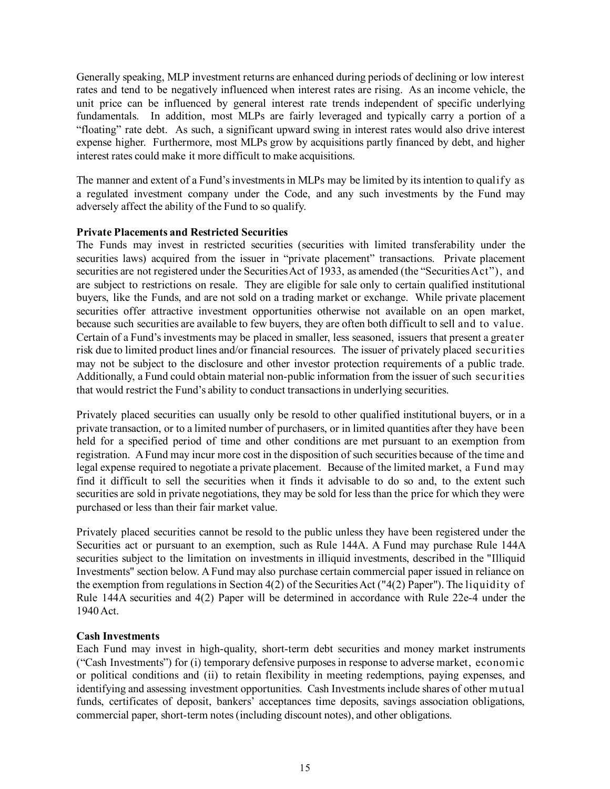Generally speaking, MLP investment returns are enhanced during periods of declining or low interest rates and tend to be negatively influenced when interest rates are rising. As an income vehicle, the unit price can be influenced by general interest rate trends independent of specific underlying fundamentals. In addition, most MLPs are fairly leveraged and typically carry a portion of a "floating" rate debt. As such, a significant upward swing in interest rates would also drive interest expense higher. Furthermore, most MLPs grow by acquisitions partly financed by debt, and higher interest rates could make it more difficult to make acquisitions.

The manner and extent of a Fund's investments in MLPs may be limited by its intention to qualify as a regulated investment company under the Code, and any such investments by the Fund may adversely affect the ability of the Fund to so qualify.

#### **Private Placements and Restricted Securities**

The Funds may invest in restricted securities (securities with limited transferability under the securities laws) acquired from the issuer in "private placement" transactions. Private placement securities are not registered under the Securities Act of 1933, as amended (the "Securities Act"), and are subject to restrictions on resale. They are eligible for sale only to certain qualified institutional buyers, like the Funds, and are not sold on a trading market or exchange. While private placement securities offer attractive investment opportunities otherwise not available on an open market, because such securities are available to few buyers, they are often both difficult to sell and to value. Certain of a Fund's investments may be placed in smaller, less seasoned, issuers that present a greater risk due to limited product lines and/or financial resources. The issuer of privately placed securities may not be subject to the disclosure and other investor protection requirements of a public trade. Additionally, a Fund could obtain material non-public information from the issuer of such securities that would restrict the Fund's ability to conduct transactions in underlying securities.

Privately placed securities can usually only be resold to other qualified institutional buyers, or in a private transaction, or to a limited number of purchasers, or in limited quantities after they have been held for a specified period of time and other conditions are met pursuant to an exemption from registration. A Fund may incur more cost in the disposition of such securities because of the time and legal expense required to negotiate a private placement. Because of the limited market, a Fund may find it difficult to sell the securities when it finds it advisable to do so and, to the extent such securities are sold in private negotiations, they may be sold for less than the price for which they were purchased or less than their fair market value.

Privately placed securities cannot be resold to the public unless they have been registered under the Securities act or pursuant to an exemption, such as Rule 144A. A Fund may purchase Rule 144A securities subject to the limitation on investments in illiquid investments, described in the "Illiquid Investments" section below. A Fund may also purchase certain commercial paper issued in reliance on the exemption from regulations in Section 4(2) of the Securities Act ("4(2) Paper"). The liquidity of Rule 144A securities and 4(2) Paper will be determined in accordance with Rule 22e-4 under the 1940 Act.

### **Cash Investments**

Each Fund may invest in high-quality, short-term debt securities and money market instruments ("Cash Investments") for (i) temporary defensive purposes in response to adverse market, economic or political conditions and (ii) to retain flexibility in meeting redemptions, paying expenses, and identifying and assessing investment opportunities. Cash Investments include shares of other mutual funds, certificates of deposit, bankers' acceptances time deposits, savings association obligations, commercial paper, short-term notes (including discount notes), and other obligations.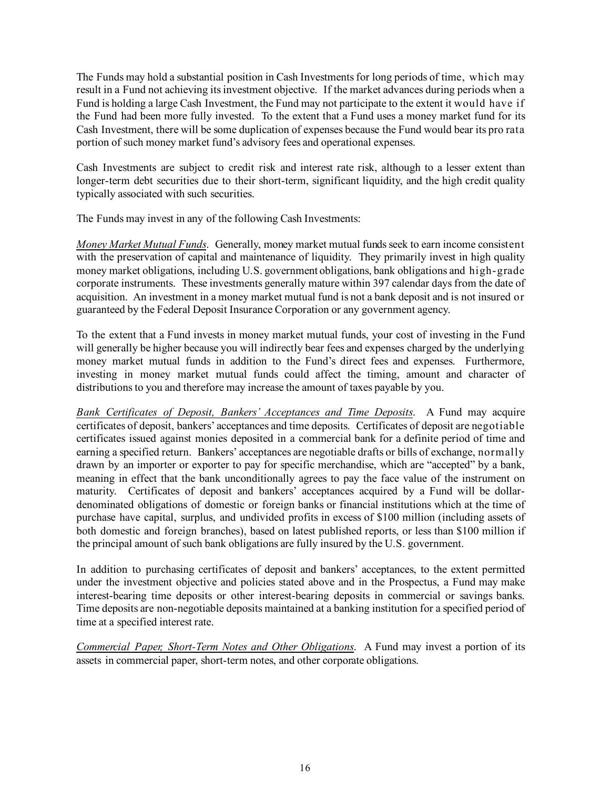The Funds may hold a substantial position in Cash Investments for long periods of time, which may result in a Fund not achieving its investment objective. If the market advances during periods when a Fund is holding a large Cash Investment, the Fund may not participate to the extent it would have if the Fund had been more fully invested. To the extent that a Fund uses a money market fund for its Cash Investment, there will be some duplication of expenses because the Fund would bear its pro rata portion of such money market fund's advisory fees and operational expenses.

Cash Investments are subject to credit risk and interest rate risk, although to a lesser extent than longer-term debt securities due to their short-term, significant liquidity, and the high credit quality typically associated with such securities.

The Funds may invest in any of the following Cash Investments:

*Money Market Mutual Funds*. Generally, money market mutual funds seek to earn income consistent with the preservation of capital and maintenance of liquidity. They primarily invest in high quality money market obligations, including U.S. government obligations, bank obligations and high-grade corporate instruments. These investments generally mature within 397 calendar days from the date of acquisition. An investment in a money market mutual fund is not a bank deposit and is not insured or guaranteed by the Federal Deposit Insurance Corporation or any government agency.

To the extent that a Fund invests in money market mutual funds, your cost of investing in the Fund will generally be higher because you will indirectly bear fees and expenses charged by the underlying money market mutual funds in addition to the Fund's direct fees and expenses. Furthermore, investing in money market mutual funds could affect the timing, amount and character of distributions to you and therefore may increase the amount of taxes payable by you.

*Bank Certificates of Deposit, Bankers' Acceptances and Time Deposits*. A Fund may acquire certificates of deposit, bankers' acceptances and time deposits. Certificates of deposit are negotiable certificates issued against monies deposited in a commercial bank for a definite period of time and earning a specified return. Bankers' acceptances are negotiable drafts or bills of exchange, normally drawn by an importer or exporter to pay for specific merchandise, which are "accepted" by a bank, meaning in effect that the bank unconditionally agrees to pay the face value of the instrument on maturity. Certificates of deposit and bankers' acceptances acquired by a Fund will be dollardenominated obligations of domestic or foreign banks or financial institutions which at the time of purchase have capital, surplus, and undivided profits in excess of \$100 million (including assets of both domestic and foreign branches), based on latest published reports, or less than \$100 million if the principal amount of such bank obligations are fully insured by the U.S. government.

In addition to purchasing certificates of deposit and bankers' acceptances, to the extent permitted under the investment objective and policies stated above and in the Prospectus, a Fund may make interest-bearing time deposits or other interest-bearing deposits in commercial or savings banks. Time deposits are non-negotiable deposits maintained at a banking institution for a specified period of time at a specified interest rate.

*Commercial Paper, Short-Term Notes and Other Obligations*. A Fund may invest a portion of its assets in commercial paper, short-term notes, and other corporate obligations.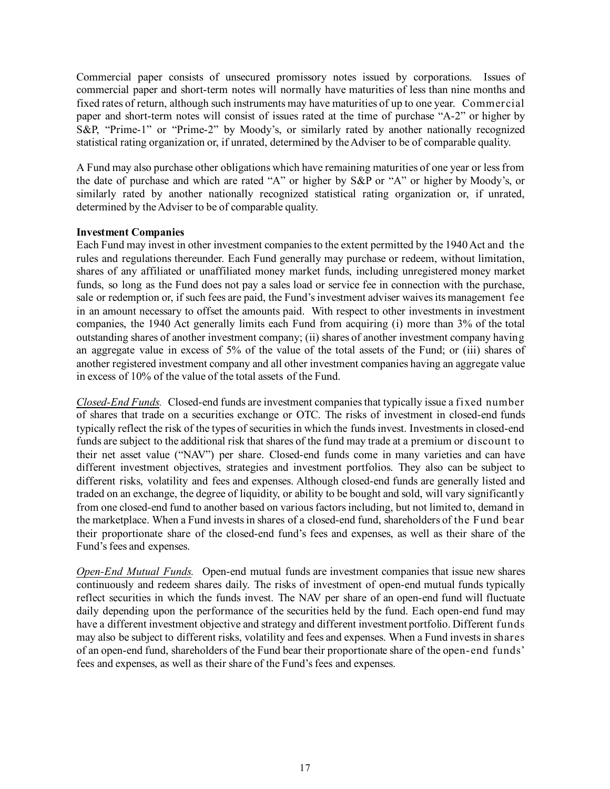Commercial paper consists of unsecured promissory notes issued by corporations. Issues of commercial paper and short-term notes will normally have maturities of less than nine months and fixed rates of return, although such instruments may have maturities of up to one year. Commercial paper and short-term notes will consist of issues rated at the time of purchase "A-2" or higher by S&P, "Prime-1" or "Prime-2" by Moody's, or similarly rated by another nationally recognized statistical rating organization or, if unrated, determined by the Adviser to be of comparable quality.

A Fund may also purchase other obligations which have remaining maturities of one year or less from the date of purchase and which are rated "A" or higher by S&P or "A" or higher by Moody's, or similarly rated by another nationally recognized statistical rating organization or, if unrated, determined by the Adviser to be of comparable quality.

### **Investment Companies**

Each Fund may invest in other investment companies to the extent permitted by the 1940 Act and the rules and regulations thereunder. Each Fund generally may purchase or redeem, without limitation, shares of any affiliated or unaffiliated money market funds, including unregistered money market funds, so long as the Fund does not pay a sales load or service fee in connection with the purchase, sale or redemption or, if such fees are paid, the Fund's investment adviser waives its management fee in an amount necessary to offset the amounts paid. With respect to other investments in investment companies, the 1940 Act generally limits each Fund from acquiring (i) more than 3% of the total outstanding shares of another investment company; (ii) shares of another investment company having an aggregate value in excess of 5% of the value of the total assets of the Fund; or (iii) shares of another registered investment company and all other investment companies having an aggregate value in excess of 10% of the value of the total assets of the Fund.

*Closed-End Funds.* Closed-end funds are investment companies that typically issue a fixed number of shares that trade on a securities exchange or OTC. The risks of investment in closed-end funds typically reflect the risk of the types of securities in which the funds invest. Investments in closed-end funds are subject to the additional risk that shares of the fund may trade at a premium or discount to their net asset value ("NAV") per share. Closed-end funds come in many varieties and can have different investment objectives, strategies and investment portfolios. They also can be subject to different risks, volatility and fees and expenses. Although closed-end funds are generally listed and traded on an exchange, the degree of liquidity, or ability to be bought and sold, will vary significantly from one closed-end fund to another based on various factors including, but not limited to, demand in the marketplace. When a Fund invests in shares of a closed-end fund, shareholders of the Fund bear their proportionate share of the closed-end fund's fees and expenses, as well as their share of the Fund's fees and expenses.

*Open-End Mutual Funds.* Open-end mutual funds are investment companies that issue new shares continuously and redeem shares daily. The risks of investment of open-end mutual funds typically reflect securities in which the funds invest. The NAV per share of an open-end fund will fluctuate daily depending upon the performance of the securities held by the fund. Each open-end fund may have a different investment objective and strategy and different investment portfolio. Different funds may also be subject to different risks, volatility and fees and expenses. When a Fund invests in shares of an open-end fund, shareholders of the Fund bear their proportionate share of the open-end funds' fees and expenses, as well as their share of the Fund's fees and expenses.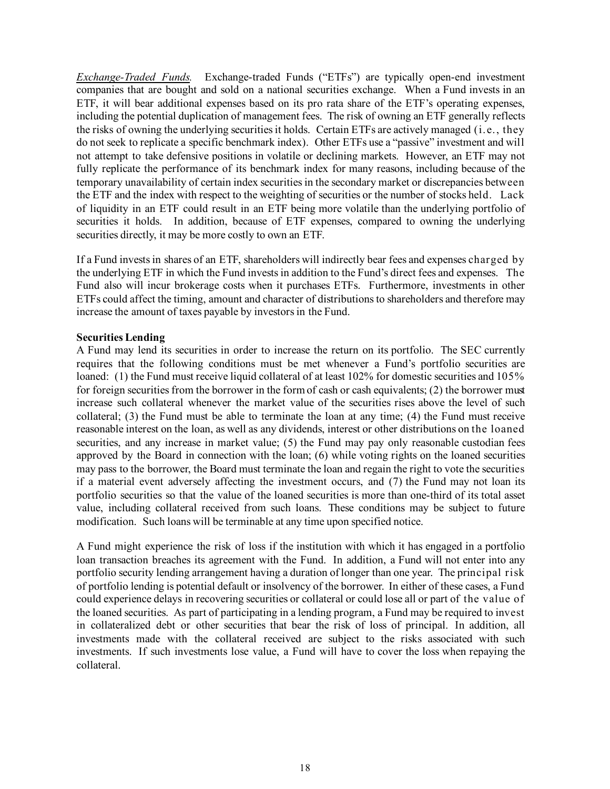*Exchange-Traded Funds.* Exchange-traded Funds ("ETFs") are typically open-end investment companies that are bought and sold on a national securities exchange. When a Fund invests in an ETF, it will bear additional expenses based on its pro rata share of the ETF's operating expenses, including the potential duplication of management fees. The risk of owning an ETF generally reflects the risks of owning the underlying securities it holds. Certain ETFs are actively managed (i.e., they do not seek to replicate a specific benchmark index). Other ETFs use a "passive" investment and will not attempt to take defensive positions in volatile or declining markets. However, an ETF may not fully replicate the performance of its benchmark index for many reasons, including because of the temporary unavailability of certain index securities in the secondary market or discrepancies between the ETF and the index with respect to the weighting of securities or the number of stocks held. Lack of liquidity in an ETF could result in an ETF being more volatile than the underlying portfolio of securities it holds. In addition, because of ETF expenses, compared to owning the underlying securities directly, it may be more costly to own an ETF.

If a Fund invests in shares of an ETF, shareholders will indirectly bear fees and expenses charged by the underlying ETF in which the Fund invests in addition to the Fund's direct fees and expenses. The Fund also will incur brokerage costs when it purchases ETFs. Furthermore, investments in other ETFs could affect the timing, amount and character of distributions to shareholders and therefore may increase the amount of taxes payable by investors in the Fund.

### **Securities Lending**

A Fund may lend its securities in order to increase the return on its portfolio. The SEC currently requires that the following conditions must be met whenever a Fund's portfolio securities are loaned: (1) the Fund must receive liquid collateral of at least 102% for domestic securities and 105% for foreign securities from the borrower in the form of cash or cash equivalents; (2) the borrower must increase such collateral whenever the market value of the securities rises above the level of such collateral; (3) the Fund must be able to terminate the loan at any time; (4) the Fund must receive reasonable interest on the loan, as well as any dividends, interest or other distributions on the loaned securities, and any increase in market value; (5) the Fund may pay only reasonable custodian fees approved by the Board in connection with the loan; (6) while voting rights on the loaned securities may pass to the borrower, the Board must terminate the loan and regain the right to vote the securities if a material event adversely affecting the investment occurs, and (7) the Fund may not loan its portfolio securities so that the value of the loaned securities is more than one-third of its total asset value, including collateral received from such loans. These conditions may be subject to future modification. Such loans will be terminable at any time upon specified notice.

A Fund might experience the risk of loss if the institution with which it has engaged in a portfolio loan transaction breaches its agreement with the Fund. In addition, a Fund will not enter into any portfolio security lending arrangement having a duration of longer than one year. The principal risk of portfolio lending is potential default or insolvency of the borrower. In either of these cases, a Fund could experience delays in recovering securities or collateral or could lose all or part of the value of the loaned securities. As part of participating in a lending program, a Fund may be required to invest in collateralized debt or other securities that bear the risk of loss of principal. In addition, all investments made with the collateral received are subject to the risks associated with such investments. If such investments lose value, a Fund will have to cover the loss when repaying the collateral.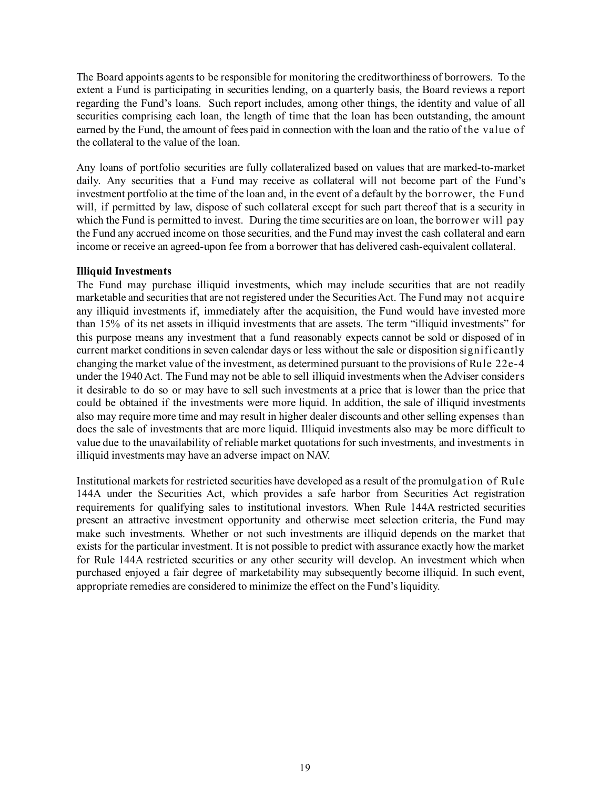The Board appoints agents to be responsible for monitoring the creditworthiness of borrowers. To the extent a Fund is participating in securities lending, on a quarterly basis, the Board reviews a report regarding the Fund's loans. Such report includes, among other things, the identity and value of all securities comprising each loan, the length of time that the loan has been outstanding, the amount earned by the Fund, the amount of fees paid in connection with the loan and the ratio of the value of the collateral to the value of the loan.

Any loans of portfolio securities are fully collateralized based on values that are marked-to-market daily. Any securities that a Fund may receive as collateral will not become part of the Fund's investment portfolio at the time of the loan and, in the event of a default by the borrower, the Fund will, if permitted by law, dispose of such collateral except for such part thereof that is a security in which the Fund is permitted to invest. During the time securities are on loan, the borrower will pay the Fund any accrued income on those securities, and the Fund may invest the cash collateral and earn income or receive an agreed-upon fee from a borrower that has delivered cash-equivalent collateral.

### **Illiquid Investments**

The Fund may purchase illiquid investments, which may include securities that are not readily marketable and securities that are not registered under the Securities Act. The Fund may not acquire any illiquid investments if, immediately after the acquisition, the Fund would have invested more than 15% of its net assets in illiquid investments that are assets. The term "illiquid investments" for this purpose means any investment that a fund reasonably expects cannot be sold or disposed of in current market conditions in seven calendar days or less without the sale or disposition significantly changing the market value of the investment, as determined pursuant to the provisions of Rule 22e-4 under the 1940 Act. The Fund may not be able to sell illiquid investments when the Adviser considers it desirable to do so or may have to sell such investments at a price that is lower than the price that could be obtained if the investments were more liquid. In addition, the sale of illiquid investments also may require more time and may result in higher dealer discounts and other selling expenses than does the sale of investments that are more liquid. Illiquid investments also may be more difficult to value due to the unavailability of reliable market quotations for such investments, and investments in illiquid investments may have an adverse impact on NAV.

Institutional markets for restricted securities have developed as a result of the promulgation of Rule 144A under the Securities Act, which provides a safe harbor from Securities Act registration requirements for qualifying sales to institutional investors. When Rule 144A restricted securities present an attractive investment opportunity and otherwise meet selection criteria, the Fund may make such investments. Whether or not such investments are illiquid depends on the market that exists for the particular investment. It is not possible to predict with assurance exactly how the market for Rule 144A restricted securities or any other security will develop. An investment which when purchased enjoyed a fair degree of marketability may subsequently become illiquid. In such event, appropriate remedies are considered to minimize the effect on the Fund's liquidity.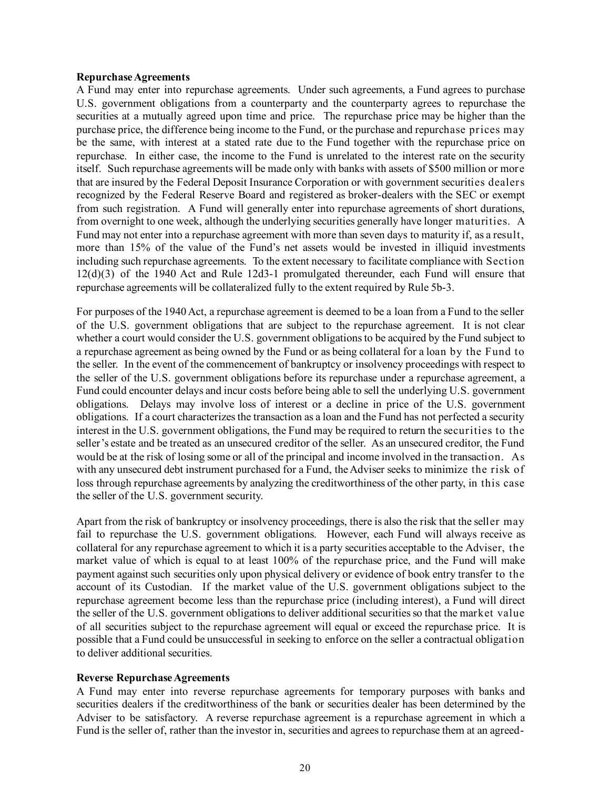#### **Repurchase Agreements**

A Fund may enter into repurchase agreements. Under such agreements, a Fund agrees to purchase U.S. government obligations from a counterparty and the counterparty agrees to repurchase the securities at a mutually agreed upon time and price. The repurchase price may be higher than the purchase price, the difference being income to the Fund, or the purchase and repurchase prices may be the same, with interest at a stated rate due to the Fund together with the repurchase price on repurchase. In either case, the income to the Fund is unrelated to the interest rate on the security itself. Such repurchase agreements will be made only with banks with assets of \$500 million or more that are insured by the Federal Deposit Insurance Corporation or with government securities dealers recognized by the Federal Reserve Board and registered as broker-dealers with the SEC or exempt from such registration. A Fund will generally enter into repurchase agreements of short durations, from overnight to one week, although the underlying securities generally have longer maturities. A Fund may not enter into a repurchase agreement with more than seven days to maturity if, as a result, more than 15% of the value of the Fund's net assets would be invested in illiquid investments including such repurchase agreements. To the extent necessary to facilitate compliance with Section 12(d)(3) of the 1940 Act and Rule 12d3-1 promulgated thereunder, each Fund will ensure that repurchase agreements will be collateralized fully to the extent required by Rule 5b-3.

For purposes of the 1940 Act, a repurchase agreement is deemed to be a loan from a Fund to the seller of the U.S. government obligations that are subject to the repurchase agreement. It is not clear whether a court would consider the U.S. government obligations to be acquired by the Fund subject to a repurchase agreement as being owned by the Fund or as being collateral for a loan by the Fund to the seller. In the event of the commencement of bankruptcy or insolvency proceedings with respect to the seller of the U.S. government obligations before its repurchase under a repurchase agreement, a Fund could encounter delays and incur costs before being able to sell the underlying U.S. government obligations. Delays may involve loss of interest or a decline in price of the U.S. government obligations. If a court characterizes the transaction as a loan and the Fund has not perfected a security interest in the U.S. government obligations, the Fund may be required to return the securities to the seller's estate and be treated as an unsecured creditor of the seller. As an unsecured creditor, the Fund would be at the risk of losing some or all of the principal and income involved in the transaction. As with any unsecured debt instrument purchased for a Fund, the Adviser seeks to minimize the risk of loss through repurchase agreements by analyzing the creditworthiness of the other party, in this case the seller of the U.S. government security.

Apart from the risk of bankruptcy or insolvency proceedings, there is also the risk that the seller may fail to repurchase the U.S. government obligations. However, each Fund will always receive as collateral for any repurchase agreement to which it is a party securities acceptable to the Adviser, the market value of which is equal to at least 100% of the repurchase price, and the Fund will make payment against such securities only upon physical delivery or evidence of book entry transfer to the account of its Custodian. If the market value of the U.S. government obligations subject to the repurchase agreement become less than the repurchase price (including interest), a Fund will direct the seller of the U.S. government obligations to deliver additional securities so that the market value of all securities subject to the repurchase agreement will equal or exceed the repurchase price. It is possible that a Fund could be unsuccessful in seeking to enforce on the seller a contractual obligation to deliver additional securities.

### **Reverse Repurchase Agreements**

A Fund may enter into reverse repurchase agreements for temporary purposes with banks and securities dealers if the creditworthiness of the bank or securities dealer has been determined by the Adviser to be satisfactory. A reverse repurchase agreement is a repurchase agreement in which a Fund is the seller of, rather than the investor in, securities and agrees to repurchase them at an agreed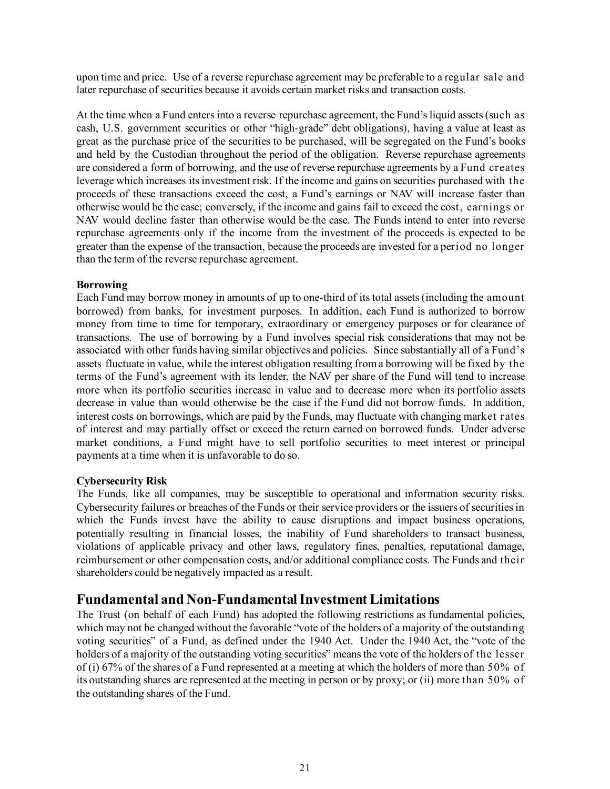upon time and price. Use of a reverse repurchase agreement may be preferable to a regular sale and later repurchase of securities because it avoids certain market risks and transaction costs.

At the time when a Fund enters into a reverse repurchase agreement, the Fund's liquid assets (such as cash, U.S. government securities or other "high-grade" debt obligations), having a value at least as great as the purchase price of the securities to be purchased, will be segregated on the Fund's books and held by the Custodian throughout the period of the obligation. Reverse repurchase agreements are considered a form of borrowing, and the use of reverse repurchase agreements by a Fund creates leverage which increases its investment risk. If the income and gains on securities purchased with the proceeds of these transactions exceed the cost, a Fund's earnings or NAV will increase faster than otherwise would be the case; conversely, if the income and gains fail to exceed the cost, earnings or NAV would decline faster than otherwise would be the case. The Funds intend to enter into reverse repurchase agreements only if the income from the investment of the proceeds is expected to be greater than the expense of the transaction, because the proceeds are invested for a period no longer than the term of the reverse repurchase agreement.

### **Borrowing**

Each Fund may borrow money in amounts of up to one-third of its total assets (including the amount borrowed) from banks, for investment purposes. In addition, each Fund is authorized to borrow money from time to time for temporary, extraordinary or emergency purposes or for clearance of transactions. The use of borrowing by a Fund involves special risk considerations that may not be associated with other funds having similar objectives and policies. Since substantially all of a Fund's assets fluctuate in value, while the interest obligation resulting from a borrowing will be fixed by the terms of the Fund's agreement with its lender, the NAV per share of the Fund will tend to increase more when its portfolio securities increase in value and to decrease more when its portfolio assets decrease in value than would otherwise be the case if the Fund did not borrow funds. In addition, interest costs on borrowings, which are paid by the Funds, may fluctuate with changing market rates of interest and may partially offset or exceed the return earned on borrowed funds. Under adverse market conditions, a Fund might have to sell portfolio securities to meet interest or principal payments at a time when it is unfavorable to do so.

### **Cybersecurity Risk**

The Funds, like all companies, may be susceptible to operational and information security risks. Cybersecurity failures or breaches of the Funds or their service providers or the issuers of securities in which the Funds invest have the ability to cause disruptions and impact business operations, potentially resulting in financial losses, the inability of Fund shareholders to transact business, violations of applicable privacy and other laws, regulatory fines, penalties, reputational damage, reimbursement or other compensation costs, and/or additional compliance costs. The Funds and their shareholders could be negatively impacted as a result.

# <span id="page-22-0"></span>**Fundamental and Non-Fundamental Investment Limitations**

The Trust (on behalf of each Fund) has adopted the following restrictions as fundamental policies, which may not be changed without the favorable "vote of the holders of a majority of the outstanding voting securities" of a Fund, as defined under the 1940 Act. Under the 1940 Act, the "vote of the holders of a majority of the outstanding voting securities" means the vote of the holders of the lesser of (i) 67% of the shares of a Fund represented at a meeting at which the holders of more than 50% of its outstanding shares are represented at the meeting in person or by proxy; or (ii) more than 50% of the outstanding shares of the Fund.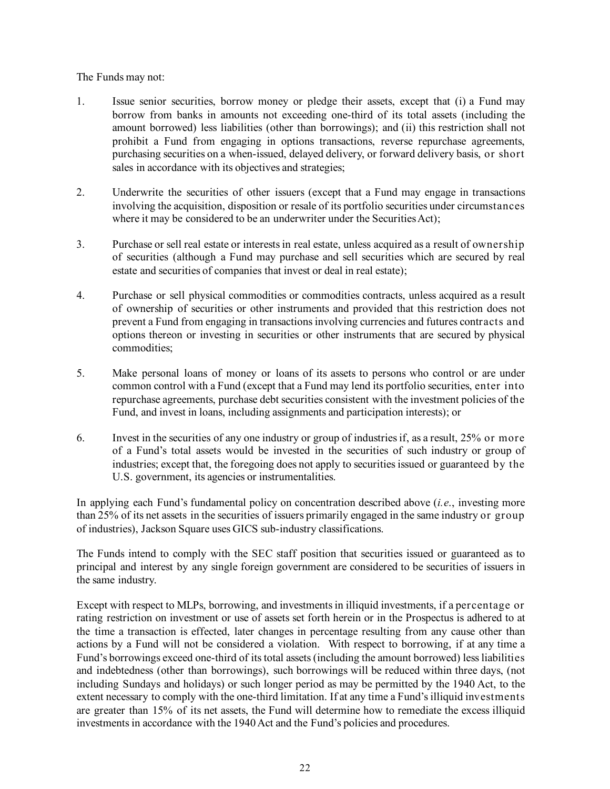### The Funds may not:

- 1. Issue senior securities, borrow money or pledge their assets, except that (i) a Fund may borrow from banks in amounts not exceeding one-third of its total assets (including the amount borrowed) less liabilities (other than borrowings); and (ii) this restriction shall not prohibit a Fund from engaging in options transactions, reverse repurchase agreements, purchasing securities on a when-issued, delayed delivery, or forward delivery basis, or short sales in accordance with its objectives and strategies;
- 2. Underwrite the securities of other issuers (except that a Fund may engage in transactions involving the acquisition, disposition or resale of its portfolio securities under circumstances where it may be considered to be an underwriter under the Securities Act);
- 3. Purchase or sell real estate or interests in real estate, unless acquired as a result of ownership of securities (although a Fund may purchase and sell securities which are secured by real estate and securities of companies that invest or deal in real estate);
- 4. Purchase or sell physical commodities or commodities contracts, unless acquired as a result of ownership of securities or other instruments and provided that this restriction does not prevent a Fund from engaging in transactions involving currencies and futures contracts and options thereon or investing in securities or other instruments that are secured by physical commodities;
- 5. Make personal loans of money or loans of its assets to persons who control or are under common control with a Fund (except that a Fund may lend its portfolio securities, enter into repurchase agreements, purchase debt securities consistent with the investment policies of the Fund, and invest in loans, including assignments and participation interests); or
- 6. Invest in the securities of any one industry or group of industries if, as a result, 25% or more of a Fund's total assets would be invested in the securities of such industry or group of industries; except that, the foregoing does not apply to securities issued or guaranteed by the U.S. government, its agencies or instrumentalities.

In applying each Fund's fundamental policy on concentration described above (*i.e*., investing more than 25% of its net assets in the securities of issuers primarily engaged in the same industry or group of industries), Jackson Square uses GICS sub-industry classifications.

The Funds intend to comply with the SEC staff position that securities issued or guaranteed as to principal and interest by any single foreign government are considered to be securities of issuers in the same industry.

Except with respect to MLPs, borrowing, and investments in illiquid investments, if a percentage or rating restriction on investment or use of assets set forth herein or in the Prospectus is adhered to at the time a transaction is effected, later changes in percentage resulting from any cause other than actions by a Fund will not be considered a violation. With respect to borrowing, if at any time a Fund's borrowings exceed one-third of its total assets (including the amount borrowed) less liabilities and indebtedness (other than borrowings), such borrowings will be reduced within three days, (not including Sundays and holidays) or such longer period as may be permitted by the 1940 Act, to the extent necessary to comply with the one-third limitation. If at any time a Fund's illiquid investments are greater than 15% of its net assets, the Fund will determine how to remediate the excess illiquid investments in accordance with the 1940 Act and the Fund's policies and procedures.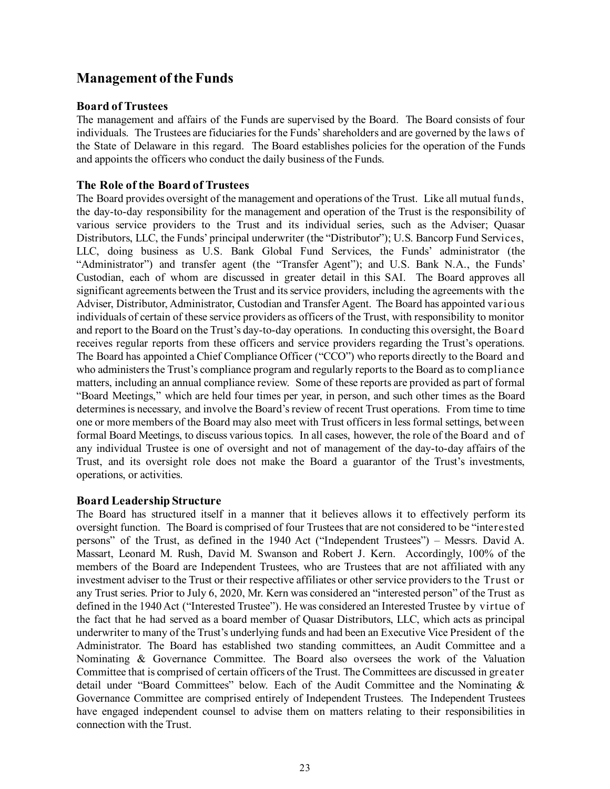# <span id="page-24-0"></span>**Management of the Funds**

### <span id="page-24-1"></span>**Board of Trustees**

The management and affairs of the Funds are supervised by the Board. The Board consists of four individuals. The Trustees are fiduciaries for the Funds' shareholders and are governed by the laws of the State of Delaware in this regard. The Board establishes policies for the operation of the Funds and appoints the officers who conduct the daily business of the Funds.

### <span id="page-24-2"></span>**The Role of the Board of Trustees**

The Board provides oversight of the management and operations of the Trust. Like all mutual funds, the day-to-day responsibility for the management and operation of the Trust is the responsibility of various service providers to the Trust and its individual series, such as the Adviser; Quasar Distributors, LLC, the Funds' principal underwriter (the "Distributor"); U.S. Bancorp Fund Services, LLC, doing business as U.S. Bank Global Fund Services, the Funds' administrator (the "Administrator") and transfer agent (the "Transfer Agent"); and U.S. Bank N.A., the Funds' Custodian, each of whom are discussed in greater detail in this SAI. The Board approves all significant agreements between the Trust and its service providers, including the agreements with the Adviser, Distributor, Administrator, Custodian and Transfer Agent. The Board has appointed various individuals of certain of these service providers as officers of the Trust, with responsibility to monitor and report to the Board on the Trust's day-to-day operations. In conducting this oversight, the Board receives regular reports from these officers and service providers regarding the Trust's operations. The Board has appointed a Chief Compliance Officer ("CCO") who reports directly to the Board and who administers the Trust's compliance program and regularly reports to the Board as to compliance matters, including an annual compliance review. Some of these reports are provided as part of formal "Board Meetings," which are held four times per year, in person, and such other times as the Board determines is necessary, and involve the Board's review of recent Trust operations. From time to time one or more members of the Board may also meet with Trust officers in less formal settings, between formal Board Meetings, to discuss various topics. In all cases, however, the role of the Board and of any individual Trustee is one of oversight and not of management of the day-to-day affairs of the Trust, and its oversight role does not make the Board a guarantor of the Trust's investments, operations, or activities.

### <span id="page-24-3"></span>**Board Leadership Structure**

The Board has structured itself in a manner that it believes allows it to effectively perform its oversight function. The Board is comprised of four Trustees that are not considered to be "interested persons" of the Trust, as defined in the 1940 Act ("Independent Trustees") – Messrs. David A. Massart, Leonard M. Rush, David M. Swanson and Robert J. Kern. Accordingly, 100% of the members of the Board are Independent Trustees, who are Trustees that are not affiliated with any investment adviser to the Trust or their respective affiliates or other service providers to the Trust or any Trust series. Prior to July 6, 2020, Mr. Kern was considered an "interested person" of the Trust as defined in the 1940 Act ("Interested Trustee"). He was considered an Interested Trustee by virtue of the fact that he had served as a board member of Quasar Distributors, LLC, which acts as principal underwriter to many of the Trust's underlying funds and had been an Executive Vice President of the Administrator. The Board has established two standing committees, an Audit Committee and a Nominating & Governance Committee. The Board also oversees the work of the Valuation Committee that is comprised of certain officers of the Trust. The Committees are discussed in greater detail under "Board Committees" below. Each of the Audit Committee and the Nominating & Governance Committee are comprised entirely of Independent Trustees. The Independent Trustees have engaged independent counsel to advise them on matters relating to their responsibilities in connection with the Trust.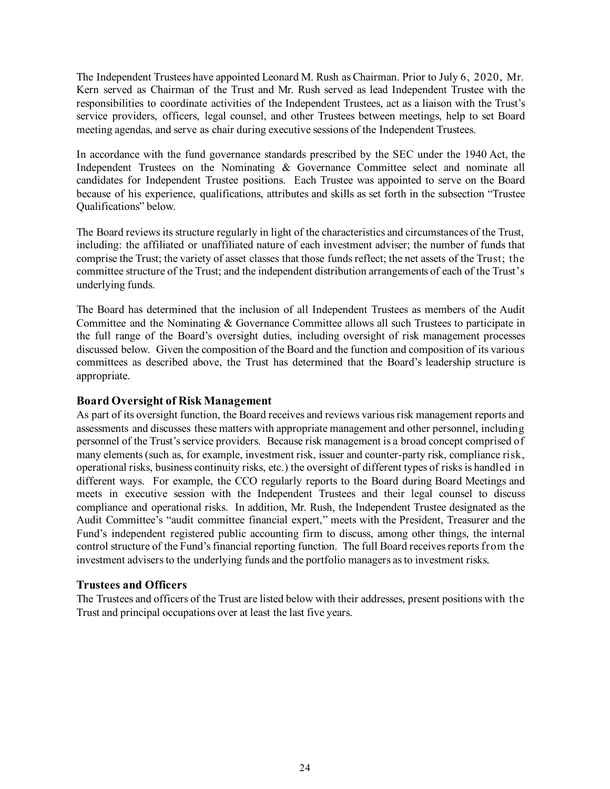The Independent Trustees have appointed Leonard M. Rush as Chairman. Prior to July 6, 2020, Mr. Kern served as Chairman of the Trust and Mr. Rush served as lead Independent Trustee with the responsibilities to coordinate activities of the Independent Trustees, act as a liaison with the Trust's service providers, officers, legal counsel, and other Trustees between meetings, help to set Board meeting agendas, and serve as chair during executive sessions of the Independent Trustees.

In accordance with the fund governance standards prescribed by the SEC under the 1940 Act, the Independent Trustees on the Nominating & Governance Committee select and nominate all candidates for Independent Trustee positions. Each Trustee was appointed to serve on the Board because of his experience, qualifications, attributes and skills as set forth in the subsection "Trustee Qualifications" below.

The Board reviews its structure regularly in light of the characteristics and circumstances of the Trust, including: the affiliated or unaffiliated nature of each investment adviser; the number of funds that comprise the Trust; the variety of asset classes that those funds reflect; the net assets of the Trust; the committee structure of the Trust; and the independent distribution arrangements of each of the Trust's underlying funds.

The Board has determined that the inclusion of all Independent Trustees as members of the Audit Committee and the Nominating & Governance Committee allows all such Trustees to participate in the full range of the Board's oversight duties, including oversight of risk management processes discussed below. Given the composition of the Board and the function and composition of its various committees as described above, the Trust has determined that the Board's leadership structure is appropriate.

### <span id="page-25-0"></span>**Board Oversight of Risk Management**

As part of its oversight function, the Board receives and reviews various risk management reports and assessments and discusses these matters with appropriate management and other personnel, including personnel of the Trust's service providers. Because risk management is a broad concept comprised of many elements (such as, for example, investment risk, issuer and counter-party risk, compliance risk, operational risks, business continuity risks, etc.) the oversight of different types of risks is handled in different ways. For example, the CCO regularly reports to the Board during Board Meetings and meets in executive session with the Independent Trustees and their legal counsel to discuss compliance and operational risks. In addition, Mr. Rush, the Independent Trustee designated as the Audit Committee's "audit committee financial expert," meets with the President, Treasurer and the Fund's independent registered public accounting firm to discuss, among other things, the internal control structure of the Fund's financial reporting function. The full Board receives reports from the investment advisers to the underlying funds and the portfolio managers as to investment risks.

### <span id="page-25-1"></span>**Trustees and Officers**

The Trustees and officers of the Trust are listed below with their addresses, present positions with the Trust and principal occupations over at least the last five years.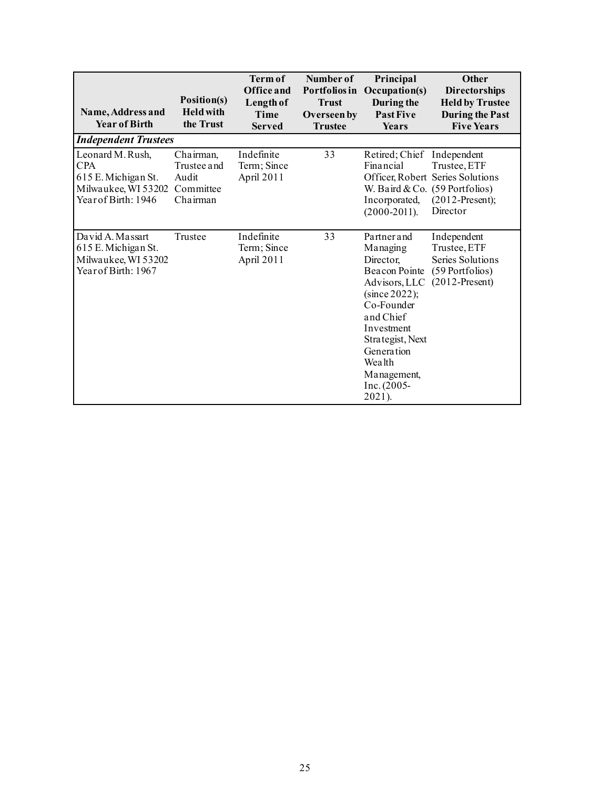| Name, Address and<br><b>Year of Birth</b>                                                    | Position(s)<br><b>Held with</b><br>the Trust               | Term of<br><b>Office and</b><br>Length of<br>Time<br><b>Served</b> | Number of<br>Portfolios in<br><b>Trust</b><br>Overseen by<br><b>Trustee</b> | Principal<br>Occupation(s)<br>During the<br><b>Past Five</b><br><b>Years</b>                                                                                                                                         | <b>Other</b><br><b>Directorships</b><br><b>Held by Trustee</b><br><b>During the Past</b><br><b>Five Years</b>                        |
|----------------------------------------------------------------------------------------------|------------------------------------------------------------|--------------------------------------------------------------------|-----------------------------------------------------------------------------|----------------------------------------------------------------------------------------------------------------------------------------------------------------------------------------------------------------------|--------------------------------------------------------------------------------------------------------------------------------------|
| <b>Independent Trustees</b>                                                                  |                                                            |                                                                    |                                                                             |                                                                                                                                                                                                                      |                                                                                                                                      |
| Leonard M. Rush,<br>CPA<br>615 E. Michigan St.<br>Milwaukee, WI 53202<br>Year of Birth: 1946 | Chairman,<br>Trustee and<br>Audit<br>Committee<br>Chairman | Indefinite<br>Term; Since<br>April 2011                            | 33                                                                          | Retired; Chief<br>Financial<br>Incorporated,<br>$(2000-2011).$                                                                                                                                                       | Independent<br>Trustee, ETF<br>Officer, Robert Series Solutions<br>W. Baird & Co. $(59$ Portfolios)<br>$(2012-Present);$<br>Director |
| David A. Massart<br>615 E. Michigan St.<br>Milwaukee, WI 53202<br>Year of Birth: 1967        | Trustee                                                    | Indefinite<br>Term; Since<br>April 2011                            | 33                                                                          | Partner and<br>Managing<br>Director,<br>Beacon Pointe<br>Advisors, LLC<br>(since 2022);<br>Co-Founder<br>and Chief<br>Investment<br>Strategist, Next<br>Generation<br>Wealth<br>Management,<br>Inc. (2005-<br>2021). | Independent<br>Trustee, ETF<br>Series Solutions<br>(59 Portfolios)<br>$(2012-Present)$                                               |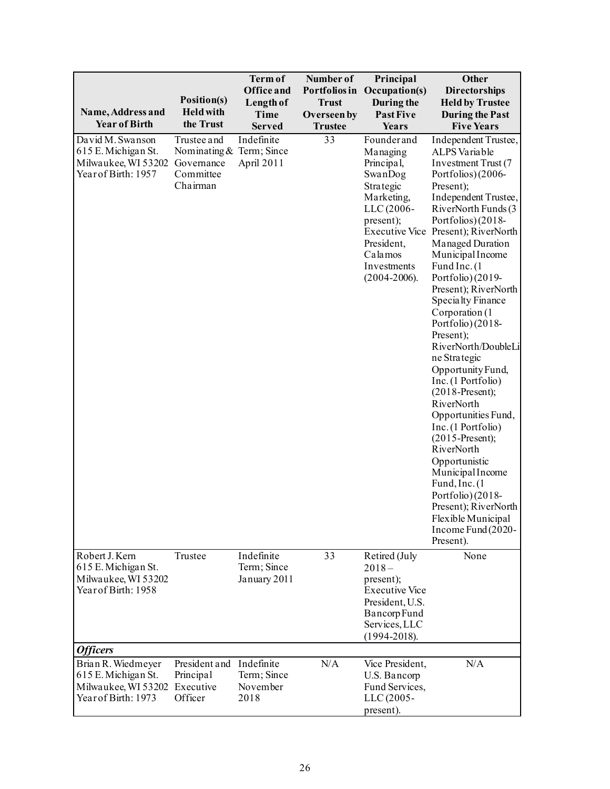| Name, Address and<br><b>Year of Birth</b>                                               | Position(s)<br><b>Held with</b><br>the Trust                                   | <b>Term of</b><br><b>Office and</b><br>Length of<br>Time<br><b>Served</b> | Number of<br>Portfolios in<br><b>Trust</b><br>Overseen by<br><b>Trustee</b> | Principal<br>Occupation(s)<br>During the<br><b>Past Five</b><br>Years                                                                                                                       | Other<br><b>Directorships</b><br><b>Held by Trustee</b><br><b>During the Past</b><br><b>Five Years</b>                                                                                                                                                                                                                                                                                                                                                                                                                                                                                                                                                                                                                                       |
|-----------------------------------------------------------------------------------------|--------------------------------------------------------------------------------|---------------------------------------------------------------------------|-----------------------------------------------------------------------------|---------------------------------------------------------------------------------------------------------------------------------------------------------------------------------------------|----------------------------------------------------------------------------------------------------------------------------------------------------------------------------------------------------------------------------------------------------------------------------------------------------------------------------------------------------------------------------------------------------------------------------------------------------------------------------------------------------------------------------------------------------------------------------------------------------------------------------------------------------------------------------------------------------------------------------------------------|
| David M. Swanson<br>615 E. Michigan St.<br>Milwaukee, WI 53202<br>Year of Birth: 1957   | Trustee and<br>Nominating & Term; Since<br>Governance<br>Committee<br>Chairman | Indefinite<br>April 2011                                                  | 33                                                                          | Founder and<br>Managing<br>Principal,<br>SwanDog<br>Strategic<br>Marketing,<br>LLC (2006-<br>present);<br><b>Executive Vice</b><br>President,<br>Calamos<br>Investments<br>$(2004 - 2006).$ | Independent Trustee,<br>ALPS Variable<br>Investment Trust (7<br>Portfolios) (2006-<br>Present);<br>Independent Trustee,<br>RiverNorth Funds (3<br>Portfolios) (2018-<br>Present); RiverNorth<br>Managed Duration<br>Municipal Income<br>Fund Inc. (1)<br>Portfolio) (2019-<br>Present); RiverNorth<br>Specialty Finance<br>Corporation (1<br>Portfolio) (2018-<br>Present);<br>RiverNorth/DoubleLi<br>ne Strategic<br>Opportunity Fund,<br>Inc. (1 Portfolio)<br>$(2018-Present);$<br>RiverNorth<br>Opportunities Fund,<br>Inc. (1 Portfolio)<br>$(2015-Present);$<br>RiverNorth<br>Opportunistic<br>MunicipalIncome<br>Fund, Inc. (1)<br>Portfolio) (2018-<br>Present); RiverNorth<br>Flexible Municipal<br>Income Fund (2020-<br>Present). |
| Robert J. Kern<br>615 E. Michigan St.<br>Milwaukee, WI 53202<br>Year of Birth: 1958     | Trustee                                                                        | Indefinite<br>Term; Since<br>January 2011                                 | 33                                                                          | Retired (July<br>$2018-$<br>present);<br><b>Executive Vice</b><br>President, U.S.<br>Bancorp Fund<br>Services, LLC<br>$(1994 - 2018).$                                                      | None                                                                                                                                                                                                                                                                                                                                                                                                                                                                                                                                                                                                                                                                                                                                         |
| <b>Officers</b>                                                                         |                                                                                |                                                                           |                                                                             |                                                                                                                                                                                             |                                                                                                                                                                                                                                                                                                                                                                                                                                                                                                                                                                                                                                                                                                                                              |
| Brian R. Wiedmeyer<br>615 E. Michigan St.<br>Milwaukee, WI 53202<br>Year of Birth: 1973 | President and Indefinite<br>Principal<br>Executive<br>Officer                  | Term; Since<br>November<br>2018                                           | N/A                                                                         | Vice President,<br>U.S. Bancorp<br>Fund Services,<br>LLC (2005-<br>present).                                                                                                                | N/A                                                                                                                                                                                                                                                                                                                                                                                                                                                                                                                                                                                                                                                                                                                                          |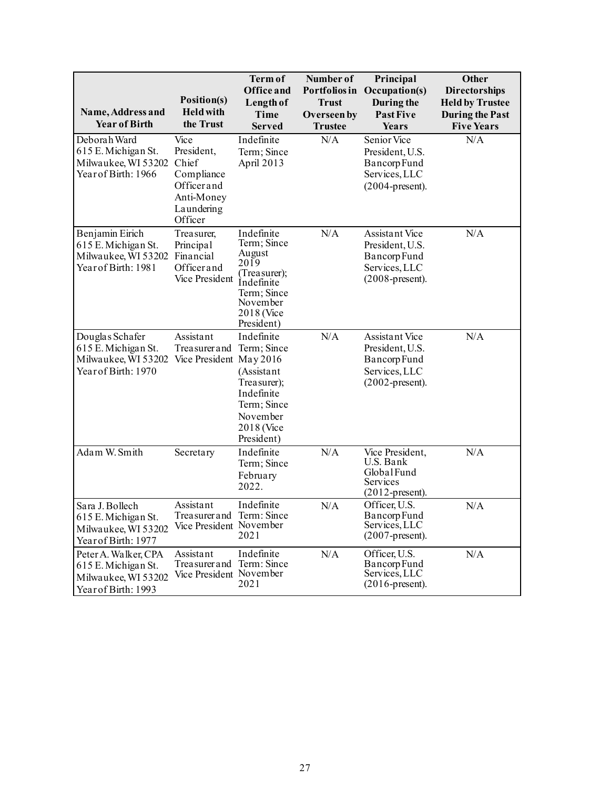| Name, Address and<br><b>Year of Birth</b>                                                 | Position(s)<br><b>Held with</b><br>the Trust                                                   | Term of<br><b>Office</b> and<br><b>Length of</b><br><b>Time</b><br><b>Served</b>                                                         | Number of<br>Portfolios in<br><b>Trust</b><br>Overseen by<br><b>Trustee</b> | Principal<br>Occupation(s)<br>During the<br><b>Past Five</b><br>Years                    | <b>Other</b><br><b>Directorships</b><br><b>Held by Trustee</b><br><b>During the Past</b><br><b>Five Years</b> |
|-------------------------------------------------------------------------------------------|------------------------------------------------------------------------------------------------|------------------------------------------------------------------------------------------------------------------------------------------|-----------------------------------------------------------------------------|------------------------------------------------------------------------------------------|---------------------------------------------------------------------------------------------------------------|
| Deborah Ward<br>615 E. Michigan St.<br>Milwaukee, WI 53202<br>Year of Birth: 1966         | Vice<br>President,<br>Chief<br>Compliance<br>Officerand<br>Anti-Money<br>Laundering<br>Officer | Indefinite<br>Term; Since<br>April 2013                                                                                                  | N/A                                                                         | Senior Vice<br>President, U.S.<br>Bancorp Fund<br>Services, LLC<br>$(2004$ -present).    | N/A                                                                                                           |
| Benjamin Eirich<br>615 E. Michigan St.<br>Milwaukee, WI 53202<br>Year of Birth: 1981      | Treasurer,<br>Principal<br>Financial<br>Officerand<br>Vice President                           | Indefinite<br>Term; Since<br>August<br>$20\bar{19}$<br>(Treasurer);<br>Indefinite<br>Term; Since<br>November<br>2018 (Vice<br>President) | N/A                                                                         | Assistant Vice<br>President, U.S.<br>Bancorp Fund<br>Services, LLC<br>$(2008$ -present). | N/A                                                                                                           |
| Douglas Schafer<br>615 E. Michigan St.<br>Milwaukee, WI 53202<br>Year of Birth: 1970      | Assistant<br>Treasurer and Term; Since<br>Vice President May 2016                              | Indefinite<br>(Assistant<br>Treasurer);<br>Indefinite<br>Term; Since<br>November<br>2018 (Vice<br>President)                             | N/A                                                                         | Assistant Vice<br>President, U.S.<br>Bancorp Fund<br>Services, LLC<br>$(2002$ -present). | N/A                                                                                                           |
| Adam W. Smith                                                                             | Secretary                                                                                      | Indefinite<br>Term; Since<br>February<br>2022.                                                                                           | N/A                                                                         | Vice President,<br>U.S. Bank<br>GlobalFund<br>Services<br>$(2012$ -present).             | N/A                                                                                                           |
| Sara J. Bollech<br>615 E. Michigan St.<br>Milwaukee, WI 53202<br>Year of Birth: 1977      | Assistant<br>Treasurer and Term: Since<br>Vice President November                              | Indefinite<br>2021                                                                                                                       | N/A                                                                         | Officer, U.S.<br>Bancorp Fund<br>Services, LLC<br>$(2007$ -present).                     | N/A                                                                                                           |
| Peter A. Walker, CPA<br>615 E. Michigan St.<br>Milwaukee, WI 53202<br>Year of Birth: 1993 | Assistant<br>Treasurer and Term: Since<br>Vice President November                              | Indefinite<br>2021                                                                                                                       | N/A                                                                         | Officer, U.S.<br>Bancorp Fund<br>Services, LLC<br>$(2016$ -present).                     | N/A                                                                                                           |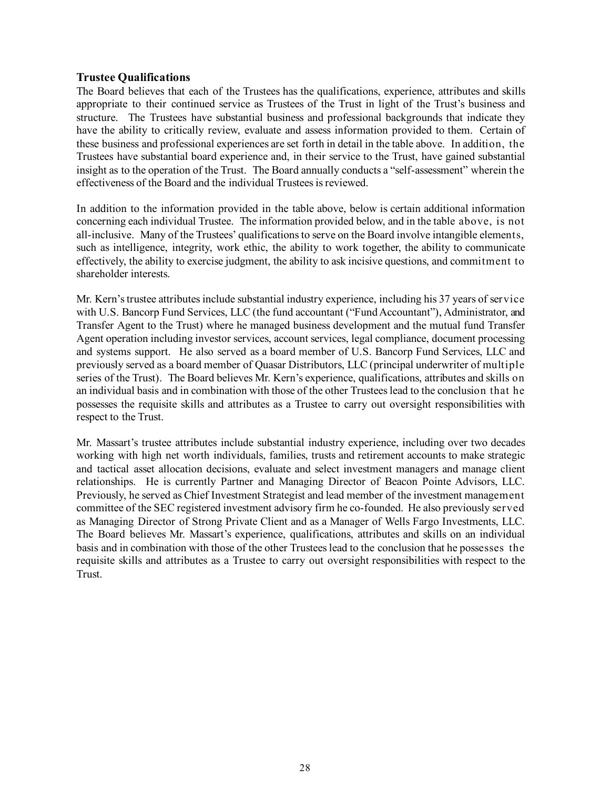### <span id="page-29-0"></span>**Trustee Qualifications**

The Board believes that each of the Trustees has the qualifications, experience, attributes and skills appropriate to their continued service as Trustees of the Trust in light of the Trust's business and structure. The Trustees have substantial business and professional backgrounds that indicate they have the ability to critically review, evaluate and assess information provided to them. Certain of these business and professional experiences are set forth in detail in the table above. In addition, the Trustees have substantial board experience and, in their service to the Trust, have gained substantial insight as to the operation of the Trust. The Board annually conducts a "self-assessment" wherein the effectiveness of the Board and the individual Trustees is reviewed.

In addition to the information provided in the table above, below is certain additional information concerning each individual Trustee. The information provided below, and in the table above, is not all-inclusive. Many of the Trustees' qualifications to serve on the Board involve intangible elements, such as intelligence, integrity, work ethic, the ability to work together, the ability to communicate effectively, the ability to exercise judgment, the ability to ask incisive questions, and commitment to shareholder interests.

Mr. Kern's trustee attributes include substantial industry experience, including his 37 years of service with U.S. Bancorp Fund Services, LLC (the fund accountant ("Fund Accountant"), Administrator, and Transfer Agent to the Trust) where he managed business development and the mutual fund Transfer Agent operation including investor services, account services, legal compliance, document processing and systems support. He also served as a board member of U.S. Bancorp Fund Services, LLC and previously served as a board member of Quasar Distributors, LLC (principal underwriter of multiple series of the Trust). The Board believes Mr. Kern's experience, qualifications, attributes and skills on an individual basis and in combination with those of the other Trustees lead to the conclusion that he possesses the requisite skills and attributes as a Trustee to carry out oversight responsibilities with respect to the Trust.

Mr. Massart's trustee attributes include substantial industry experience, including over two decades working with high net worth individuals, families, trusts and retirement accounts to make strategic and tactical asset allocation decisions, evaluate and select investment managers and manage client relationships. He is currently Partner and Managing Director of Beacon Pointe Advisors, LLC. Previously, he served as Chief Investment Strategist and lead member of the investment management committee of the SEC registered investment advisory firm he co-founded. He also previously served as Managing Director of Strong Private Client and as a Manager of Wells Fargo Investments, LLC. The Board believes Mr. Massart's experience, qualifications, attributes and skills on an individual basis and in combination with those of the other Trustees lead to the conclusion that he possesses the requisite skills and attributes as a Trustee to carry out oversight responsibilities with respect to the Trust.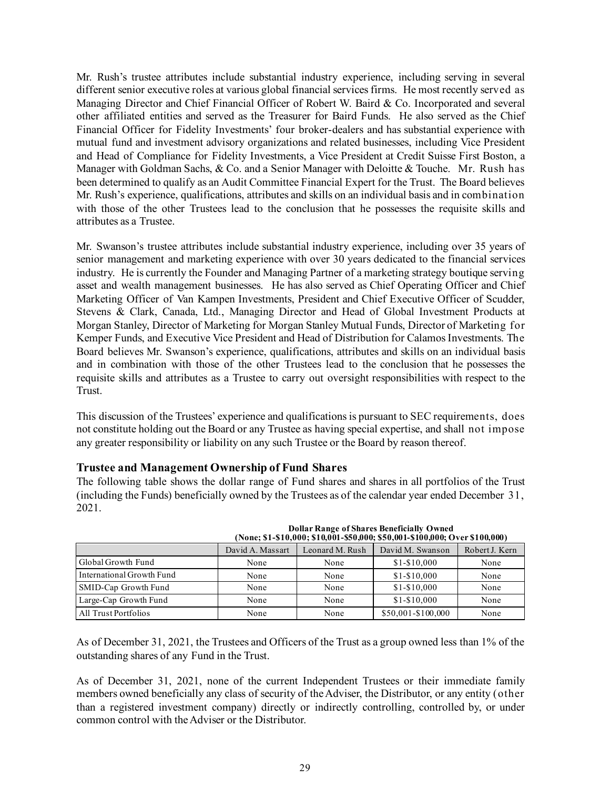Mr. Rush's trustee attributes include substantial industry experience, including serving in several different senior executive roles at various global financial services firms. He most recently served as Managing Director and Chief Financial Officer of Robert W. Baird & Co. Incorporated and several other affiliated entities and served as the Treasurer for Baird Funds. He also served as the Chief Financial Officer for Fidelity Investments' four broker-dealers and has substantial experience with mutual fund and investment advisory organizations and related businesses, including Vice President and Head of Compliance for Fidelity Investments, a Vice President at Credit Suisse First Boston, a Manager with Goldman Sachs, & Co. and a Senior Manager with Deloitte & Touche. Mr. Rush has been determined to qualify as an Audit Committee Financial Expert for the Trust. The Board believes Mr. Rush's experience, qualifications, attributes and skills on an individual basis and in combination with those of the other Trustees lead to the conclusion that he possesses the requisite skills and attributes as a Trustee.

Mr. Swanson's trustee attributes include substantial industry experience, including over 35 years of senior management and marketing experience with over 30 years dedicated to the financial services industry. He is currently the Founder and Managing Partner of a marketing strategy boutique serving asset and wealth management businesses. He has also served as Chief Operating Officer and Chief Marketing Officer of Van Kampen Investments, President and Chief Executive Officer of Scudder, Stevens & Clark, Canada, Ltd., Managing Director and Head of Global Investment Products at Morgan Stanley, Director of Marketing for Morgan Stanley Mutual Funds, Director of Marketing for Kemper Funds, and Executive Vice President and Head of Distribution for Calamos Investments. The Board believes Mr. Swanson's experience, qualifications, attributes and skills on an individual basis and in combination with those of the other Trustees lead to the conclusion that he possesses the requisite skills and attributes as a Trustee to carry out oversight responsibilities with respect to the Trust.

This discussion of the Trustees' experience and qualifications is pursuant to SEC requirements, does not constitute holding out the Board or any Trustee as having special expertise, and shall not impose any greater responsibility or liability on any such Trustee or the Board by reason thereof.

<span id="page-30-0"></span>**Trustee and Management Ownership of Fund Shares**

The following table shows the dollar range of Fund shares and shares in all portfolios of the Trust (including the Funds) beneficially owned by the Trustees as of the calendar year ended December 31, 2021.

|                           | (None; \$1-\$10,000; \$10,001-\$50,000; \$50,001-\$100,000; Over \$100,000) |                 |                    |                |  |  |
|---------------------------|-----------------------------------------------------------------------------|-----------------|--------------------|----------------|--|--|
|                           | David A. Massart                                                            | Leonard M. Rush | David M. Swanson   | Robert J. Kern |  |  |
| Global Growth Fund        | None                                                                        | None            | $$1 - $10,000$     | None           |  |  |
| International Growth Fund | None                                                                        | None            | $$1 - $10,000$     | None           |  |  |
| SMID-Cap Growth Fund      | None                                                                        | None            | $$1 - $10,000$     | None           |  |  |
| Large-Cap Growth Fund     | None                                                                        | None            | $$1 - $10,000$     | None           |  |  |
| All Trust Portfolios      | None                                                                        | None            | \$50,001-\$100,000 | None           |  |  |

**Dollar Range of Shares Beneficially Owned**

As of December 31, 2021, the Trustees and Officers of the Trust as a group owned less than 1% of the outstanding shares of any Fund in the Trust.

As of December 31, 2021, none of the current Independent Trustees or their immediate family members owned beneficially any class of security of the Adviser, the Distributor, or any entity (other than a registered investment company) directly or indirectly controlling, controlled by, or under common control with the Adviser or the Distributor.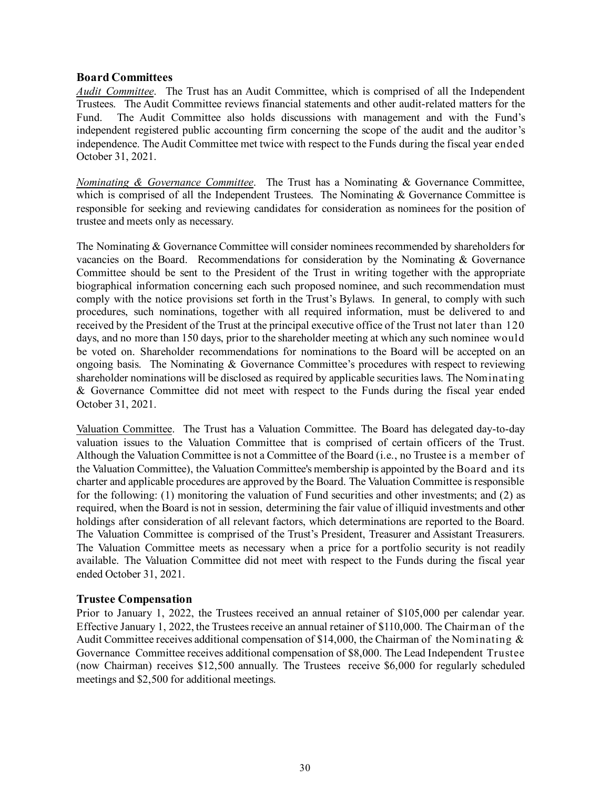### <span id="page-31-0"></span>**Board Committees**

*Audit Committee*. The Trust has an Audit Committee, which is comprised of all the Independent Trustees. The Audit Committee reviews financial statements and other audit-related matters for the Fund. The Audit Committee also holds discussions with management and with the Fund's independent registered public accounting firm concerning the scope of the audit and the auditor's independence. The Audit Committee met twice with respect to the Funds during the fiscal year ended October 31, 2021.

*Nominating & Governance Committee*. The Trust has a Nominating & Governance Committee, which is comprised of all the Independent Trustees. The Nominating & Governance Committee is responsible for seeking and reviewing candidates for consideration as nominees for the position of trustee and meets only as necessary.

The Nominating & Governance Committee will consider nominees recommended by shareholders for vacancies on the Board. Recommendations for consideration by the Nominating & Governance Committee should be sent to the President of the Trust in writing together with the appropriate biographical information concerning each such proposed nominee, and such recommendation must comply with the notice provisions set forth in the Trust's Bylaws. In general, to comply with such procedures, such nominations, together with all required information, must be delivered to and received by the President of the Trust at the principal executive office of the Trust not later than 120 days, and no more than 150 days, prior to the shareholder meeting at which any such nominee would be voted on. Shareholder recommendations for nominations to the Board will be accepted on an ongoing basis. The Nominating  $\&$  Governance Committee's procedures with respect to reviewing shareholder nominations will be disclosed as required by applicable securities laws. The Nominating & Governance Committee did not meet with respect to the Funds during the fiscal year ended October 31, 2021.

Valuation Committee. The Trust has a Valuation Committee. The Board has delegated day-to-day valuation issues to the Valuation Committee that is comprised of certain officers of the Trust. Although the Valuation Committee is not a Committee of the Board (i.e., no Trustee is a member of the Valuation Committee), the Valuation Committee's membership is appointed by the Board and its charter and applicable procedures are approved by the Board. The Valuation Committee is responsible for the following: (1) monitoring the valuation of Fund securities and other investments; and (2) as required, when the Board is not in session, determining the fair value of illiquid investments and other holdings after consideration of all relevant factors, which determinations are reported to the Board. The Valuation Committee is comprised of the Trust's President, Treasurer and Assistant Treasurers. The Valuation Committee meets as necessary when a price for a portfolio security is not readily available. The Valuation Committee did not meet with respect to the Funds during the fiscal year ended October 31, 2021.

### <span id="page-31-1"></span>**Trustee Compensation**

Prior to January 1, 2022, the Trustees received an annual retainer of \$105,000 per calendar year. Effective January 1, 2022, the Trustees receive an annual retainer of \$110,000. The Chairman of the Audit Committee receives additional compensation of \$14,000, the Chairman of the Nominating & Governance Committee receives additional compensation of \$8,000. The Lead Independent Trustee (now Chairman) receives \$12,500 annually. The Trustees receive \$6,000 for regularly scheduled meetings and \$2,500 for additional meetings.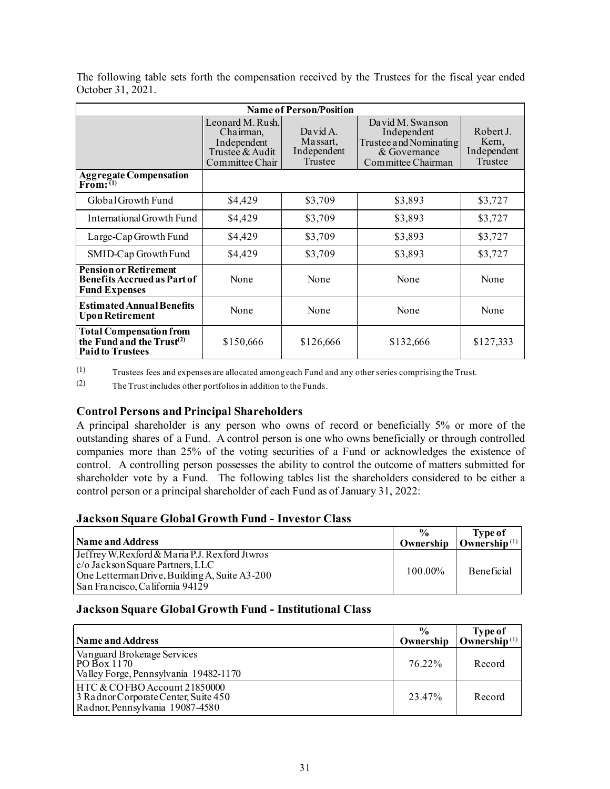| <b>Name of Person/Position</b>                                                                     |                                                                                    |                                                |                                                                                                 |                                              |  |
|----------------------------------------------------------------------------------------------------|------------------------------------------------------------------------------------|------------------------------------------------|-------------------------------------------------------------------------------------------------|----------------------------------------------|--|
|                                                                                                    | Leonard M. Rush,<br>Chairman,<br>Independent<br>Trustee & Audit<br>Committee Chair | David A.<br>Massart,<br>Independent<br>Trustee | David M. Swanson<br>Independent<br>Trustee and Nominating<br>& Governance<br>Committee Chairman | Robert J.<br>Kern,<br>Independent<br>Trustee |  |
| Aggregate Compensation<br>From: <sup>(1)</sup>                                                     |                                                                                    |                                                |                                                                                                 |                                              |  |
| Global Growth Fund                                                                                 | \$4,429                                                                            | \$3,709                                        | \$3,893                                                                                         | \$3,727                                      |  |
| International Growth Fund                                                                          | \$4,429                                                                            | \$3,709                                        | \$3,893                                                                                         | \$3,727                                      |  |
| Large-Cap Growth Fund                                                                              | \$4,429                                                                            | \$3,709                                        | \$3,893                                                                                         | \$3,727                                      |  |
| SMID-Cap Growth Fund                                                                               | \$4,429                                                                            | \$3,709                                        | \$3,893                                                                                         | \$3,727                                      |  |
| <b>Pension or Retirement</b><br><b>Benefits Accrued as Part of</b><br><b>Fund Expenses</b>         | None                                                                               | None                                           | None                                                                                            | None                                         |  |
| <b>Estimated Annual Benefits</b><br><b>Upon Retirement</b>                                         | None                                                                               | None                                           | None                                                                                            | None                                         |  |
| <b>Total Compensation from</b><br>the Fund and the Trust <sup>(2)</sup><br><b>Paid to Trustees</b> | \$150,666                                                                          | \$126,666                                      | \$132,666                                                                                       | \$127,333                                    |  |

The following table sets forth the compensation received by the Trustees for the fiscal year ended October 31, 2021.

(1) Trustees fees and expenses are allocated among each Fund and any other series comprising the Trust.

(2) The Trust includes other portfolios in addition to the Funds.

### <span id="page-32-0"></span>**Control Persons and Principal Shareholders**

A principal shareholder is any person who owns of record or beneficially 5% or more of the outstanding shares of a Fund. A control person is one who owns beneficially or through controlled companies more than 25% of the voting securities of a Fund or acknowledges the existence of control. A controlling person possesses the ability to control the outcome of matters submitted for shareholder vote by a Fund. The following tables list the shareholders considered to be either a control person or a principal shareholder of each Fund as of January 31, 2022:

### **Jackson Square Global Growth Fund - Investor Class**

| Name and Address                                                                                                                                                                | $\frac{0}{0}$<br>Ownership | <b>Type of</b><br>Ownership $(1)$ |
|---------------------------------------------------------------------------------------------------------------------------------------------------------------------------------|----------------------------|-----------------------------------|
| Jeffrey W.Rexford & Maria P.J. Rexford Jtwros<br>$ c/\text{o}$ Jackson Square Partners, LLC<br>One Letterman Drive, Building A, Suite A3-200<br>San Francisco, California 94129 | 100.00%                    | <b>Beneficial</b>                 |

### **Jackson Square Global Growth Fund - Institutional Class**

| Name and Address                                                                                        | $\frac{6}{9}$<br>Ownership | Type of<br>Ownership $(1)$ |
|---------------------------------------------------------------------------------------------------------|----------------------------|----------------------------|
| Vanguard Brokerage Services<br>$PO\bar{B}$ ox 1170<br>Valley Forge, Pennsylvania 19482-1170             | 76.22%                     | Record                     |
| HTC & COFBO Account 21850000<br>3 Radnor Corporate Center, Suite 450<br>Radnor, Pennsylvania 19087-4580 | 23.47%                     | Record                     |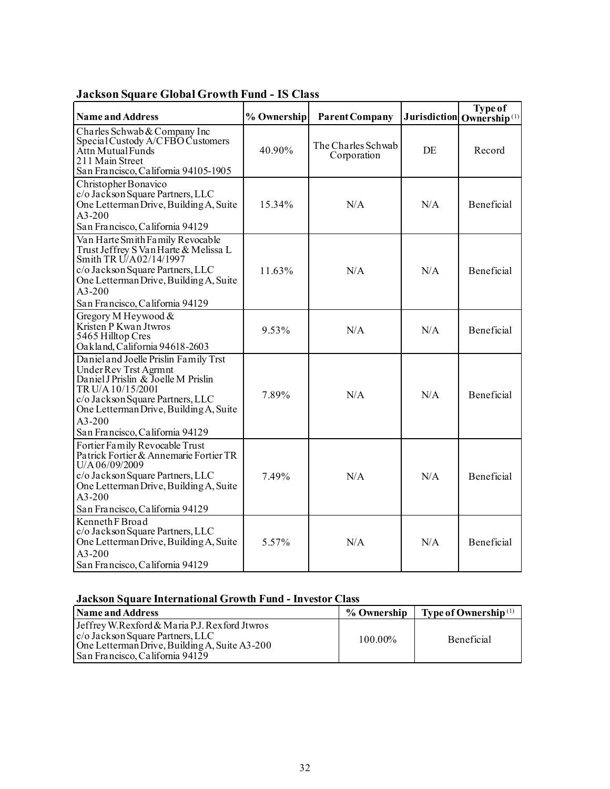| <b>Name and Address</b>                                                                                                                                                                                                                                 | % Ownership | <b>Parent Company</b>             |     | Type of<br>Jurisdiction Ownership <sup>(1)</sup> |
|---------------------------------------------------------------------------------------------------------------------------------------------------------------------------------------------------------------------------------------------------------|-------------|-----------------------------------|-----|--------------------------------------------------|
| Charles Schwab & Company Inc<br>Special Custody A/CFBO Customers<br>Attn Mutual Funds<br>211 Main Street<br>San Francisco, California 94105-1905                                                                                                        | 40.90%      | The Charles Schwab<br>Corporation | DE  | Record                                           |
| Christopher Bonavico<br>c/o Jackson Square Partners, LLC<br>One Letterman Drive, Building A, Suite<br>$A3-200$<br>San Francisco, California 94129                                                                                                       | 15.34%      | N/A                               | N/A | <b>Beneficial</b>                                |
| Van Harte Smith Family Revocable<br>Trust Jeffrey S Van Harte & Melissa L<br>Smith TR U/A02/14/1997<br>c/o Jackson Square Partners, LLC<br>One Letterman Drive, Building A, Suite<br>$A3 - 200$<br>San Francisco, California 94129                      | 11.63%      | N/A                               | N/A | Beneficial                                       |
| Gregory M Heywood &<br>Kristen P Kwan Jtwros<br>5465 Hilltop Cres<br>Oakland, California 94618-2603                                                                                                                                                     | 9.53%       | N/A                               | N/A | Beneficial                                       |
| Daniel and Joelle Prislin Family Trst<br>Under Rev Trst Agrmnt<br>Daniel J Prislin & Joelle M Prislin<br>TR U/A 10/15/2001<br>c/o Jackson Square Partners, LLC<br>One Letterman Drive, Building A, Suite<br>$A3-200$<br>San Francisco, California 94129 | 7.89%       | N/A                               | N/A | Beneficial                                       |
| Fortier Family Revocable Trust<br>Patrick Fortier & Annemarie Fortier TR<br>U/A06/09/2009<br>c/o Jackson Square Partners, LLC<br>One Letterman Drive, Building A, Suite<br>A3-200<br>San Francisco, California 94129                                    | 7.49%       | N/A                               | N/A | Beneficial                                       |
| Kenneth F Broad<br>c/o Jackson Square Partners, LLC<br>One Letterman Drive, Building A, Suite<br>$A3-200$<br>San Francisco, California 94129                                                                                                            | 5.57%       | N/A                               | N/A | Beneficial                                       |

# **Jackson Square Global Growth Fund - IS Class**

# **Jackson Square International Growth Fund - Investor Class**

| <b>Name and Address</b>                                                                                                                                               | % Ownership | $\blacksquare$ Type of Ownership <sup>(1)</sup> |
|-----------------------------------------------------------------------------------------------------------------------------------------------------------------------|-------------|-------------------------------------------------|
| Jeffrey W.Rexford & Maria P.J. Rexford Jtwros<br>c/o Jackson Square Partners, LLC<br>One Letterman Drive, Building A, Suite A3-200<br>San Francisco. California 94129 | 100.00%     | <b>Beneficial</b>                               |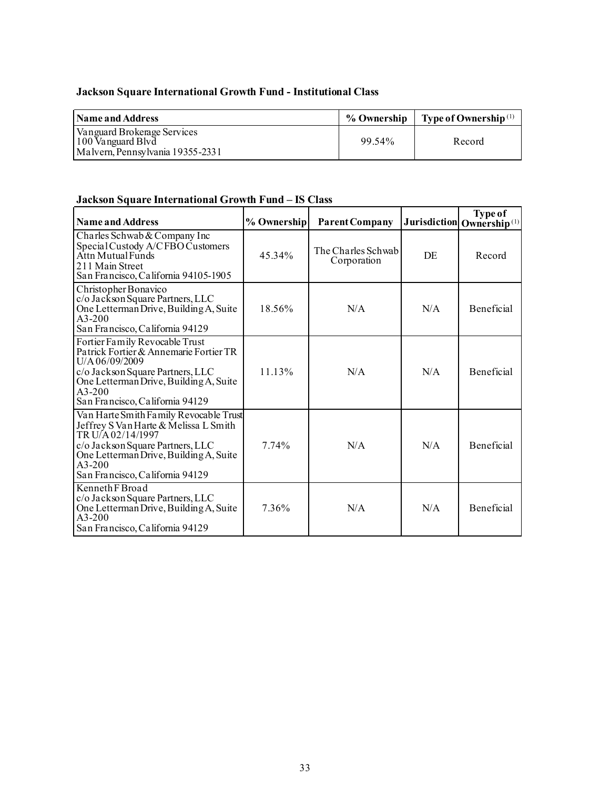# **Jackson Square International Growth Fund - Institutional Class**

| <b>Name and Address</b>                                                              |        | % Ownership   Type of Ownership <sup>(1)</sup> |
|--------------------------------------------------------------------------------------|--------|------------------------------------------------|
| Vanguard Brokerage Services<br>100 Vanguard Blvd<br>Malvern, Pennsylvania 19355-2331 | 99.54% | Record                                         |

# **Jackson Square International Growth Fund – IS Class**

| <b>Name and Address</b>                                                                                                                                                                                                           | % Ownership | <b>Parent Company</b>             |     | <b>Type of</b><br>Jurisdiction Ownership <sup>(1)</sup> |
|-----------------------------------------------------------------------------------------------------------------------------------------------------------------------------------------------------------------------------------|-------------|-----------------------------------|-----|---------------------------------------------------------|
| Charles Schwab & Company Inc<br>Special Custody A/CFBO Customers<br>Attn Mutual Funds<br>211 Main Street<br>San Francisco, California 94105-1905                                                                                  | 45.34%      | The Charles Schwab<br>Corporation | DE  | Record                                                  |
| Christopher Bonavico<br>c/o Jackson Square Partners, LLC<br>One Letterman Drive, Building A, Suite<br>$A3-200$<br>San Francisco, California 94129                                                                                 | 18.56%      | N/A                               | N/A | Beneficial                                              |
| Fortier Family Revocable Trust<br>Patrick Fortier & Annemarie Fortier TR<br>U/A06/09/2009<br>c/o Jackson Square Partners, LLC<br>One Letterman Drive, Building A, Suite<br>$A3-200$<br>San Francisco, California 94129            | 11.13%      | N/A                               | N/A | <b>Beneficial</b>                                       |
| Van Harte Smith Family Revocable Trust<br>Jeffrey S Van Harte & Melissa L Smith<br>TR U/A 02/14/1997<br>c/o Jackson Square Partners, LLC<br>One Letterman Drive, Building A, Suite<br>$A3-200$<br>San Francisco, California 94129 | 7.74%       | N/A                               | N/A | Beneficial                                              |
| Kenneth F Broad<br>c/o Jackson Square Partners, LLC<br>One Letterman Drive, Building A, Suite<br>$A3-200$<br>San Francisco, California 94129                                                                                      | 7.36%       | N/A                               | N/A | Beneficial                                              |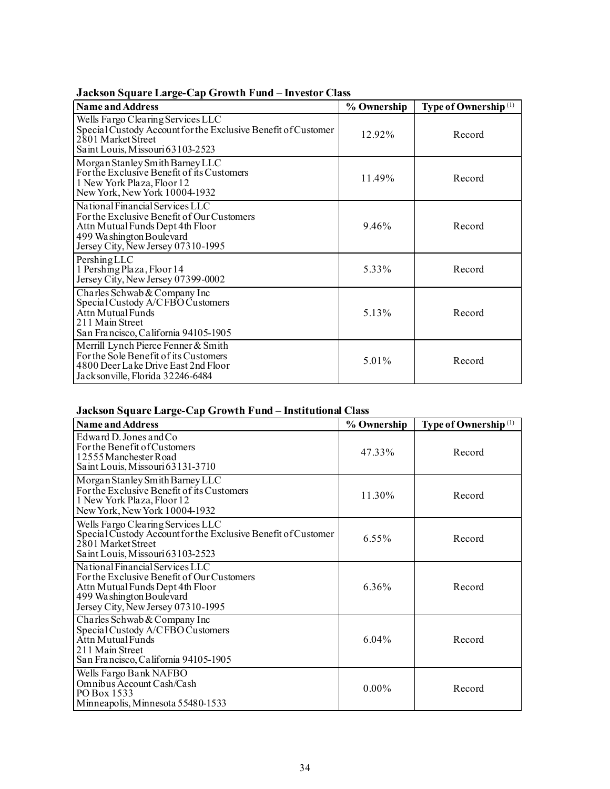| <b>Name and Address</b>                                                                                                                                                             | % Ownership | Type of Ownership <sup>(1)</sup> |
|-------------------------------------------------------------------------------------------------------------------------------------------------------------------------------------|-------------|----------------------------------|
| Wells Fargo Clearing Services LLC<br>Special Custody Account for the Exclusive Benefit of Customer<br>2801 Market Street<br>Saint Louis, Missouri 63103-2523                        | 12.92%      | Record                           |
| Morgan Stanley Smith Barney LLC<br>For the Exclusive Benefit of its Customers<br>1 New York Plaza, Floor 12<br>New York, New York 10004-1932                                        | 11.49%      | Record                           |
| National Financial Services LLC<br>For the Exclusive Benefit of Our Customers<br>Attn Mutual Funds Dept 4th Floor<br>499 Washington Boulevard<br>Jersey City, New Jersey 07310-1995 | 9.46%       | Record                           |
| PershingLLC<br>1 Pershing Plaza, Floor 14<br>Jersey City, New Jersey 07399-0002                                                                                                     | 5.33%       | Record                           |
| Charles Schwab & Company Inc<br>Special Custody A/CFBO Customers<br>Attn Mutual Funds<br>211 Main Street<br>San Francisco, California 94105-1905                                    | 5.13%       | Record                           |
| Merrill Lynch Pierce Fenner & Smith<br>For the Sole Benefit of its Customers<br>4800 Deer Lake Drive East 2nd Floor<br>Jacksonville, Florida 32246-6484                             | 5.01%       | Record                           |

## **Jackson Square Large-Cap Growth Fund – Investor Class**

## **Jackson Square Large-Cap Growth Fund – Institutional Class**

| <b>Name and Address</b>                                                                                                                                                             | % Ownership | Type of Ownership <sup>(1)</sup> |
|-------------------------------------------------------------------------------------------------------------------------------------------------------------------------------------|-------------|----------------------------------|
| Edward D. Jones and Co<br>For the Benefit of Customers<br>12555 Manchester Road<br>Saint Louis, Missouri 63131-3710                                                                 | 47.33%      | Record                           |
| Morgan Stanley Smith Barney LLC<br>For the Exclusive Benefit of its Customers<br>1 New York Plaza, Floor 12<br>New York, New York 10004-1932                                        | 11.30%      | Record                           |
| Wells Fargo Clearing Services LLC<br>Special Custody Account for the Exclusive Benefit of Customer<br>2801 Market Street<br>Saint Louis, Missouri 63103-2523                        | 6.55%       | Record                           |
| National Financial Services LLC<br>For the Exclusive Benefit of Our Customers<br>Attn Mutual Funds Dept 4th Floor<br>499 Washington Boulevard<br>Jersey City, New Jersey 07310-1995 | 6.36%       | Record                           |
| Charles Schwab & Company Inc<br>Special Custody A/CFBO Customers<br>Attn Mutual Funds<br>211 Main Street<br>San Francisco, California 94105-1905                                    | 6.04%       | Record                           |
| Wells Fargo Bank NAFBO<br>Omnibus Account Cash/Cash<br>PO Box 1533<br>Minneapolis, Minnesota 55480-1533                                                                             | $0.00\%$    | Record                           |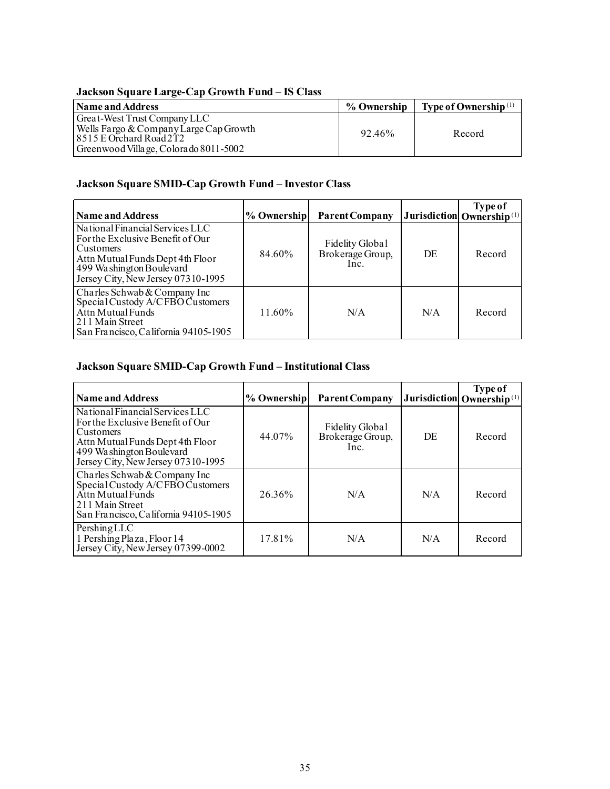## **Jackson Square Large-Cap Growth Fund – IS Class**

| Name and Address                       | % Ownership | $\parallel$ Type of Ownership <sup>(1)</sup> |
|----------------------------------------|-------------|----------------------------------------------|
| Great-West Trust Company LLC           |             |                                              |
| Wells Fargo & Company Large Cap Growth | 92.46%      | Record                                       |
| $18515$ E Orchard Road 2T2             |             |                                              |
| Greenwood Village, Colorado 8011-5002  |             |                                              |

# **Jackson Square SMID-Cap Growth Fund – Investor Class**

| <b>Name and Address</b>                                                                                                                                                                | % Ownership | <b>Parent Company</b>                       |     | <b>Type of</b><br>Jurisdiction Ownership <sup>(1)</sup> |
|----------------------------------------------------------------------------------------------------------------------------------------------------------------------------------------|-------------|---------------------------------------------|-----|---------------------------------------------------------|
| National Financial Services LLC<br>For the Exclusive Benefit of Our<br>Customers<br>Attn Mutual Funds Dept 4th Floor<br>499 Washington Boulevard<br>Jersey City, New Jersey 07310-1995 | 84.60%      | Fidelity Global<br>Brokerage Group,<br>Inc. | DE  | Record                                                  |
| Charles Schwab & Company Inc<br>Special Custody A/CFBO Customers<br>Attn Mutual Funds<br>211 Main Street<br>San Francisco, California 94105-1905                                       | 11.60%      | N/A                                         | N/A | Record                                                  |

### **Jackson Square SMID-Cap Growth Fund – Institutional Class**

| <b>Name and Address</b>                                                                                                                                                                | % Ownership | <b>Parent Company</b>                       |     | <b>Type of</b><br>Jurisdiction Ownership <sup>(1)</sup> |
|----------------------------------------------------------------------------------------------------------------------------------------------------------------------------------------|-------------|---------------------------------------------|-----|---------------------------------------------------------|
| National Financial Services LLC<br>For the Exclusive Benefit of Our<br>Customers<br>Attn Mutual Funds Dept 4th Floor<br>499 Washington Boulevard<br>Jersey City, New Jersey 07310-1995 | 44.07%      | Fidelity Global<br>Brokerage Group,<br>Inc. | DE  | Record                                                  |
| Charles Schwab & Company Inc<br>Special Custody A/CFBO Customers<br>Attn Mutual Funds<br>211 Main Street<br>San Francisco, California 94105-1905                                       | 26.36%      | N/A                                         | N/A | Record                                                  |
| Pershing LLC<br>1 Pershing Plaza, Floor 14<br>Jersey City, New Jersey 07399-0002                                                                                                       | 17.81%      | N/A                                         | N/A | Record                                                  |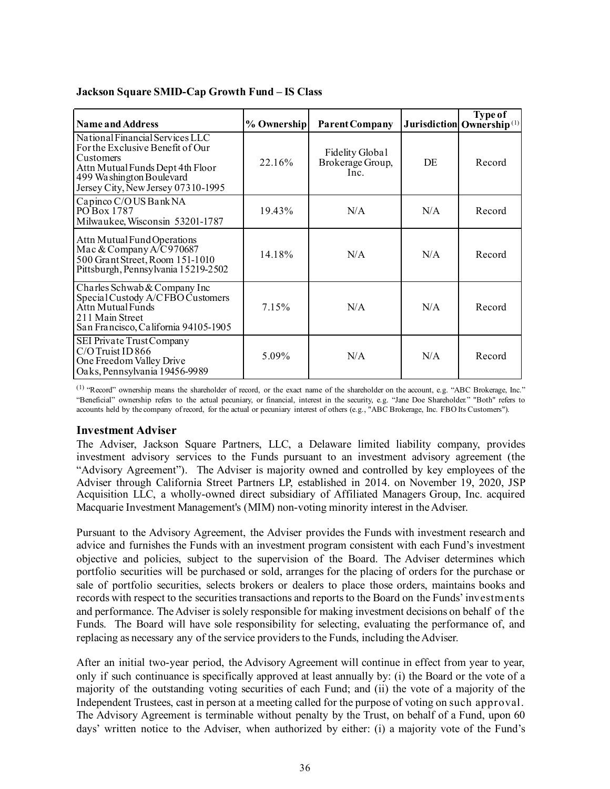| <b>Name and Address</b>                                                                                                                                                                | % Ownership | <b>Parent Company</b>                       |     | <b>Type of</b><br>Jurisdiction Ownership <sup>(1)</sup> |
|----------------------------------------------------------------------------------------------------------------------------------------------------------------------------------------|-------------|---------------------------------------------|-----|---------------------------------------------------------|
| National Financial Services LLC<br>For the Exclusive Benefit of Our<br>Customers<br>Attn Mutual Funds Dept 4th Floor<br>499 Washington Boulevard<br>Jersey City, New Jersey 07310-1995 | 22.16%      | Fidelity Global<br>Brokerage Group,<br>Inc. | DE  | Record                                                  |
| Capinco C/OUS Bank NA<br>PO Box 1787<br>Milwaukee, Wisconsin 53201-1787                                                                                                                | 19.43%      | N/A                                         | N/A | Record                                                  |
| Attn Mutual Fund Operations<br>Mac & Company $A/C970687$<br>500 Grant Street, Room 151-1010<br>Pittsburgh, Pennsylvania 15219-2502                                                     | 14.18%      | N/A                                         | N/A | Record                                                  |
| Charles Schwab & Company Inc<br>Special Custody A/CFBO Customers<br>Attn Mutual Funds<br>211 Main Street<br>San Francisco, California 94105-1905                                       | 7.15%       | N/A                                         | N/A | Record                                                  |
| SEI Private Trust Company<br>$C/O$ Truist ID 866<br>One Freedom Valley Drive<br>Oaks, Pennsylvania 19456-9989                                                                          | 5.09%       | N/A                                         | N/A | Record                                                  |

### **Jackson Square SMID-Cap Growth Fund – IS Class**

(1) "Record" ownership means the shareholder of record, or the exact name of the shareholder on the account, e.g. "ABC Brokerage, Inc." "Beneficial" ownership refers to the actual pecuniary, or financial, interest in the security, e.g. "Jane Doe Shareholder." "Both" refers to accounts held by the company of record, for the actual or pecuniary interest of others (e.g., "ABC Brokerage, Inc. FBO Its Customers").

### <span id="page-37-0"></span>**Investment Adviser**

The Adviser, Jackson Square Partners, LLC, a Delaware limited liability company, provides investment advisory services to the Funds pursuant to an investment advisory agreement (the "Advisory Agreement"). The Adviser is majority owned and controlled by key employees of the Adviser through California Street Partners LP, established in 2014. on November 19, 2020, JSP Acquisition LLC, a wholly-owned direct subsidiary of Affiliated Managers Group, Inc. acquired Macquarie Investment Management's (MIM) non-voting minority interest in the Adviser.

Pursuant to the Advisory Agreement, the Adviser provides the Funds with investment research and advice and furnishes the Funds with an investment program consistent with each Fund's investment objective and policies, subject to the supervision of the Board. The Adviser determines which portfolio securities will be purchased or sold, arranges for the placing of orders for the purchase or sale of portfolio securities, selects brokers or dealers to place those orders, maintains books and records with respect to the securities transactions and reports to the Board on the Funds' investments and performance. The Adviser is solely responsible for making investment decisions on behalf of the Funds. The Board will have sole responsibility for selecting, evaluating the performance of, and replacing as necessary any of the service providers to the Funds, including the Adviser.

After an initial two-year period, the Advisory Agreement will continue in effect from year to year, only if such continuance is specifically approved at least annually by: (i) the Board or the vote of a majority of the outstanding voting securities of each Fund; and (ii) the vote of a majority of the Independent Trustees, cast in person at a meeting called for the purpose of voting on such approval. The Advisory Agreement is terminable without penalty by the Trust, on behalf of a Fund, upon 60 days' written notice to the Adviser, when authorized by either: (i) a majority vote of the Fund's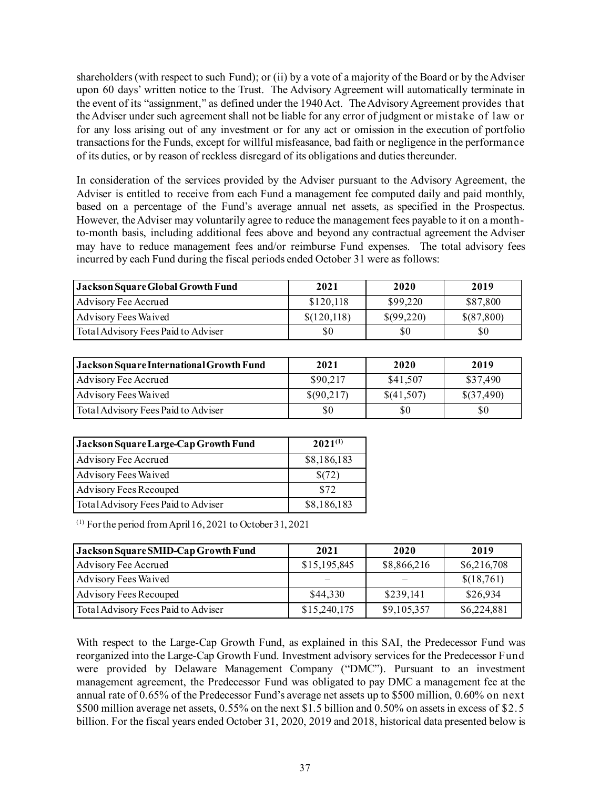shareholders (with respect to such Fund); or (ii) by a vote of a majority of the Board or by the Adviser upon 60 days' written notice to the Trust. The Advisory Agreement will automatically terminate in the event of its "assignment," as defined under the 1940 Act. The Advisory Agreement provides that the Adviser under such agreement shall not be liable for any error of judgment or mistake of law or for any loss arising out of any investment or for any act or omission in the execution of portfolio transactions for the Funds, except for willful misfeasance, bad faith or negligence in the performance of its duties, or by reason of reckless disregard of its obligations and duties thereunder.

In consideration of the services provided by the Adviser pursuant to the Advisory Agreement, the Adviser is entitled to receive from each Fund a management fee computed daily and paid monthly, based on a percentage of the Fund's average annual net assets, as specified in the Prospectus. However, the Adviser may voluntarily agree to reduce the management fees payable to it on a monthto-month basis, including additional fees above and beyond any contractual agreement the Adviser may have to reduce management fees and/or reimburse Fund expenses. The total advisory fees incurred by each Fund during the fiscal periods ended October 31 were as follows:

| <b>Jackson Square Global Growth Fund</b> | 2021        | 2020       | 2019       |
|------------------------------------------|-------------|------------|------------|
| Advisory Fee Accrued                     | \$120,118   | \$99,220   | \$87,800   |
| Advisory Fees Waived                     | \$(120,118) | \$(99,220) | \$(87,800) |
| Total Advisory Fees Paid to Adviser      | \$0         | \$0        | \$0        |

| Jackson Square International Growth Fund | 2021       | 2020       | 2019       |
|------------------------------------------|------------|------------|------------|
| Advisory Fee Accrued                     | \$90,217   | \$41,507   | \$37,490   |
| Advisory Fees Waived                     | \$(90,217) | \$(41,507) | \$(37,490) |
| Total Advisory Fees Paid to Adviser      | \$0        | \$0        | \$0        |

| Jackson Square Large-Cap Growth Fund | $2021^{(1)}$ |
|--------------------------------------|--------------|
| Advisory Fee Accrued                 | \$8,186,183  |
| Advisory Fees Waived                 | \$(72)       |
| Advisory Fees Recouped               | \$72         |
| Total Advisory Fees Paid to Adviser  | \$8,186,183  |

 $(1)$  For the period from April 16, 2021 to October 31, 2021

| Jackson Square SMID-Cap Growth Fund | 2021         | 2020        | 2019        |
|-------------------------------------|--------------|-------------|-------------|
| Advisory Fee Accrued                | \$15,195,845 | \$8,866,216 | \$6,216,708 |
| Advisory Fees Waived                |              |             | \$(18,761)  |
| Advisory Fees Recouped              | \$44,330     | \$239,141   | \$26,934    |
| Total Advisory Fees Paid to Adviser | \$15,240,175 | \$9,105,357 | \$6,224,881 |

With respect to the Large-Cap Growth Fund, as explained in this SAI, the Predecessor Fund was reorganized into the Large-Cap Growth Fund. Investment advisory services for the Predecessor Fund were provided by Delaware Management Company ("DMC"). Pursuant to an investment management agreement, the Predecessor Fund was obligated to pay DMC a management fee at the annual rate of 0.65% of the Predecessor Fund's average net assets up to \$500 million, 0.60% on next \$500 million average net assets, 0.55% on the next \$1.5 billion and 0.50% on assets in excess of \$2.5 billion. For the fiscal years ended October 31, 2020, 2019 and 2018, historical data presented below is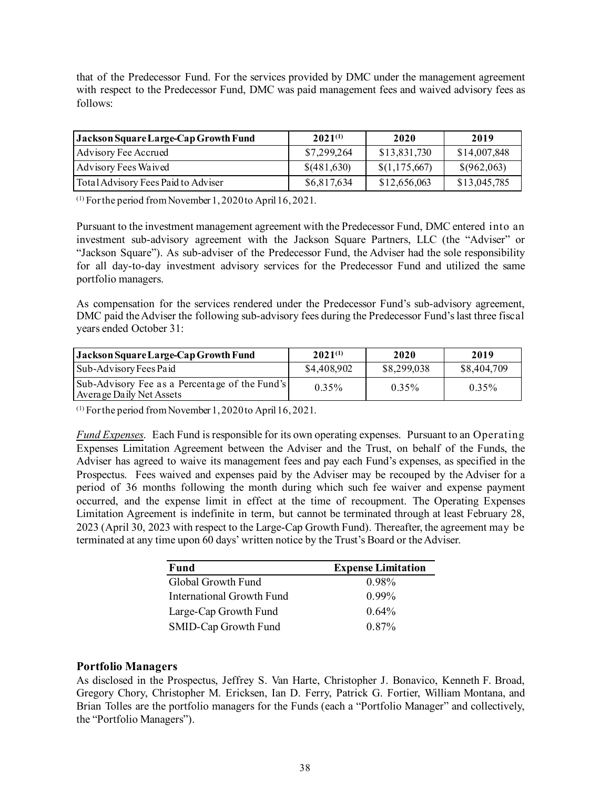that of the Predecessor Fund. For the services provided by DMC under the management agreement with respect to the Predecessor Fund, DMC was paid management fees and waived advisory fees as follows:

| Jackson Square Large-Cap Growth Fund | $2021^{(1)}$ | 2020                | 2019         |
|--------------------------------------|--------------|---------------------|--------------|
| Advisory Fee Accrued                 | \$7,299,264  | \$13,831,730        | \$14,007,848 |
| Advisory Fees Waived                 | \$(481,630)  | $\{(1, 175, 667)\}$ | \$(962,063)  |
| Total Advisory Fees Paid to Adviser  | \$6,817,634  | \$12,656,063        | \$13,045,785 |

(1) For the period from November 1, 2020 to April 16, 2021.

Pursuant to the investment management agreement with the Predecessor Fund, DMC entered into an investment sub-advisory agreement with the Jackson Square Partners, LLC (the "Adviser" or "Jackson Square"). As sub-adviser of the Predecessor Fund, the Adviser had the sole responsibility for all day-to-day investment advisory services for the Predecessor Fund and utilized the same portfolio managers.

As compensation for the services rendered under the Predecessor Fund's sub-advisory agreement, DMC paid the Adviser the following sub-advisory fees during the Predecessor Fund's last three fiscal years ended October 31:

| Jackson Square Large-Cap Growth Fund                                       | $2021^{(1)}$ | 2020        | 2019        |
|----------------------------------------------------------------------------|--------------|-------------|-------------|
| Sub-Advisory Fees Paid                                                     | \$4,408,902  | \$8,299,038 | \$8,404,709 |
| Sub-Advisory Fee as a Percentage of the Fund's<br>Average Daily Net Assets | $0.35\%$     | $0.35\%$    | $0.35\%$    |

(1) For the period from November 1, 2020 to April 16, 2021.

*Fund Expenses*. Each Fund is responsible for its own operating expenses. Pursuant to an Operating Expenses Limitation Agreement between the Adviser and the Trust, on behalf of the Funds, the Adviser has agreed to waive its management fees and pay each Fund's expenses, as specified in the Prospectus. Fees waived and expenses paid by the Adviser may be recouped by the Adviser for a period of 36 months following the month during which such fee waiver and expense payment occurred, and the expense limit in effect at the time of recoupment. The Operating Expenses Limitation Agreement is indefinite in term, but cannot be terminated through at least February 28, 2023 (April 30, 2023 with respect to the Large-Cap Growth Fund). Thereafter, the agreement may be terminated at any time upon 60 days' written notice by the Trust's Board or the Adviser.

| Fund                      | <b>Expense Limitation</b> |
|---------------------------|---------------------------|
| Global Growth Fund        | $0.98\%$                  |
| International Growth Fund | $0.99\%$                  |
| Large-Cap Growth Fund     | $0.64\%$                  |
| SMID-Cap Growth Fund      | 0.87%                     |

### <span id="page-39-0"></span>**Portfolio Managers**

As disclosed in the Prospectus, Jeffrey S. Van Harte, Christopher J. Bonavico, Kenneth F. Broad, Gregory Chory, Christopher M. Ericksen, Ian D. Ferry, Patrick G. Fortier, William Montana, and Brian Tolles are the portfolio managers for the Funds (each a "Portfolio Manager" and collectively, the "Portfolio Managers").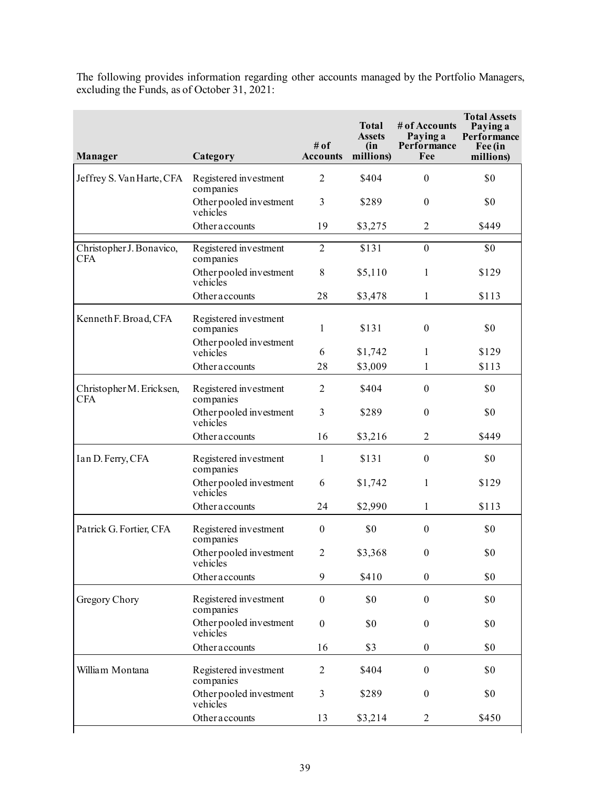The following provides information regarding other accounts managed by the Portfolio Managers, excluding the Funds, as of October 31, 2021:

| <b>Manager</b>                         | Category                            | # of<br><b>Accounts</b> | <b>Total</b><br><b>Assets</b><br>(in<br>millions) | # of Accounts<br>Paying a<br>Performance<br>Fee | <b>Total Assets</b><br>Paying a<br>Performance<br>Fee (in<br>millions) |
|----------------------------------------|-------------------------------------|-------------------------|---------------------------------------------------|-------------------------------------------------|------------------------------------------------------------------------|
| Jeffrey S. Van Harte, CFA              | Registered investment<br>companies  | $\overline{2}$          | \$404                                             | $\mathbf{0}$                                    | \$0                                                                    |
|                                        | Other pooled investment<br>vehicles | 3                       | \$289                                             | $\mathbf{0}$                                    | \$0                                                                    |
|                                        | Otheraccounts                       | 19                      | \$3,275                                           | 2                                               | \$449                                                                  |
| Christopher J. Bonavico,<br><b>CFA</b> | Registered investment<br>companies  | $\overline{2}$          | \$131                                             | $\mathbf{0}$                                    | \$0                                                                    |
|                                        | Other pooled investment<br>vehicles | 8                       | \$5,110                                           | 1                                               | \$129                                                                  |
|                                        | Otheraccounts                       | 28                      | \$3,478                                           | 1                                               | \$113                                                                  |
| Kenneth F. Broad, CFA                  | Registered investment<br>companies  | $\mathbf{1}$            | \$131                                             | $\boldsymbol{0}$                                | \$0                                                                    |
|                                        | Other pooled investment<br>vehicles | 6                       | \$1,742                                           | 1                                               | \$129                                                                  |
|                                        | Otheraccounts                       | 28                      | \$3,009                                           | 1                                               | \$113                                                                  |
| Christopher M. Ericksen,<br>CFA        | Registered investment<br>companies  | $\overline{2}$          | \$404                                             | $\mathbf{0}$                                    | \$0                                                                    |
|                                        | Other pooled investment<br>vehicles | $\overline{3}$          | \$289                                             | $\mathbf{0}$                                    | \$0                                                                    |
|                                        | Otheraccounts                       | 16                      | \$3,216                                           | $\overline{2}$                                  | \$449                                                                  |
| Ian D. Ferry, CFA                      | Registered investment<br>companies  | 1                       | \$131                                             | $\boldsymbol{0}$                                | \$0                                                                    |
|                                        | Other pooled investment<br>vehicles | 6                       | \$1,742                                           | 1                                               | \$129                                                                  |
|                                        | Otheraccounts                       | 24                      | \$2,990                                           | $\mathbf{1}$                                    | \$113                                                                  |
| Patrick G. Fortier, CFA                | Registered investment<br>companies  | $\boldsymbol{0}$        | \$0                                               | $\boldsymbol{0}$                                | \$0                                                                    |
|                                        | Other pooled investment<br>vehicles | $\overline{2}$          | \$3,368                                           | $\boldsymbol{0}$                                | \$0                                                                    |
|                                        | Otheraccounts                       | 9                       | \$410                                             | $\theta$                                        | \$0                                                                    |
| Gregory Chory                          | Registered investment<br>companies  | $\boldsymbol{0}$        | \$0                                               | $\boldsymbol{0}$                                | \$0                                                                    |
|                                        | Other pooled investment<br>vehicles | $\boldsymbol{0}$        | \$0                                               | $\boldsymbol{0}$                                | \$0                                                                    |
|                                        | Otheraccounts                       | 16                      | \$3                                               | $\boldsymbol{0}$                                | \$0                                                                    |
| William Montana                        | Registered investment<br>companies  | $\overline{2}$          | \$404                                             | $\boldsymbol{0}$                                | \$0                                                                    |
|                                        | Other pooled investment<br>vehicles | 3                       | \$289                                             | $\boldsymbol{0}$                                | \$0                                                                    |
|                                        | Otheraccounts                       | 13                      | \$3,214                                           | $\overline{2}$                                  | \$450                                                                  |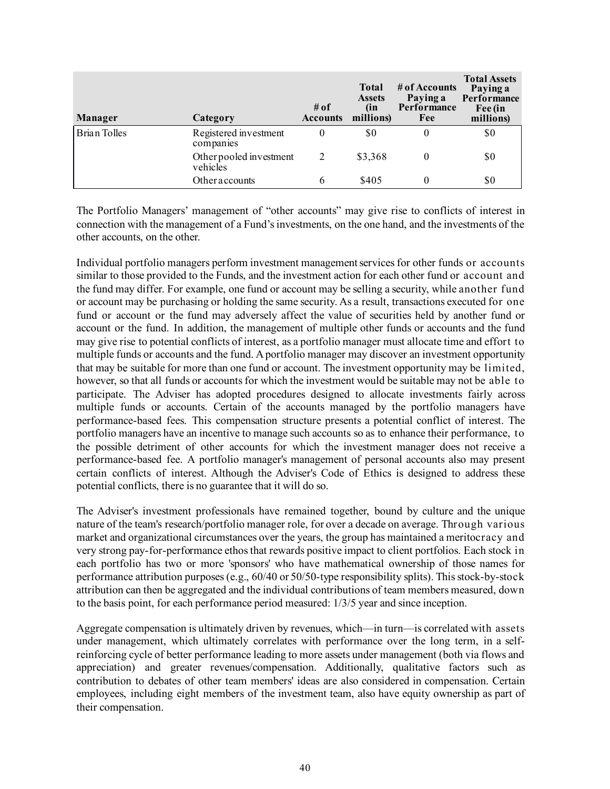| <b>Manager</b>      | Category                            | # of<br><b>Accounts</b> | <b>Total</b><br><b>Assets</b><br>(in<br>millions) | # of Accounts<br>Paying a<br>Performance<br>Fee | <b>Total Assets</b><br>Paying a<br>Performance<br>Fee (in<br>millions) |
|---------------------|-------------------------------------|-------------------------|---------------------------------------------------|-------------------------------------------------|------------------------------------------------------------------------|
| <b>Brian Tolles</b> | Registered investment<br>companies  | 0                       | \$0                                               |                                                 | \$0                                                                    |
|                     | Other pooled investment<br>vehicles | 2                       | \$3,368                                           |                                                 | \$0                                                                    |
|                     | Otheraccounts                       | 6                       | \$405                                             |                                                 | \$0                                                                    |

The Portfolio Managers' management of "other accounts" may give rise to conflicts of interest in connection with the management of a Fund's investments, on the one hand, and the investments of the other accounts, on the other.

Individual portfolio managers perform investment management services for other funds or accounts similar to those provided to the Funds, and the investment action for each other fund or account and the fund may differ. For example, one fund or account may be selling a security, while another fund or account may be purchasing or holding the same security. As a result, transactions executed for one fund or account or the fund may adversely affect the value of securities held by another fund or account or the fund. In addition, the management of multiple other funds or accounts and the fund may give rise to potential conflicts of interest, as a portfolio manager must allocate time and effort to multiple funds or accounts and the fund. A portfolio manager may discover an investment opportunity that may be suitable for more than one fund or account. The investment opportunity may be limited, however, so that all funds or accounts for which the investment would be suitable may not be able to participate. The Adviser has adopted procedures designed to allocate investments fairly across multiple funds or accounts. Certain of the accounts managed by the portfolio managers have performance-based fees. This compensation structure presents a potential conflict of interest. The portfolio managers have an incentive to manage such accounts so as to enhance their performance, to the possible detriment of other accounts for which the investment manager does not receive a performance-based fee. A portfolio manager's management of personal accounts also may present certain conflicts of interest. Although the Adviser's Code of Ethics is designed to address these potential conflicts, there is no guarantee that it will do so.

The Adviser's investment professionals have remained together, bound by culture and the unique nature of the team's research/portfolio manager role, for over a decade on average. Through various market and organizational circumstances over the years, the group has maintained a meritocracy and very strong pay-for-performance ethos that rewards positive impact to client portfolios. Each stock in each portfolio has two or more 'sponsors' who have mathematical ownership of those names for performance attribution purposes (e.g., 60/40 or 50/50-type responsibility splits). This stock-by-stock attribution can then be aggregated and the individual contributions of team members measured, down to the basis point, for each performance period measured: 1/3/5 year and since inception.

Aggregate compensation is ultimately driven by revenues, which—in turn—is correlated with assets under management, which ultimately correlates with performance over the long term, in a selfreinforcing cycle of better performance leading to more assets under management (both via flows and appreciation) and greater revenues/compensation. Additionally, qualitative factors such as contribution to debates of other team members' ideas are also considered in compensation. Certain employees, including eight members of the investment team, also have equity ownership as part of their compensation.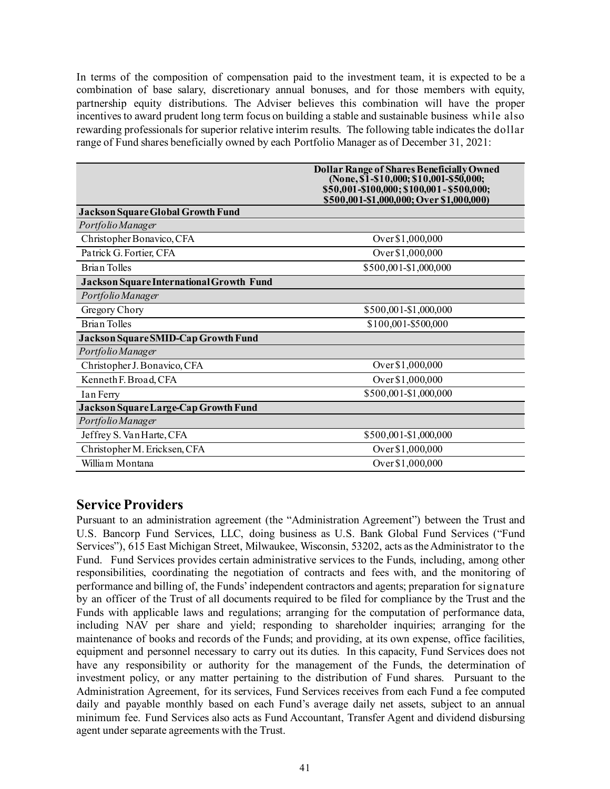In terms of the composition of compensation paid to the investment team, it is expected to be a combination of base salary, discretionary annual bonuses, and for those members with equity, partnership equity distributions. The Adviser believes this combination will have the proper incentives to award prudent long term focus on building a stable and sustainable business while also rewarding professionals for superior relative interim results. The following table indicates the dollar range of Fund shares beneficially owned by each Portfolio Manager as of December 31, 2021:

|                                          | <b>Dollar Range of Shares Beneficially Owned</b><br>(None, $\$1$ -\$10,000; \$10,001-\$50,000; |
|------------------------------------------|------------------------------------------------------------------------------------------------|
|                                          | \$50,001-\$100,000; \$100,001-\$500,000;<br>\$500,001-\$1,000,000; Over \$1,000,000)           |
| <b>Jackson Square Global Growth Fund</b> |                                                                                                |
| Portfolio Manager                        |                                                                                                |
| Christopher Bonavico, CFA                | Over \$1,000,000                                                                               |
| Patrick G. Fortier, CFA                  | Over \$1,000,000                                                                               |
| <b>Brian Tolles</b>                      | \$500,001-\$1,000,000                                                                          |
| Jackson Square International Growth Fund |                                                                                                |
| Portfolio Manager                        |                                                                                                |
| Gregory Chory                            | \$500,001-\$1,000,000                                                                          |
| <b>Brian Tolles</b>                      | \$100,001-\$500,000                                                                            |
| Jackson Square SMID-Cap Growth Fund      |                                                                                                |
| Portfolio Manager                        |                                                                                                |
| Christopher J. Bonavico, CFA             | Over \$1,000,000                                                                               |
| Kenneth F. Broad, CFA                    | Over \$1,000,000                                                                               |
| Ian Ferry                                | \$500,001-\$1,000,000                                                                          |
| Jackson Square Large-Cap Growth Fund     |                                                                                                |
| Portfolio Manager                        |                                                                                                |
| Jeffrey S. Van Harte, CFA                | \$500,001-\$1,000,000                                                                          |
| Christopher M. Ericksen, CFA             | Over \$1,000,000                                                                               |
| William Montana                          | Over \$1,000,000                                                                               |

# <span id="page-42-0"></span>**Service Providers**

Pursuant to an administration agreement (the "Administration Agreement") between the Trust and U.S. Bancorp Fund Services, LLC, doing business as U.S. Bank Global Fund Services ("Fund Services"), 615 East Michigan Street, Milwaukee, Wisconsin, 53202, acts as the Administrator to the Fund. Fund Services provides certain administrative services to the Funds, including, among other responsibilities, coordinating the negotiation of contracts and fees with, and the monitoring of performance and billing of, the Funds' independent contractors and agents; preparation for signature by an officer of the Trust of all documents required to be filed for compliance by the Trust and the Funds with applicable laws and regulations; arranging for the computation of performance data, including NAV per share and yield; responding to shareholder inquiries; arranging for the maintenance of books and records of the Funds; and providing, at its own expense, office facilities, equipment and personnel necessary to carry out its duties. In this capacity, Fund Services does not have any responsibility or authority for the management of the Funds, the determination of investment policy, or any matter pertaining to the distribution of Fund shares. Pursuant to the Administration Agreement, for its services, Fund Services receives from each Fund a fee computed daily and payable monthly based on each Fund's average daily net assets, subject to an annual minimum fee. Fund Services also acts as Fund Accountant, Transfer Agent and dividend disbursing agent under separate agreements with the Trust.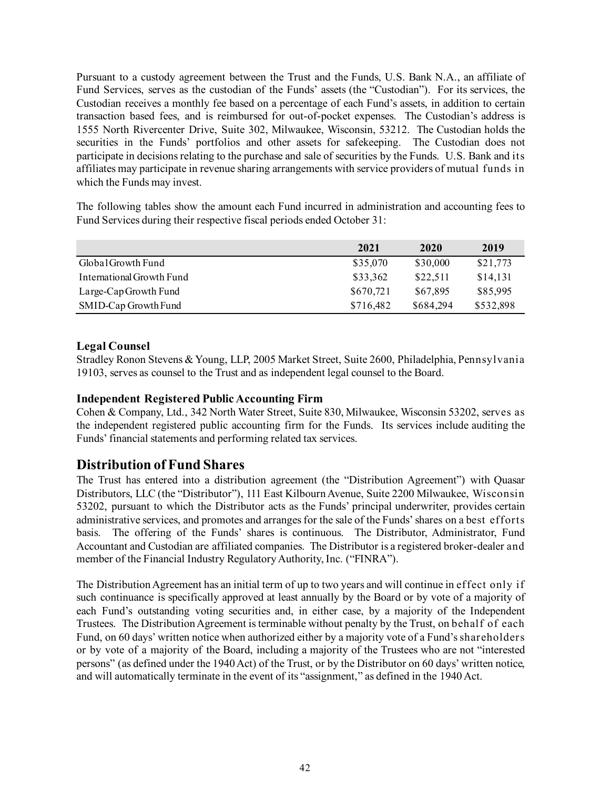Pursuant to a custody agreement between the Trust and the Funds, U.S. Bank N.A., an affiliate of Fund Services, serves as the custodian of the Funds' assets (the "Custodian"). For its services, the Custodian receives a monthly fee based on a percentage of each Fund's assets, in addition to certain transaction based fees, and is reimbursed for out-of-pocket expenses. The Custodian's address is 1555 North Rivercenter Drive, Suite 302, Milwaukee, Wisconsin, 53212. The Custodian holds the securities in the Funds' portfolios and other assets for safekeeping. The Custodian does not participate in decisions relating to the purchase and sale of securities by the Funds. U.S. Bank and its affiliates may participate in revenue sharing arrangements with service providers of mutual funds in which the Funds may invest.

The following tables show the amount each Fund incurred in administration and accounting fees to Fund Services during their respective fiscal periods ended October 31:

|                           | 2021      | 2020      | 2019      |
|---------------------------|-----------|-----------|-----------|
| Global Growth Fund        | \$35,070  | \$30,000  | \$21,773  |
| International Growth Fund | \$33,362  | \$22,511  | \$14,131  |
| Large-Cap Growth Fund     | \$670,721 | \$67,895  | \$85,995  |
| SMID-Cap Growth Fund      | \$716,482 | \$684,294 | \$532,898 |

### <span id="page-43-0"></span>**Legal Counsel**

Stradley Ronon Stevens & Young, LLP, 2005 Market Street, Suite 2600, Philadelphia, Pennsylvania 19103, serves as counsel to the Trust and as independent legal counsel to the Board.

### <span id="page-43-1"></span>**Independent Registered Public Accounting Firm**

Cohen & Company, Ltd., 342 North Water Street, Suite 830, Milwaukee, Wisconsin 53202, serves as the independent registered public accounting firm for the Funds. Its services include auditing the Funds' financial statements and performing related tax services.

# <span id="page-43-2"></span>**Distribution of Fund Shares**

The Trust has entered into a distribution agreement (the "Distribution Agreement") with Quasar Distributors, LLC (the "Distributor"), 111 East Kilbourn Avenue, Suite 2200 Milwaukee, Wisconsin 53202, pursuant to which the Distributor acts as the Funds' principal underwriter, provides certain administrative services, and promotes and arranges for the sale of the Funds' shares on a best efforts basis. The offering of the Funds' shares is continuous. The Distributor, Administrator, Fund Accountant and Custodian are affiliated companies. The Distributor is a registered broker-dealer and member of the Financial Industry Regulatory Authority, Inc. ("FINRA").

The Distribution Agreement has an initial term of up to two years and will continue in effect only if such continuance is specifically approved at least annually by the Board or by vote of a majority of each Fund's outstanding voting securities and, in either case, by a majority of the Independent Trustees. The Distribution Agreement is terminable without penalty by the Trust, on behalf of each Fund, on 60 days' written notice when authorized either by a majority vote of a Fund's shareholders or by vote of a majority of the Board, including a majority of the Trustees who are not "interested persons" (as defined under the 1940Act) of the Trust, or by the Distributor on 60 days' written notice, and will automatically terminate in the event of its "assignment," as defined in the 1940 Act.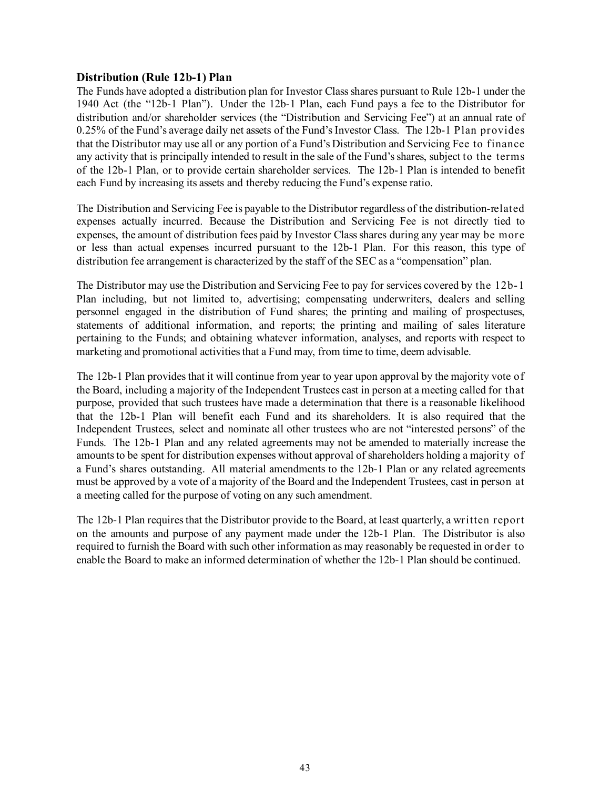### **Distribution (Rule 12b-1) Plan**

The Funds have adopted a distribution plan for Investor Class shares pursuant to Rule 12b-1 under the 1940 Act (the "12b-1 Plan"). Under the 12b-1 Plan, each Fund pays a fee to the Distributor for distribution and/or shareholder services (the "Distribution and Servicing Fee") at an annual rate of 0.25% of the Fund's average daily net assets of the Fund's Investor Class. The 12b-1 Plan provides that the Distributor may use all or any portion of a Fund's Distribution and Servicing Fee to finance any activity that is principally intended to result in the sale of the Fund's shares, subject to the terms of the 12b-1 Plan, or to provide certain shareholder services. The 12b-1 Plan is intended to benefit each Fund by increasing its assets and thereby reducing the Fund's expense ratio.

The Distribution and Servicing Fee is payable to the Distributor regardless of the distribution-related expenses actually incurred. Because the Distribution and Servicing Fee is not directly tied to expenses, the amount of distribution fees paid by Investor Class shares during any year may be more or less than actual expenses incurred pursuant to the 12b-1 Plan. For this reason, this type of distribution fee arrangement is characterized by the staff of the SEC as a "compensation" plan.

The Distributor may use the Distribution and Servicing Fee to pay for services covered by the 12b-1 Plan including, but not limited to, advertising; compensating underwriters, dealers and selling personnel engaged in the distribution of Fund shares; the printing and mailing of prospectuses, statements of additional information, and reports; the printing and mailing of sales literature pertaining to the Funds; and obtaining whatever information, analyses, and reports with respect to marketing and promotional activities that a Fund may, from time to time, deem advisable.

The 12b-1 Plan provides that it will continue from year to year upon approval by the majority vote of the Board, including a majority of the Independent Trustees cast in person at a meeting called for that purpose, provided that such trustees have made a determination that there is a reasonable likelihood that the 12b-1 Plan will benefit each Fund and its shareholders. It is also required that the Independent Trustees, select and nominate all other trustees who are not "interested persons" of the Funds. The 12b-1 Plan and any related agreements may not be amended to materially increase the amounts to be spent for distribution expenses without approval of shareholders holding a majority of a Fund's shares outstanding. All material amendments to the 12b-1 Plan or any related agreements must be approved by a vote of a majority of the Board and the Independent Trustees, cast in person at a meeting called for the purpose of voting on any such amendment.

The 12b-1 Plan requires that the Distributor provide to the Board, at least quarterly, a written report on the amounts and purpose of any payment made under the 12b-1 Plan. The Distributor is also required to furnish the Board with such other information as may reasonably be requested in order to enable the Board to make an informed determination of whether the 12b-1 Plan should be continued.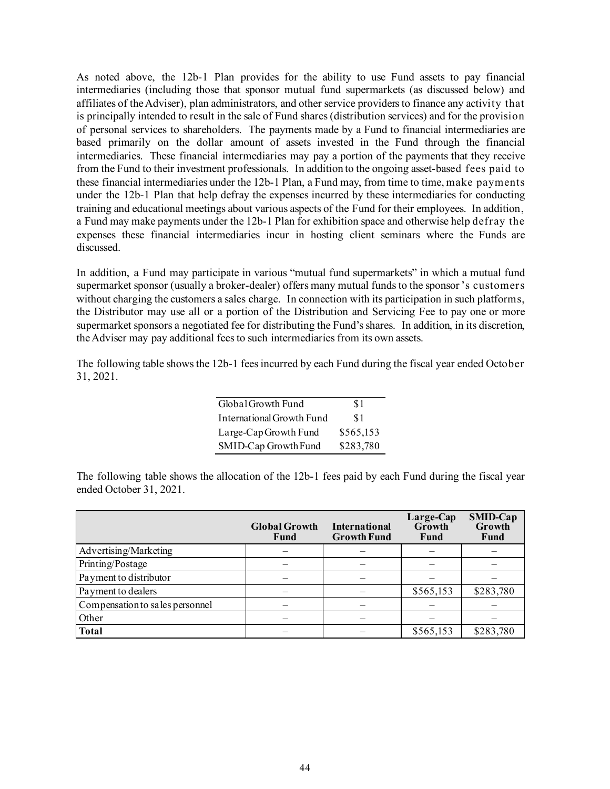As noted above, the 12b-1 Plan provides for the ability to use Fund assets to pay financial intermediaries (including those that sponsor mutual fund supermarkets (as discussed below) and affiliates of the Adviser), plan administrators, and other service providers to finance any activity that is principally intended to result in the sale of Fund shares (distribution services) and for the provision of personal services to shareholders. The payments made by a Fund to financial intermediaries are based primarily on the dollar amount of assets invested in the Fund through the financial intermediaries. These financial intermediaries may pay a portion of the payments that they receive from the Fund to their investment professionals. In addition to the ongoing asset-based fees paid to these financial intermediaries under the 12b-1 Plan, a Fund may, from time to time, make payments under the 12b-1 Plan that help defray the expenses incurred by these intermediaries for conducting training and educational meetings about various aspects of the Fund for their employees. In addition, a Fund may make payments under the 12b-1 Plan for exhibition space and otherwise help defray the expenses these financial intermediaries incur in hosting client seminars where the Funds are discussed.

In addition, a Fund may participate in various "mutual fund supermarkets" in which a mutual fund supermarket sponsor (usually a broker-dealer) offers many mutual funds to the sponsor 's customers without charging the customers a sales charge. In connection with its participation in such platforms, the Distributor may use all or a portion of the Distribution and Servicing Fee to pay one or more supermarket sponsors a negotiated fee for distributing the Fund's shares. In addition, in its discretion, the Adviser may pay additional fees to such intermediaries from its own assets.

The following table shows the 12b-1 fees incurred by each Fund during the fiscal year ended October 31, 2021.

| Global Growth Fund        | \$1       |
|---------------------------|-----------|
| International Growth Fund | \$1       |
| Large-Cap Growth Fund     | \$565,153 |
| SMID-Cap Growth Fund      | \$283,780 |

The following table shows the allocation of the 12b-1 fees paid by each Fund during the fiscal year ended October 31, 2021.

|                                 | <b>Global Growth</b><br>Fund | <b>International</b><br><b>Growth Fund</b> | Large-Cap<br>Growth<br>Fund | SMID-Cap<br>Growth<br><b>Fund</b> |
|---------------------------------|------------------------------|--------------------------------------------|-----------------------------|-----------------------------------|
| Advertising/Marketing           |                              |                                            |                             |                                   |
| Printing/Postage                |                              |                                            |                             |                                   |
| Payment to distributor          |                              |                                            |                             |                                   |
| Payment to dealers              |                              |                                            | \$565,153                   | \$283,780                         |
| Compensation to sales personnel |                              |                                            |                             |                                   |
| Other                           |                              |                                            |                             |                                   |
| Total                           |                              |                                            | \$565,153                   | \$283,780                         |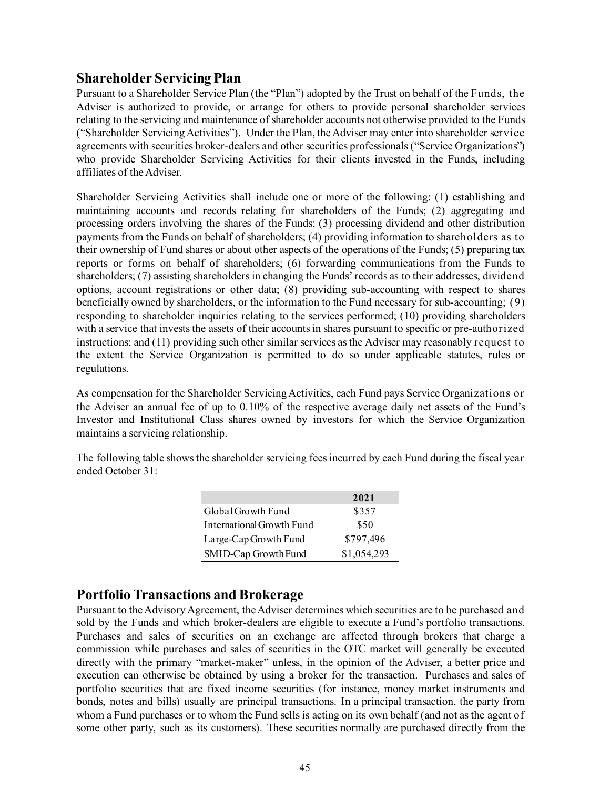# <span id="page-46-0"></span>**Shareholder Servicing Plan**

Pursuant to a Shareholder Service Plan (the "Plan") adopted by the Trust on behalf of the Funds, the Adviser is authorized to provide, or arrange for others to provide personal shareholder services relating to the servicing and maintenance of shareholder accounts not otherwise provided to the Funds ("Shareholder Servicing Activities"). Under the Plan, the Adviser may enter into shareholder service agreements with securities broker-dealers and other securities professionals ("Service Organizations") who provide Shareholder Servicing Activities for their clients invested in the Funds, including affiliates of the Adviser.

Shareholder Servicing Activities shall include one or more of the following: (1) establishing and maintaining accounts and records relating for shareholders of the Funds; (2) aggregating and processing orders involving the shares of the Funds; (3) processing dividend and other distribution payments from the Funds on behalf of shareholders; (4) providing information to shareholders as to their ownership of Fund shares or about other aspects of the operations of the Funds; (5) preparing tax reports or forms on behalf of shareholders; (6) forwarding communications from the Funds to shareholders; (7) assisting shareholders in changing the Funds' records as to their addresses, dividend options, account registrations or other data; (8) providing sub-accounting with respect to shares beneficially owned by shareholders, or the information to the Fund necessary for sub-accounting; (9) responding to shareholder inquiries relating to the services performed; (10) providing shareholders with a service that invests the assets of their accounts in shares pursuant to specific or pre-authorized instructions; and (11) providing such other similar services as the Adviser may reasonably request to the extent the Service Organization is permitted to do so under applicable statutes, rules or regulations.

As compensation for the Shareholder Servicing Activities, each Fund pays Service Organizations or the Adviser an annual fee of up to 0.10% of the respective average daily net assets of the Fund's Investor and Institutional Class shares owned by investors for which the Service Organization maintains a servicing relationship.

The following table shows the shareholder servicing fees incurred by each Fund during the fiscal year ended October 31:

|                           | 2021        |
|---------------------------|-------------|
| Global Growth Fund        | \$357       |
| International Growth Fund | \$50        |
| Large-Cap Growth Fund     | \$797,496   |
| SMID-Cap Growth Fund      | \$1,054,293 |

# <span id="page-46-1"></span>**Portfolio Transactions and Brokerage**

Pursuant to the Advisory Agreement, the Adviser determines which securities are to be purchased and sold by the Funds and which broker-dealers are eligible to execute a Fund's portfolio transactions. Purchases and sales of securities on an exchange are affected through brokers that charge a commission while purchases and sales of securities in the OTC market will generally be executed directly with the primary "market-maker" unless, in the opinion of the Adviser, a better price and execution can otherwise be obtained by using a broker for the transaction. Purchases and sales of portfolio securities that are fixed income securities (for instance, money market instruments and bonds, notes and bills) usually are principal transactions. In a principal transaction, the party from whom a Fund purchases or to whom the Fund sells is acting on its own behalf (and not as the agent of some other party, such as its customers). These securities normally are purchased directly from the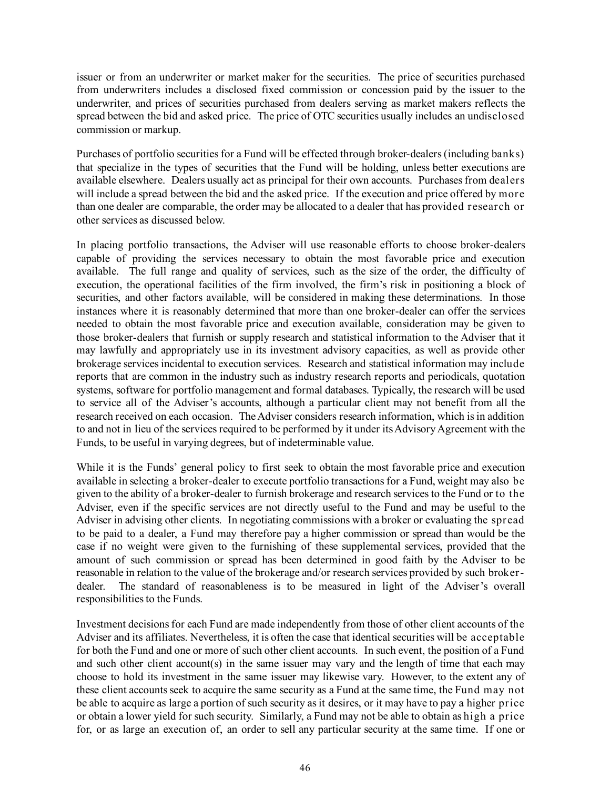issuer or from an underwriter or market maker for the securities. The price of securities purchased from underwriters includes a disclosed fixed commission or concession paid by the issuer to the underwriter, and prices of securities purchased from dealers serving as market makers reflects the spread between the bid and asked price. The price of OTC securities usually includes an undisclosed commission or markup.

Purchases of portfolio securities for a Fund will be effected through broker-dealers (including banks) that specialize in the types of securities that the Fund will be holding, unless better executions are available elsewhere. Dealers usually act as principal for their own accounts. Purchases from dealers will include a spread between the bid and the asked price. If the execution and price offered by more than one dealer are comparable, the order may be allocated to a dealer that has provided research or other services as discussed below.

In placing portfolio transactions, the Adviser will use reasonable efforts to choose broker-dealers capable of providing the services necessary to obtain the most favorable price and execution available. The full range and quality of services, such as the size of the order, the difficulty of execution, the operational facilities of the firm involved, the firm's risk in positioning a block of securities, and other factors available, will be considered in making these determinations. In those instances where it is reasonably determined that more than one broker-dealer can offer the services needed to obtain the most favorable price and execution available, consideration may be given to those broker-dealers that furnish or supply research and statistical information to the Adviser that it may lawfully and appropriately use in its investment advisory capacities, as well as provide other brokerage services incidental to execution services. Research and statistical information may include reports that are common in the industry such as industry research reports and periodicals, quotation systems, software for portfolio management and formal databases. Typically, the research will be used to service all of the Adviser's accounts, although a particular client may not benefit from all the research received on each occasion. The Adviser considers research information, which is in addition to and not in lieu of the services required to be performed by it under its Advisory Agreement with the Funds, to be useful in varying degrees, but of indeterminable value.

While it is the Funds' general policy to first seek to obtain the most favorable price and execution available in selecting a broker-dealer to execute portfolio transactions for a Fund, weight may also be given to the ability of a broker-dealer to furnish brokerage and research services to the Fund or to the Adviser, even if the specific services are not directly useful to the Fund and may be useful to the Adviser in advising other clients. In negotiating commissions with a broker or evaluating the spread to be paid to a dealer, a Fund may therefore pay a higher commission or spread than would be the case if no weight were given to the furnishing of these supplemental services, provided that the amount of such commission or spread has been determined in good faith by the Adviser to be reasonable in relation to the value of the brokerage and/or research services provided by such brokerdealer. The standard of reasonableness is to be measured in light of the Adviser's overall responsibilities to the Funds.

Investment decisions for each Fund are made independently from those of other client accounts of the Adviser and its affiliates. Nevertheless, it is often the case that identical securities will be acceptable for both the Fund and one or more of such other client accounts. In such event, the position of a Fund and such other client account(s) in the same issuer may vary and the length of time that each may choose to hold its investment in the same issuer may likewise vary. However, to the extent any of these client accounts seek to acquire the same security as a Fund at the same time, the Fund may not be able to acquire as large a portion of such security as it desires, or it may have to pay a higher price or obtain a lower yield for such security. Similarly, a Fund may not be able to obtain as high a price for, or as large an execution of, an order to sell any particular security at the same time. If one or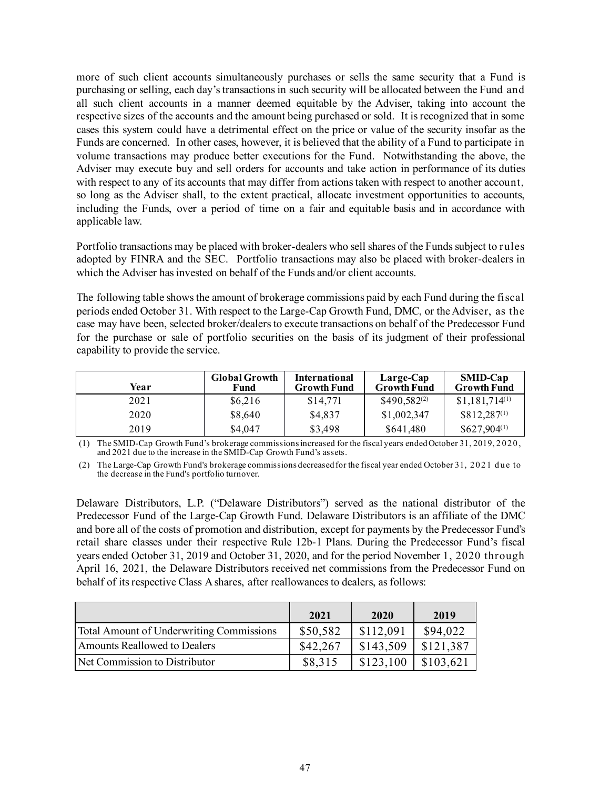more of such client accounts simultaneously purchases or sells the same security that a Fund is purchasing or selling, each day's transactions in such security will be allocated between the Fund and all such client accounts in a manner deemed equitable by the Adviser, taking into account the respective sizes of the accounts and the amount being purchased or sold. It is recognized that in some cases this system could have a detrimental effect on the price or value of the security insofar as the Funds are concerned. In other cases, however, it is believed that the ability of a Fund to participate in volume transactions may produce better executions for the Fund. Notwithstanding the above, the Adviser may execute buy and sell orders for accounts and take action in performance of its duties with respect to any of its accounts that may differ from actions taken with respect to another account, so long as the Adviser shall, to the extent practical, allocate investment opportunities to accounts, including the Funds, over a period of time on a fair and equitable basis and in accordance with applicable law.

Portfolio transactions may be placed with broker-dealers who sell shares of the Funds subject to rules adopted by FINRA and the SEC. Portfolio transactions may also be placed with broker-dealers in which the Adviser has invested on behalf of the Funds and/or client accounts.

The following table shows the amount of brokerage commissions paid by each Fund during the fiscal periods ended October 31. With respect to the Large-Cap Growth Fund, DMC, or the Adviser, as the case may have been, selected broker/dealers to execute transactions on behalf of the Predecessor Fund for the purchase or sale of portfolio securities on the basis of its judgment of their professional capability to provide the service.

| Year | <b>Global Growth</b><br>Fund | <b>International</b><br><b>Growth Fund</b> | Large-Cap<br><b>Growth Fund</b> | <b>SMID-Cap</b><br><b>Growth Fund</b> |
|------|------------------------------|--------------------------------------------|---------------------------------|---------------------------------------|
| 2021 | \$6,216                      | \$14,771                                   | $$490,582^{(2)}$$               | $$1,181,714^{(1)}$                    |
| 2020 | \$8,640                      | \$4,837                                    | \$1,002,347                     | $$812,287^{(1)}$                      |
| 2019 | \$4,047                      | \$3,498                                    | \$641,480                       | $$627,904^{(1)}$                      |

(1) The SMID-Cap Growth Fund's brokerage commissions increased for the fiscal years ended October 31, 2019, 2 0 2 0 , and 2021 due to the increase in the SMID-Cap Growth Fund's assets.

(2) The Large-Cap Growth Fund's brokerage commissions decreased for the fiscal year ended October 31, 2021 due to the decrease in the Fund's portfolio turnover.

Delaware Distributors, L.P. ("Delaware Distributors") served as the national distributor of the Predecessor Fund of the Large-Cap Growth Fund. Delaware Distributors is an affiliate of the DMC and bore all of the costs of promotion and distribution, except for payments by the Predecessor Fund's retail share classes under their respective Rule 12b-1 Plans. During the Predecessor Fund's fiscal years ended October 31, 2019 and October 31, 2020, and for the period November 1, 2020 through April 16, 2021, the Delaware Distributors received net commissions from the Predecessor Fund on behalf of its respective Class A shares, after reallowances to dealers, as follows:

|                                          | 2021     | 2020      | 2019      |
|------------------------------------------|----------|-----------|-----------|
| Total Amount of Underwriting Commissions | \$50,582 | \$112,091 | \$94,022  |
| Amounts Reallowed to Dealers             | \$42,267 | \$143,509 | \$121,387 |
| Net Commission to Distributor            | \$8,315  | \$123,100 | \$103,621 |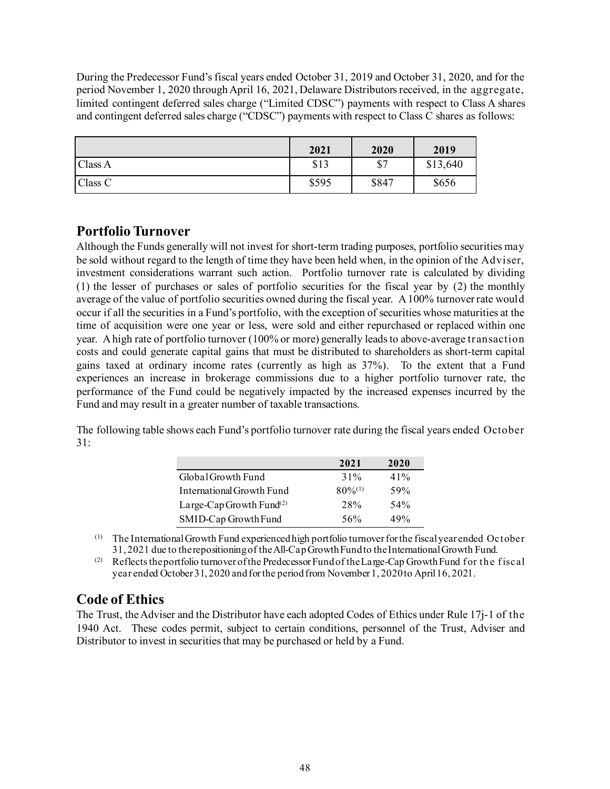During the Predecessor Fund's fiscal years ended October 31, 2019 and October 31, 2020, and for the period November 1, 2020 through April 16, 2021, Delaware Distributors received, in the aggregate, limited contingent deferred sales charge ("Limited CDSC") payments with respect to Class A shares and contingent deferred sales charge ("CDSC") payments with respect to Class C shares as follows:

|         | 2021  | 2020  | 2019     |
|---------|-------|-------|----------|
| Class A | \$13  | \$7   | \$13,640 |
| Class C | \$595 | \$847 | \$656    |

# <span id="page-49-0"></span>**Portfolio Turnover**

Although the Funds generally will not invest for short-term trading purposes, portfolio securities may be sold without regard to the length of time they have been held when, in the opinion of the Adviser, investment considerations warrant such action. Portfolio turnover rate is calculated by dividing (1) the lesser of purchases or sales of portfolio securities for the fiscal year by (2) the monthly average of the value of portfolio securities owned during the fiscal year. A 100% turnover rate would occur if all the securities in a Fund's portfolio, with the exception of securities whose maturities at the time of acquisition were one year or less, were sold and either repurchased or replaced within one year. A high rate of portfolio turnover (100% or more) generally leads to above-average transaction costs and could generate capital gains that must be distributed to shareholders as short-term capital gains taxed at ordinary income rates (currently as high as 37%). To the extent that a Fund experiences an increase in brokerage commissions due to a higher portfolio turnover rate, the performance of the Fund could be negatively impacted by the increased expenses incurred by the Fund and may result in a greater number of taxable transactions.

The following table shows each Fund's portfolio turnover rate during the fiscal years ended October 31:

|                                      | 2021         | 2020 |
|--------------------------------------|--------------|------|
| Global Growth Fund                   | $31\%$       | 41%  |
| International Growth Fund            | $80\%^{(1)}$ | 59%  |
| Large-Cap Growth Fund <sup>(2)</sup> | 28%          | 54%  |
| SMID-Cap Growth Fund                 | 56%          | 49%  |

(1) The International Growth Fund experienced high portfolio turnover for the fiscal year ended October 31, 2021 due to the repositioning of the All-Cap Growth Fund to the International Growth Fund.

(2) Reflects the portfolio turnover of the Predecessor Fund of the Large-Cap Growth Fund for the fiscal year ended October 31, 2020 and for the period from November 1, 2020 to April 16, 2021.

# <span id="page-49-1"></span>**Code of Ethics**

The Trust, the Adviser and the Distributor have each adopted Codes of Ethics under Rule 17j-1 of the 1940 Act. These codes permit, subject to certain conditions, personnel of the Trust, Adviser and Distributor to invest in securities that may be purchased or held by a Fund.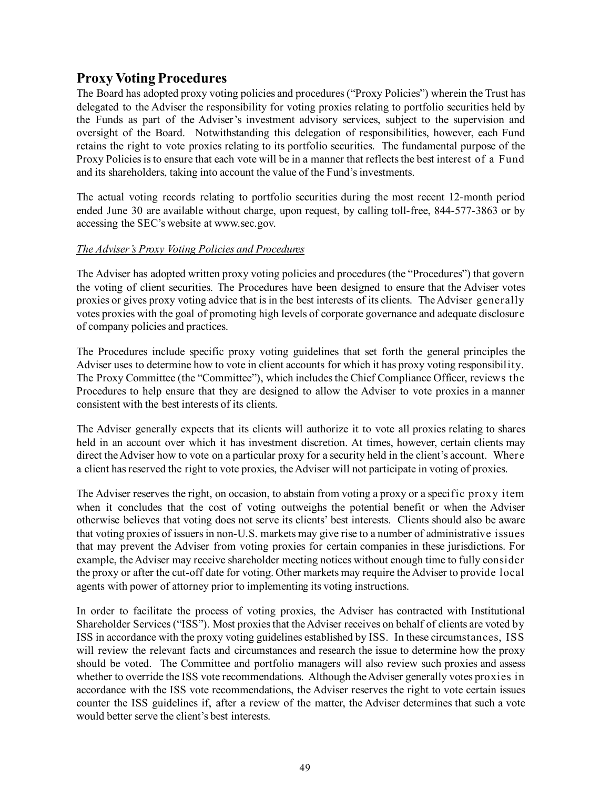# <span id="page-50-0"></span>**Proxy Voting Procedures**

The Board has adopted proxy voting policies and procedures ("Proxy Policies") wherein the Trust has delegated to the Adviser the responsibility for voting proxies relating to portfolio securities held by the Funds as part of the Adviser's investment advisory services, subject to the supervision and oversight of the Board. Notwithstanding this delegation of responsibilities, however, each Fund retains the right to vote proxies relating to its portfolio securities. The fundamental purpose of the Proxy Policies is to ensure that each vote will be in a manner that reflects the best interest of a Fund and its shareholders, taking into account the value of the Fund's investments.

The actual voting records relating to portfolio securities during the most recent 12-month period ended June 30 are available without charge, upon request, by calling toll-free, 844-577-3863 or by accessing the SEC's website at www.sec.gov.

### *The Adviser's Proxy Voting Policies and Procedures*

The Adviser has adopted written proxy voting policies and procedures (the "Procedures") that govern the voting of client securities. The Procedures have been designed to ensure that the Adviser votes proxies or gives proxy voting advice that is in the best interests of its clients. The Adviser generally votes proxies with the goal of promoting high levels of corporate governance and adequate disclosure of company policies and practices.

The Procedures include specific proxy voting guidelines that set forth the general principles the Adviser uses to determine how to vote in client accounts for which it has proxy voting responsibility. The Proxy Committee (the "Committee"), which includes the Chief Compliance Officer, reviews the Procedures to help ensure that they are designed to allow the Adviser to vote proxies in a manner consistent with the best interests of its clients.

The Adviser generally expects that its clients will authorize it to vote all proxies relating to shares held in an account over which it has investment discretion. At times, however, certain clients may direct the Adviser how to vote on a particular proxy for a security held in the client's account. Where a client has reserved the right to vote proxies, the Adviser will not participate in voting of proxies.

The Adviser reserves the right, on occasion, to abstain from voting a proxy or a specific proxy item when it concludes that the cost of voting outweighs the potential benefit or when the Adviser otherwise believes that voting does not serve its clients' best interests. Clients should also be aware that voting proxies of issuers in non-U.S. markets may give rise to a number of administrative issues that may prevent the Adviser from voting proxies for certain companies in these jurisdictions. For example, the Adviser may receive shareholder meeting notices without enough time to fully consider the proxy or after the cut-off date for voting. Other markets may require the Adviser to provide local agents with power of attorney prior to implementing its voting instructions.

In order to facilitate the process of voting proxies, the Adviser has contracted with Institutional Shareholder Services ("ISS"). Most proxies that the Adviser receives on behalf of clients are voted by ISS in accordance with the proxy voting guidelines established by ISS. In these circumstances, ISS will review the relevant facts and circumstances and research the issue to determine how the proxy should be voted. The Committee and portfolio managers will also review such proxies and assess whether to override the ISS vote recommendations. Although the Adviser generally votes proxies in accordance with the ISS vote recommendations, the Adviser reserves the right to vote certain issues counter the ISS guidelines if, after a review of the matter, the Adviser determines that such a vote would better serve the client's best interests.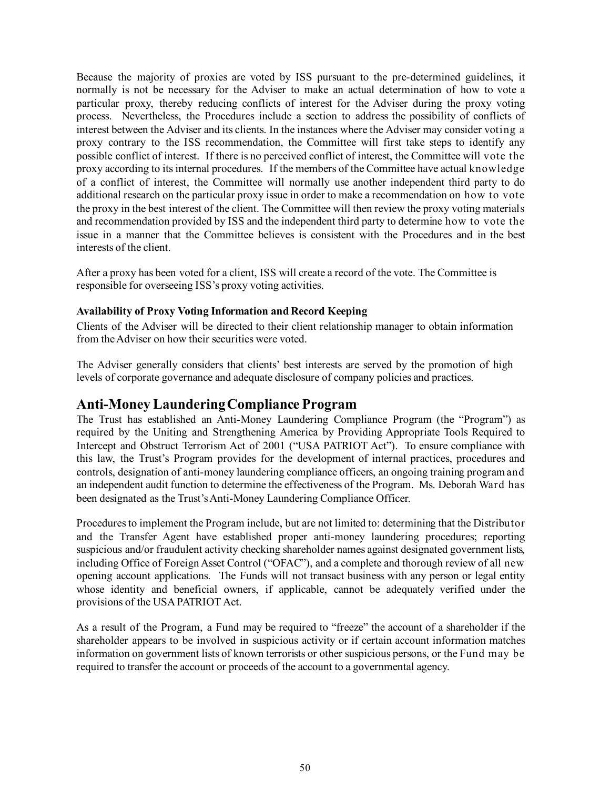Because the majority of proxies are voted by ISS pursuant to the pre-determined guidelines, it normally is not be necessary for the Adviser to make an actual determination of how to vote a particular proxy, thereby reducing conflicts of interest for the Adviser during the proxy voting process. Nevertheless, the Procedures include a section to address the possibility of conflicts of interest between the Adviser and its clients. In the instances where the Adviser may consider voting a proxy contrary to the ISS recommendation, the Committee will first take steps to identify any possible conflict of interest. If there is no perceived conflict of interest, the Committee will vote the proxy according to its internal procedures. If the members of the Committee have actual knowledge of a conflict of interest, the Committee will normally use another independent third party to do additional research on the particular proxy issue in order to make a recommendation on how to vote the proxy in the best interest of the client. The Committee will then review the proxy voting materials and recommendation provided by ISS and the independent third party to determine how to vote the issue in a manner that the Committee believes is consistent with the Procedures and in the best interests of the client.

After a proxy has been voted for a client, ISS will create a record of the vote. The Committee is responsible for overseeing ISS's proxy voting activities.

### <span id="page-51-0"></span>**Availability of Proxy Voting Information and Record Keeping**

Clients of the Adviser will be directed to their client relationship manager to obtain information from the Adviser on how their securities were voted.

The Adviser generally considers that clients' best interests are served by the promotion of high levels of corporate governance and adequate disclosure of company policies and practices.

# <span id="page-51-1"></span>**Anti-Money Laundering Compliance Program**

The Trust has established an Anti-Money Laundering Compliance Program (the "Program") as required by the Uniting and Strengthening America by Providing Appropriate Tools Required to Intercept and Obstruct Terrorism Act of 2001 ("USA PATRIOT Act"). To ensure compliance with this law, the Trust's Program provides for the development of internal practices, procedures and controls, designation of anti-money laundering compliance officers, an ongoing training program and an independent audit function to determine the effectiveness of the Program. Ms. Deborah Ward has been designated as the Trust's Anti-Money Laundering Compliance Officer.

Procedures to implement the Program include, but are not limited to: determining that the Distributor and the Transfer Agent have established proper anti-money laundering procedures; reporting suspicious and/or fraudulent activity checking shareholder names against designated government lists, including Office of Foreign Asset Control ("OFAC"), and a complete and thorough review of all new opening account applications. The Funds will not transact business with any person or legal entity whose identity and beneficial owners, if applicable, cannot be adequately verified under the provisions of the USA PATRIOT Act.

As a result of the Program, a Fund may be required to "freeze" the account of a shareholder if the shareholder appears to be involved in suspicious activity or if certain account information matches information on government lists of known terrorists or other suspicious persons, or the Fund may be required to transfer the account or proceeds of the account to a governmental agency.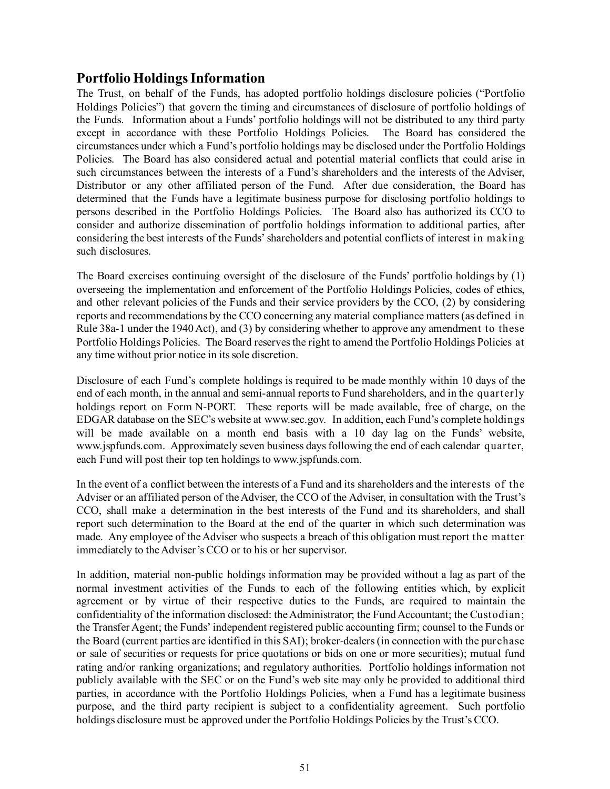# <span id="page-52-0"></span>**Portfolio Holdings Information**

The Trust, on behalf of the Funds, has adopted portfolio holdings disclosure policies ("Portfolio Holdings Policies") that govern the timing and circumstances of disclosure of portfolio holdings of the Funds. Information about a Funds' portfolio holdings will not be distributed to any third party except in accordance with these Portfolio Holdings Policies. The Board has considered the circumstances under which a Fund's portfolio holdings may be disclosed under the Portfolio Holdings Policies. The Board has also considered actual and potential material conflicts that could arise in such circumstances between the interests of a Fund's shareholders and the interests of the Adviser, Distributor or any other affiliated person of the Fund. After due consideration, the Board has determined that the Funds have a legitimate business purpose for disclosing portfolio holdings to persons described in the Portfolio Holdings Policies. The Board also has authorized its CCO to consider and authorize dissemination of portfolio holdings information to additional parties, after considering the best interests of the Funds' shareholders and potential conflicts of interest in making such disclosures.

The Board exercises continuing oversight of the disclosure of the Funds' portfolio holdings by (1) overseeing the implementation and enforcement of the Portfolio Holdings Policies, codes of ethics, and other relevant policies of the Funds and their service providers by the CCO, (2) by considering reports and recommendations by the CCO concerning any material compliance matters (as defined in Rule 38a-1 under the 1940 Act), and (3) by considering whether to approve any amendment to these Portfolio Holdings Policies. The Board reserves the right to amend the Portfolio Holdings Policies at any time without prior notice in its sole discretion.

Disclosure of each Fund's complete holdings is required to be made monthly within 10 days of the end of each month, in the annual and semi-annual reports to Fund shareholders, and in the quarterly holdings report on Form N-PORT. These reports will be made available, free of charge, on the EDGAR database on the SEC's website at www.sec.gov. In addition, each Fund's complete holdings will be made available on a month end basis with a 10 day lag on the Funds' website, www.jspfunds.com. Approximately seven business days following the end of each calendar quarter, each Fund will post their top ten holdings to www.jspfunds.com.

In the event of a conflict between the interests of a Fund and its shareholders and the interests of the Adviser or an affiliated person of the Adviser, the CCO of the Adviser, in consultation with the Trust's CCO, shall make a determination in the best interests of the Fund and its shareholders, and shall report such determination to the Board at the end of the quarter in which such determination was made. Any employee of the Adviser who suspects a breach of this obligation must report the matter immediately to the Adviser's CCO or to his or her supervisor.

In addition, material non-public holdings information may be provided without a lag as part of the normal investment activities of the Funds to each of the following entities which, by explicit agreement or by virtue of their respective duties to the Funds, are required to maintain the confidentiality of the information disclosed: the Administrator; the Fund Accountant; the Custodian; the Transfer Agent; the Funds' independent registered public accounting firm; counsel to the Funds or the Board (current parties are identified in this SAI); broker-dealers (in connection with the purchase or sale of securities or requests for price quotations or bids on one or more securities); mutual fund rating and/or ranking organizations; and regulatory authorities. Portfolio holdings information not publicly available with the SEC or on the Fund's web site may only be provided to additional third parties, in accordance with the Portfolio Holdings Policies, when a Fund has a legitimate business purpose, and the third party recipient is subject to a confidentiality agreement. Such portfolio holdings disclosure must be approved under the Portfolio Holdings Policies by the Trust's CCO.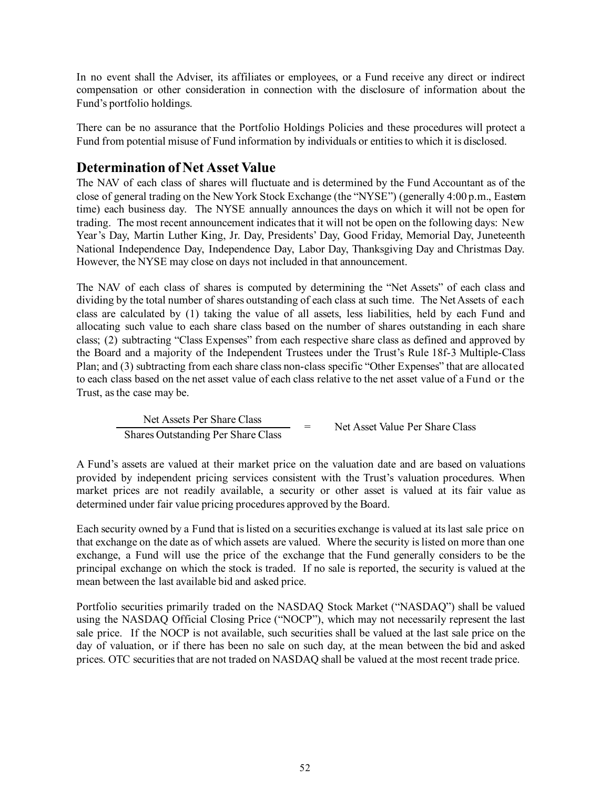In no event shall the Adviser, its affiliates or employees, or a Fund receive any direct or indirect compensation or other consideration in connection with the disclosure of information about the Fund's portfolio holdings.

There can be no assurance that the Portfolio Holdings Policies and these procedures will protect a Fund from potential misuse of Fund information by individuals or entities to which it is disclosed.

## <span id="page-53-0"></span>**Determination of Net Asset Value**

The NAV of each class of shares will fluctuate and is determined by the Fund Accountant as of the close of general trading on the New York Stock Exchange (the "NYSE") (generally 4:00 p.m., Eastern time) each business day. The NYSE annually announces the days on which it will not be open for trading. The most recent announcement indicates that it will not be open on the following days: New Year's Day, Martin Luther King, Jr. Day, Presidents' Day, Good Friday, Memorial Day, Juneteenth National Independence Day, Independence Day, Labor Day, Thanksgiving Day and Christmas Day. However, the NYSE may close on days not included in that announcement.

The NAV of each class of shares is computed by determining the "Net Assets" of each class and dividing by the total number of shares outstanding of each class at such time. The Net Assets of each class are calculated by (1) taking the value of all assets, less liabilities, held by each Fund and allocating such value to each share class based on the number of shares outstanding in each share class; (2) subtracting "Class Expenses" from each respective share class as defined and approved by the Board and a majority of the Independent Trustees under the Trust's Rule 18f-3 Multiple-Class Plan; and (3) subtracting from each share class non-class specific "Other Expenses" that are allocated to each class based on the net asset value of each class relative to the net asset value of a Fund or the Trust, as the case may be.

> Net Assets Per Share Class  $\frac{1}{2}$  = Net Asset Value Per Share Class Shares Outstanding Per Share Class

A Fund's assets are valued at their market price on the valuation date and are based on valuations provided by independent pricing services consistent with the Trust's valuation procedures. When market prices are not readily available, a security or other asset is valued at its fair value as determined under fair value pricing procedures approved by the Board.

Each security owned by a Fund that is listed on a securities exchange is valued at its last sale price on that exchange on the date as of which assets are valued. Where the security is listed on more than one exchange, a Fund will use the price of the exchange that the Fund generally considers to be the principal exchange on which the stock is traded. If no sale is reported, the security is valued at the mean between the last available bid and asked price.

Portfolio securities primarily traded on the NASDAQ Stock Market ("NASDAQ") shall be valued using the NASDAQ Official Closing Price ("NOCP"), which may not necessarily represent the last sale price. If the NOCP is not available, such securities shall be valued at the last sale price on the day of valuation, or if there has been no sale on such day, at the mean between the bid and asked prices. OTC securities that are not traded on NASDAQ shall be valued at the most recent trade price.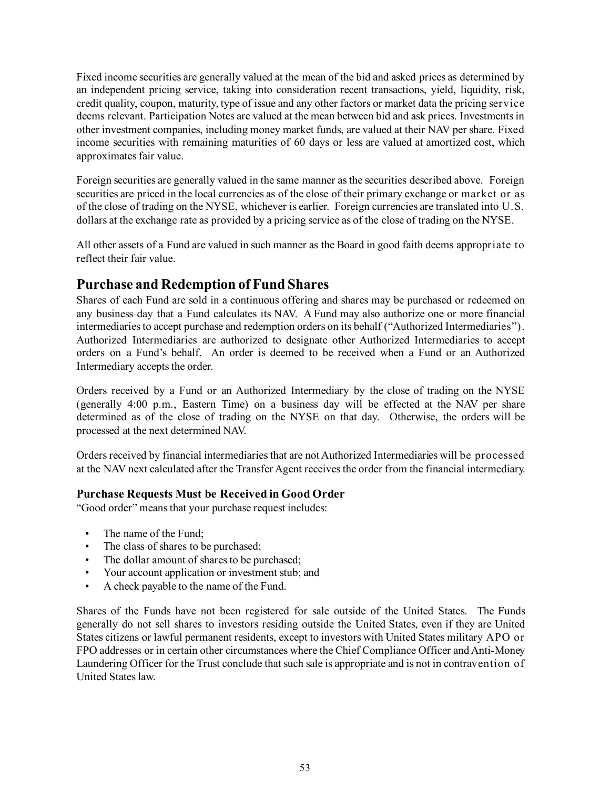Fixed income securities are generally valued at the mean of the bid and asked prices as determined by an independent pricing service, taking into consideration recent transactions, yield, liquidity, risk, credit quality, coupon, maturity, type of issue and any other factors or market data the pricing service deems relevant. Participation Notes are valued at the mean between bid and ask prices. Investments in other investment companies, including money market funds, are valued at their NAV per share. Fixed income securities with remaining maturities of 60 days or less are valued at amortized cost, which approximates fair value.

Foreign securities are generally valued in the same manner as the securities described above. Foreign securities are priced in the local currencies as of the close of their primary exchange or market or as of the close of trading on the NYSE, whichever is earlier. Foreign currencies are translated into U.S. dollars at the exchange rate as provided by a pricing service as of the close of trading on the NYSE.

All other assets of a Fund are valued in such manner as the Board in good faith deems appropriate to reflect their fair value.

# <span id="page-54-0"></span>**Purchase and Redemption of Fund Shares**

Shares of each Fund are sold in a continuous offering and shares may be purchased or redeemed on any business day that a Fund calculates its NAV. A Fund may also authorize one or more financial intermediaries to accept purchase and redemption orders on its behalf ("Authorized Intermediaries"). Authorized Intermediaries are authorized to designate other Authorized Intermediaries to accept orders on a Fund's behalf. An order is deemed to be received when a Fund or an Authorized Intermediary accepts the order.

Orders received by a Fund or an Authorized Intermediary by the close of trading on the NYSE (generally 4:00 p.m., Eastern Time) on a business day will be effected at the NAV per share determined as of the close of trading on the NYSE on that day. Otherwise, the orders will be processed at the next determined NAV.

Orders received by financial intermediaries that are not Authorized Intermediaries will be processed at the NAV next calculated after the Transfer Agent receives the order from the financial intermediary.

### **Purchase Requests Must be Received in Good Order**

"Good order" means that your purchase request includes:

- The name of the Fund;
- The class of shares to be purchased;
- The dollar amount of shares to be purchased;
- Your account application or investment stub; and
- A check payable to the name of the Fund.

Shares of the Funds have not been registered for sale outside of the United States. The Funds generally do not sell shares to investors residing outside the United States, even if they are United States citizens or lawful permanent residents, except to investors with United States military APO or FPO addresses or in certain other circumstances where the Chief Compliance Officer and Anti-Money Laundering Officer for the Trust conclude that such sale is appropriate and is not in contravention of United States law.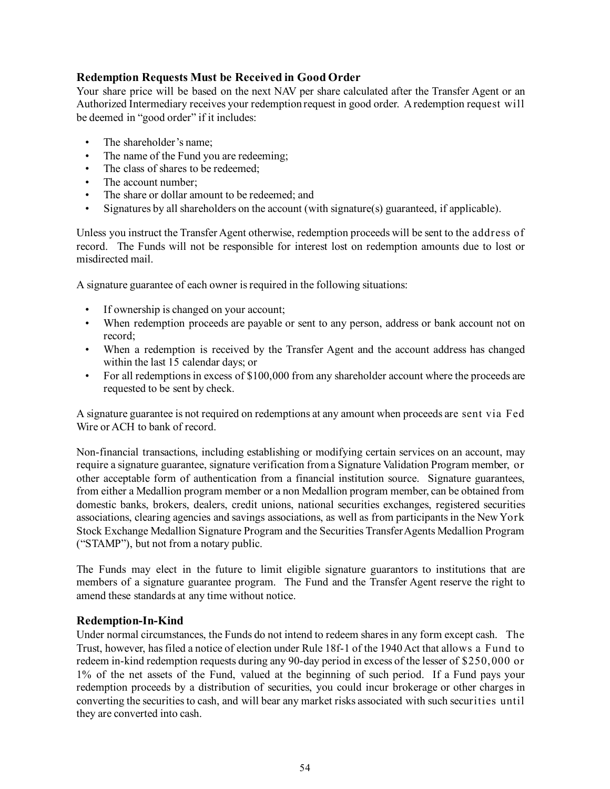### **Redemption Requests Must be Received in Good Order**

Your share price will be based on the next NAV per share calculated after the Transfer Agent or an Authorized Intermediary receives your redemption request in good order. A redemption request will be deemed in "good order" if it includes:

- The shareholder's name;
- The name of the Fund you are redeeming;
- The class of shares to be redeemed:
- The account number:
- The share or dollar amount to be redeemed; and
- Signatures by all shareholders on the account (with signature(s) guaranteed, if applicable).

Unless you instruct the Transfer Agent otherwise, redemption proceeds will be sent to the address of record. The Funds will not be responsible for interest lost on redemption amounts due to lost or misdirected mail.

A signature guarantee of each owner is required in the following situations:

- If ownership is changed on your account;
- When redemption proceeds are payable or sent to any person, address or bank account not on record;
- When a redemption is received by the Transfer Agent and the account address has changed within the last 15 calendar days; or
- For all redemptions in excess of \$100,000 from any shareholder account where the proceeds are requested to be sent by check.

A signature guarantee is not required on redemptions at any amount when proceeds are sent via Fed Wire or ACH to bank of record.

Non-financial transactions, including establishing or modifying certain services on an account, may require a signature guarantee, signature verification from a Signature Validation Program member, or other acceptable form of authentication from a financial institution source. Signature guarantees, from either a Medallion program member or a non Medallion program member, can be obtained from domestic banks, brokers, dealers, credit unions, national securities exchanges, registered securities associations, clearing agencies and savings associations, as well as from participants in the New York Stock Exchange Medallion Signature Program and the Securities Transfer Agents Medallion Program ("STAMP"), but not from a notary public.

The Funds may elect in the future to limit eligible signature guarantors to institutions that are members of a signature guarantee program. The Fund and the Transfer Agent reserve the right to amend these standards at any time without notice.

### **Redemption-In-Kind**

Under normal circumstances, the Funds do not intend to redeem shares in any form except cash. The Trust, however, has filed a notice of election under Rule 18f-1 of the 1940 Act that allows a Fund to redeem in-kind redemption requests during any 90-day period in excess of the lesser of \$250,000 or 1% of the net assets of the Fund, valued at the beginning of such period. If a Fund pays your redemption proceeds by a distribution of securities, you could incur brokerage or other charges in converting the securities to cash, and will bear any market risks associated with such securities until they are converted into cash.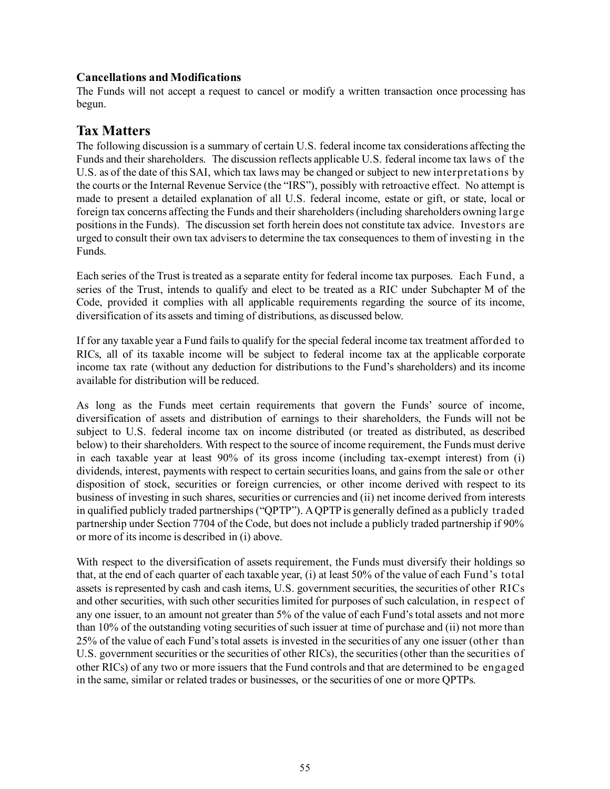### **Cancellations and Modifications**

The Funds will not accept a request to cancel or modify a written transaction once processing has begun.

# <span id="page-56-0"></span>**Tax Matters**

The following discussion is a summary of certain U.S. federal income tax considerations affecting the Funds and their shareholders. The discussion reflects applicable U.S. federal income tax laws of the U.S. as of the date of this SAI, which tax laws may be changed or subject to new interpretations by the courts or the Internal Revenue Service (the "IRS"), possibly with retroactive effect. No attempt is made to present a detailed explanation of all U.S. federal income, estate or gift, or state, local or foreign tax concerns affecting the Funds and their shareholders (including shareholders owning large positions in the Funds). The discussion set forth herein does not constitute tax advice. Investors are urged to consult their own tax advisers to determine the tax consequences to them of investing in the Funds.

Each series of the Trust is treated as a separate entity for federal income tax purposes. Each Fund, a series of the Trust, intends to qualify and elect to be treated as a RIC under Subchapter M of the Code, provided it complies with all applicable requirements regarding the source of its income, diversification of its assets and timing of distributions, as discussed below.

If for any taxable year a Fund fails to qualify for the special federal income tax treatment afforded to RICs, all of its taxable income will be subject to federal income tax at the applicable corporate income tax rate (without any deduction for distributions to the Fund's shareholders) and its income available for distribution will be reduced.

As long as the Funds meet certain requirements that govern the Funds' source of income, diversification of assets and distribution of earnings to their shareholders, the Funds will not be subject to U.S. federal income tax on income distributed (or treated as distributed, as described below) to their shareholders. With respect to the source of income requirement, the Funds must derive in each taxable year at least 90% of its gross income (including tax-exempt interest) from (i) dividends, interest, payments with respect to certain securities loans, and gains from the sale or other disposition of stock, securities or foreign currencies, or other income derived with respect to its business of investing in such shares, securities or currencies and (ii) net income derived from interests in qualified publicly traded partnerships ("QPTP"). A QPTP is generally defined as a publicly traded partnership under Section 7704 of the Code, but does not include a publicly traded partnership if 90% or more of its income is described in (i) above.

With respect to the diversification of assets requirement, the Funds must diversify their holdings so that, at the end of each quarter of each taxable year, (i) at least 50% of the value of each Fund's total assets isrepresented by cash and cash items, U.S. government securities, the securities of other RICs and other securities, with such other securities limited for purposes of such calculation, in respect of any one issuer, to an amount not greater than 5% of the value of each Fund's total assets and not more than 10% of the outstanding voting securities of such issuer at time of purchase and (ii) not more than 25% of the value of each Fund's total assets is invested in the securities of any one issuer (other than U.S. government securities or the securities of other RICs), the securities (other than the securities of other RICs) of any two or more issuers that the Fund controls and that are determined to be engaged in the same, similar or related trades or businesses, or the securities of one or more QPTPs.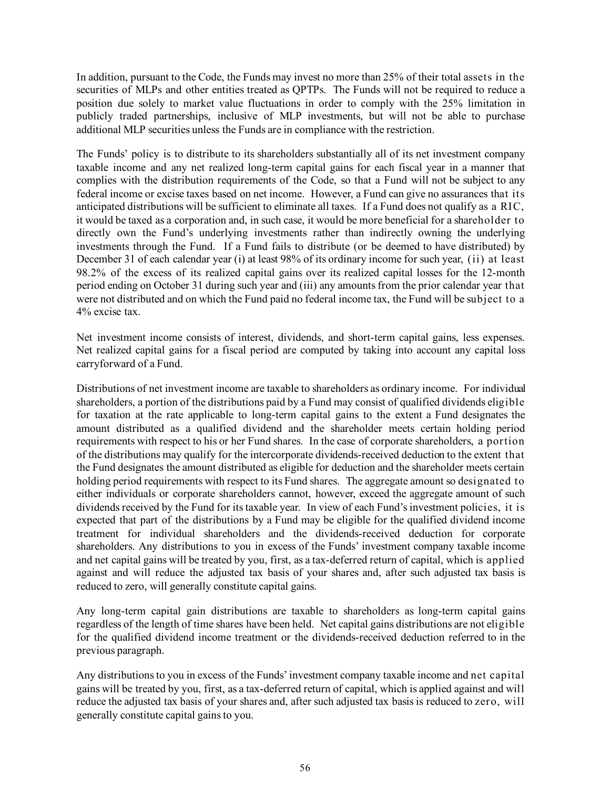In addition, pursuant to the Code, the Funds may invest no more than 25% of their total assets in the securities of MLPs and other entities treated as QPTPs. The Funds will not be required to reduce a position due solely to market value fluctuations in order to comply with the 25% limitation in publicly traded partnerships, inclusive of MLP investments, but will not be able to purchase additional MLP securities unless the Funds are in compliance with the restriction.

The Funds' policy is to distribute to its shareholders substantially all of its net investment company taxable income and any net realized long-term capital gains for each fiscal year in a manner that complies with the distribution requirements of the Code, so that a Fund will not be subject to any federal income or excise taxes based on net income. However, a Fund can give no assurances that its anticipated distributions will be sufficient to eliminate all taxes. If a Fund does not qualify as a RIC, it would be taxed as a corporation and, in such case, it would be more beneficial for a shareholder to directly own the Fund's underlying investments rather than indirectly owning the underlying investments through the Fund. If a Fund fails to distribute (or be deemed to have distributed) by December 31 of each calendar year (i) at least 98% of its ordinary income for such year, (ii) at least 98.2% of the excess of its realized capital gains over its realized capital losses for the 12-month period ending on October 31 during such year and (iii) any amounts from the prior calendar year that were not distributed and on which the Fund paid no federal income tax, the Fund will be subject to a 4% excise tax.

Net investment income consists of interest, dividends, and short-term capital gains, less expenses. Net realized capital gains for a fiscal period are computed by taking into account any capital loss carryforward of a Fund.

Distributions of net investment income are taxable to shareholders as ordinary income. For individual shareholders, a portion of the distributions paid by a Fund may consist of qualified dividends eligible for taxation at the rate applicable to long-term capital gains to the extent a Fund designates the amount distributed as a qualified dividend and the shareholder meets certain holding period requirements with respect to his or her Fund shares. In the case of corporate shareholders, a portion of the distributions may qualify for the intercorporate dividends-received deduction to the extent that the Fund designates the amount distributed as eligible for deduction and the shareholder meets certain holding period requirements with respect to its Fund shares. The aggregate amount so designated to either individuals or corporate shareholders cannot, however, exceed the aggregate amount of such dividends received by the Fund for its taxable year. In view of each Fund's investment policies, it is expected that part of the distributions by a Fund may be eligible for the qualified dividend income treatment for individual shareholders and the dividends-received deduction for corporate shareholders. Any distributions to you in excess of the Funds' investment company taxable income and net capital gains will be treated by you, first, as a tax-deferred return of capital, which is applied against and will reduce the adjusted tax basis of your shares and, after such adjusted tax basis is reduced to zero, will generally constitute capital gains.

Any long-term capital gain distributions are taxable to shareholders as long-term capital gains regardless of the length of time shares have been held. Net capital gains distributions are not eligible for the qualified dividend income treatment or the dividends-received deduction referred to in the previous paragraph.

Any distributions to you in excess of the Funds' investment company taxable income and net capital gains will be treated by you, first, as a tax-deferred return of capital, which is applied against and will reduce the adjusted tax basis of your shares and, after such adjusted tax basis is reduced to zero, will generally constitute capital gains to you.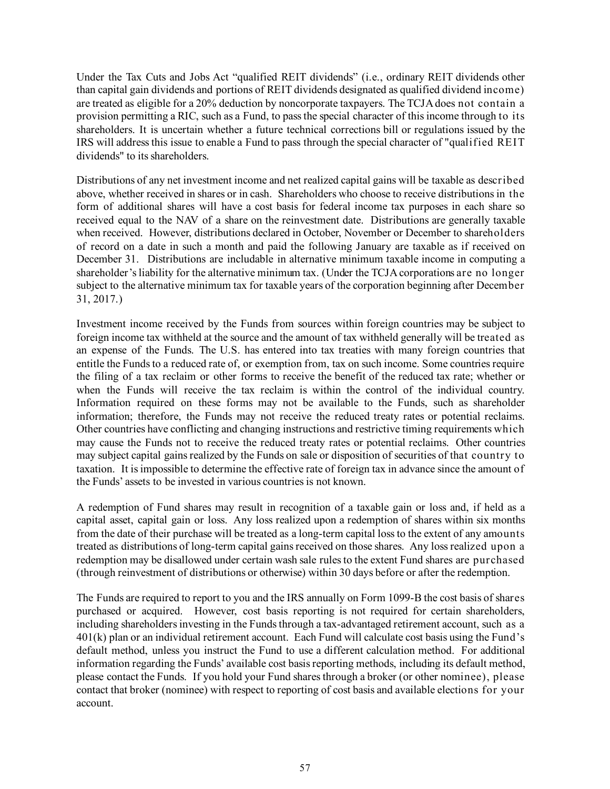Under the Tax Cuts and Jobs Act "qualified REIT dividends" (i.e., ordinary REIT dividends other than capital gain dividends and portions of REIT dividends designated as qualified dividend income) are treated as eligible for a 20% deduction by noncorporate taxpayers. The TCJA does not contain a provision permitting a RIC, such as a Fund, to pass the special character of this income through to its shareholders. It is uncertain whether a future technical corrections bill or regulations issued by the IRS will address this issue to enable a Fund to pass through the special character of "qualified REIT dividends" to its shareholders.

Distributions of any net investment income and net realized capital gains will be taxable as described above, whether received in shares or in cash. Shareholders who choose to receive distributions in the form of additional shares will have a cost basis for federal income tax purposes in each share so received equal to the NAV of a share on the reinvestment date. Distributions are generally taxable when received. However, distributions declared in October, November or December to shareholders of record on a date in such a month and paid the following January are taxable as if received on December 31. Distributions are includable in alternative minimum taxable income in computing a shareholder's liability for the alternative minimum tax. (Under the TCJA corporations are no longer subject to the alternative minimum tax for taxable years of the corporation beginning after December 31, 2017.)

Investment income received by the Funds from sources within foreign countries may be subject to foreign income tax withheld at the source and the amount of tax withheld generally will be treated as an expense of the Funds. The U.S. has entered into tax treaties with many foreign countries that entitle the Funds to a reduced rate of, or exemption from, tax on such income. Some countries require the filing of a tax reclaim or other forms to receive the benefit of the reduced tax rate; whether or when the Funds will receive the tax reclaim is within the control of the individual country. Information required on these forms may not be available to the Funds, such as shareholder information; therefore, the Funds may not receive the reduced treaty rates or potential reclaims. Other countries have conflicting and changing instructions and restrictive timing requirements which may cause the Funds not to receive the reduced treaty rates or potential reclaims. Other countries may subject capital gains realized by the Funds on sale or disposition of securities of that country to taxation. It is impossible to determine the effective rate of foreign tax in advance since the amount of the Funds' assets to be invested in various countries is not known.

A redemption of Fund shares may result in recognition of a taxable gain or loss and, if held as a capital asset, capital gain or loss. Any loss realized upon a redemption of shares within six months from the date of their purchase will be treated as a long-term capital loss to the extent of any amounts treated as distributions of long-term capital gains received on those shares. Any loss realized upon a redemption may be disallowed under certain wash sale rules to the extent Fund shares are purchased (through reinvestment of distributions or otherwise) within 30 days before or after the redemption.

The Funds are required to report to you and the IRS annually on Form 1099-B the cost basis of shares purchased or acquired. However, cost basis reporting is not required for certain shareholders, including shareholders investing in the Funds through a tax-advantaged retirement account, such as a 401(k) plan or an individual retirement account. Each Fund will calculate cost basis using the Fund's default method, unless you instruct the Fund to use a different calculation method. For additional information regarding the Funds' available cost basis reporting methods, including its default method, please contact the Funds. If you hold your Fund shares through a broker (or other nominee), please contact that broker (nominee) with respect to reporting of cost basis and available elections for your account.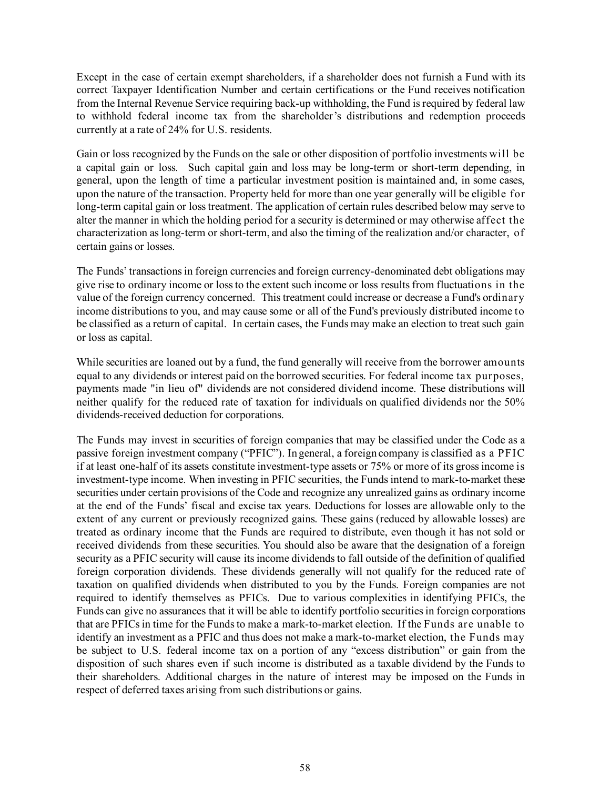Except in the case of certain exempt shareholders, if a shareholder does not furnish a Fund with its correct Taxpayer Identification Number and certain certifications or the Fund receives notification from the Internal Revenue Service requiring back-up withholding, the Fund is required by federal law to withhold federal income tax from the shareholder's distributions and redemption proceeds currently at a rate of 24% for U.S. residents.

Gain or loss recognized by the Funds on the sale or other disposition of portfolio investments will be a capital gain or loss. Such capital gain and loss may be long-term or short-term depending, in general, upon the length of time a particular investment position is maintained and, in some cases, upon the nature of the transaction. Property held for more than one year generally will be eligible for long-term capital gain or loss treatment. The application of certain rules described below may serve to alter the manner in which the holding period for a security is determined or may otherwise affect the characterization as long-term or short-term, and also the timing of the realization and/or character, of certain gains or losses.

The Funds' transactions in foreign currencies and foreign currency-denominated debt obligations may give rise to ordinary income or loss to the extent such income or loss results from fluctuations in the value of the foreign currency concerned. This treatment could increase or decrease a Fund's ordinary income distributions to you, and may cause some or all of the Fund's previously distributed income to be classified as a return of capital. In certain cases, the Funds may make an election to treat such gain or loss as capital.

While securities are loaned out by a fund, the fund generally will receive from the borrower amounts equal to any dividends or interest paid on the borrowed securities. For federal income tax purposes, payments made "in lieu of" dividends are not considered dividend income. These distributions will neither qualify for the reduced rate of taxation for individuals on qualified dividends nor the 50% dividends-received deduction for corporations.

The Funds may invest in securities of foreign companies that may be classified under the Code as a passive foreign investment company ("PFIC"). In general, a foreign company is classified as a PFIC if at least one-half of its assets constitute investment-type assets or 75% or more of its gross income is investment-type income. When investing in PFIC securities, the Funds intend to mark-to-market these securities under certain provisions of the Code and recognize any unrealized gains as ordinary income at the end of the Funds' fiscal and excise tax years. Deductions for losses are allowable only to the extent of any current or previously recognized gains. These gains (reduced by allowable losses) are treated as ordinary income that the Funds are required to distribute, even though it has not sold or received dividends from these securities. You should also be aware that the designation of a foreign security as a PFIC security will cause its income dividends to fall outside of the definition of qualified foreign corporation dividends. These dividends generally will not qualify for the reduced rate of taxation on qualified dividends when distributed to you by the Funds. Foreign companies are not required to identify themselves as PFICs. Due to various complexities in identifying PFICs, the Funds can give no assurances that it will be able to identify portfolio securities in foreign corporations that are PFICs in time for the Funds to make a mark-to-market election. If the Funds are unable to identify an investment as a PFIC and thus does not make a mark-to-market election, the Funds may be subject to U.S. federal income tax on a portion of any "excess distribution" or gain from the disposition of such shares even if such income is distributed as a taxable dividend by the Funds to their shareholders. Additional charges in the nature of interest may be imposed on the Funds in respect of deferred taxes arising from such distributions or gains.